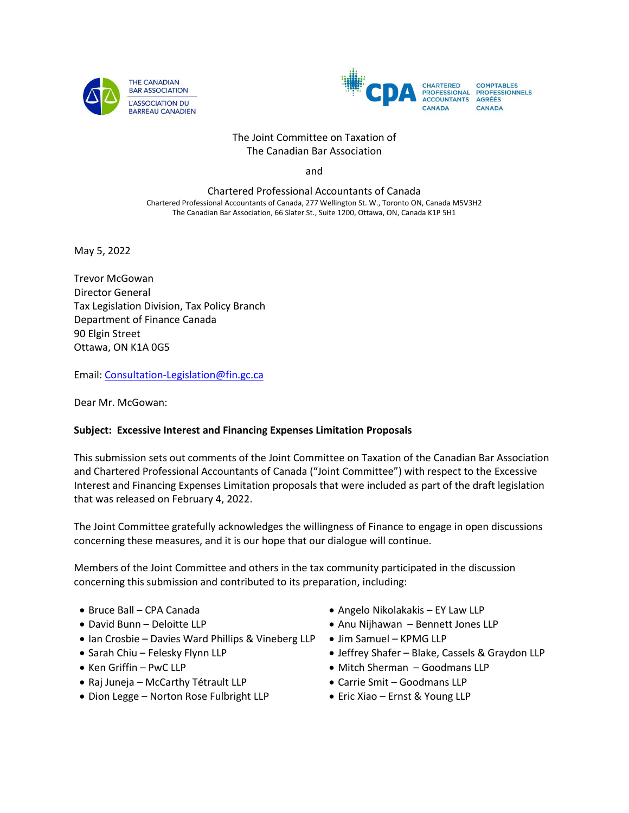



#### The Joint Committee on Taxation of The Canadian Bar Association

and

Chartered Professional Accountants of Canada Chartered Professional Accountants of Canada, 277 Wellington St. W., Toronto ON, Canada M5V3H2 The Canadian Bar Association, 66 Slater St., Suite 1200, Ottawa, ON, Canada K1P 5H1

May 5, 2022

Trevor McGowan Director General Tax Legislation Division, Tax Policy Branch Department of Finance Canada 90 Elgin Street Ottawa, ON K1A 0G5

Email: [Consultation-Legislation@fin.gc.ca](mailto:Consultation-Legislation@fin.gc.ca)

Dear Mr. McGowan:

#### **Subject: Excessive Interest and Financing Expenses Limitation Proposals**

This submission sets out comments of the Joint Committee on Taxation of the Canadian Bar Association and Chartered Professional Accountants of Canada ("Joint Committee") with respect to the Excessive Interest and Financing Expenses Limitation proposals that were included as part of the draft legislation that was released on February 4, 2022.

The Joint Committee gratefully acknowledges the willingness of Finance to engage in open discussions concerning these measures, and it is our hope that our dialogue will continue.

Members of the Joint Committee and others in the tax community participated in the discussion concerning this submission and contributed to its preparation, including:

- Bruce Ball CPA Canada
- David Bunn Deloitte LLP
- Ian Crosbie Davies Ward Phillips & Vineberg LLP
- Sarah Chiu Felesky Flynn LLP
- Ken Griffin PwC LLP
- Raj Juneja McCarthy Tétrault LLP
- Dion Legge Norton Rose Fulbright LLP
- Angelo Nikolakakis EY Law LLP
- Anu Nijhawan Bennett Jones LLP
- Jim Samuel KPMG LLP
- Jeffrey Shafer Blake, Cassels & Graydon LLP
- Mitch Sherman Goodmans LLP
- Carrie Smit Goodmans LLP
- Eric Xiao Ernst & Young LLP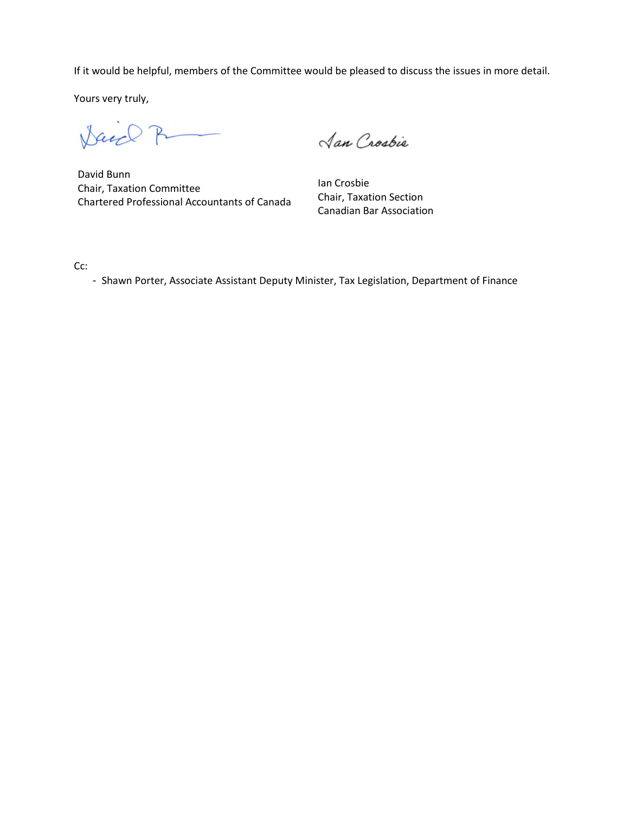If it would be helpful, members of the Committee would be pleased to discuss the issues in more detail.

Yours very truly,

Dance P

David Bunn Chair, Taxation Committee Chartered Professional Accountants of Canada

Jan Crosbie

Ian Crosbie Chair, Taxation Section Canadian Bar Association

Cc:

- Shawn Porter, Associate Assistant Deputy Minister, Tax Legislation, Department of Finance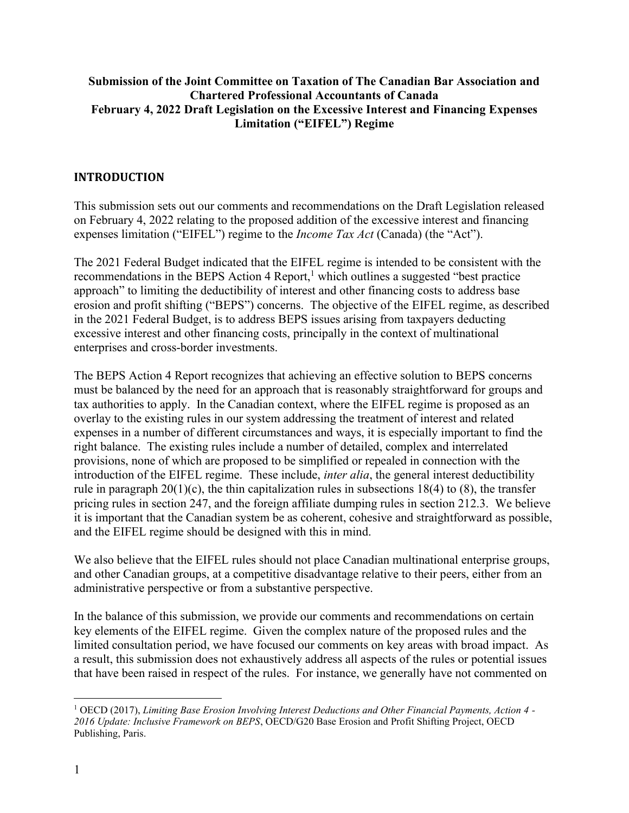## **Submission of the Joint Committee on Taxation of The Canadian Bar Association and Chartered Professional Accountants of Canada February 4, 2022 Draft Legislation on the Excessive Interest and Financing Expenses Limitation ("EIFEL") Regime**

## **INTRODUCTION**

This submission sets out our comments and recommendations on the Draft Legislation released on February 4, 2022 relating to the proposed addition of the excessive interest and financing expenses limitation ("EIFEL") regime to the *Income Tax Act* (Canada) (the "Act").

The 2021 Federal Budget indicated that the EIFEL regime is intended to be consistent with the recommendations in the BEPS Action 4 Report, $<sup>1</sup>$  which outlines a suggested "best practice"</sup> approach" to limiting the deductibility of interest and other financing costs to address base erosion and profit shifting ("BEPS") concerns. The objective of the EIFEL regime, as described in the 2021 Federal Budget, is to address BEPS issues arising from taxpayers deducting excessive interest and other financing costs, principally in the context of multinational enterprises and cross-border investments.

The BEPS Action 4 Report recognizes that achieving an effective solution to BEPS concerns must be balanced by the need for an approach that is reasonably straightforward for groups and tax authorities to apply. In the Canadian context, where the EIFEL regime is proposed as an overlay to the existing rules in our system addressing the treatment of interest and related expenses in a number of different circumstances and ways, it is especially important to find the right balance. The existing rules include a number of detailed, complex and interrelated provisions, none of which are proposed to be simplified or repealed in connection with the introduction of the EIFEL regime. These include, *inter alia*, the general interest deductibility rule in paragraph  $20(1)(c)$ , the thin capitalization rules in subsections 18(4) to (8), the transfer pricing rules in section 247, and the foreign affiliate dumping rules in section 212.3. We believe it is important that the Canadian system be as coherent, cohesive and straightforward as possible, and the EIFEL regime should be designed with this in mind.

We also believe that the EIFEL rules should not place Canadian multinational enterprise groups, and other Canadian groups, at a competitive disadvantage relative to their peers, either from an administrative perspective or from a substantive perspective.

In the balance of this submission, we provide our comments and recommendations on certain key elements of the EIFEL regime. Given the complex nature of the proposed rules and the limited consultation period, we have focused our comments on key areas with broad impact. As a result, this submission does not exhaustively address all aspects of the rules or potential issues that have been raised in respect of the rules. For instance, we generally have not commented on

<sup>1</sup> OECD (2017), *Limiting Base Erosion Involving Interest Deductions and Other Financial Payments, Action 4 - 2016 Update: Inclusive Framework on BEPS*, OECD/G20 Base Erosion and Profit Shifting Project, OECD Publishing, Paris.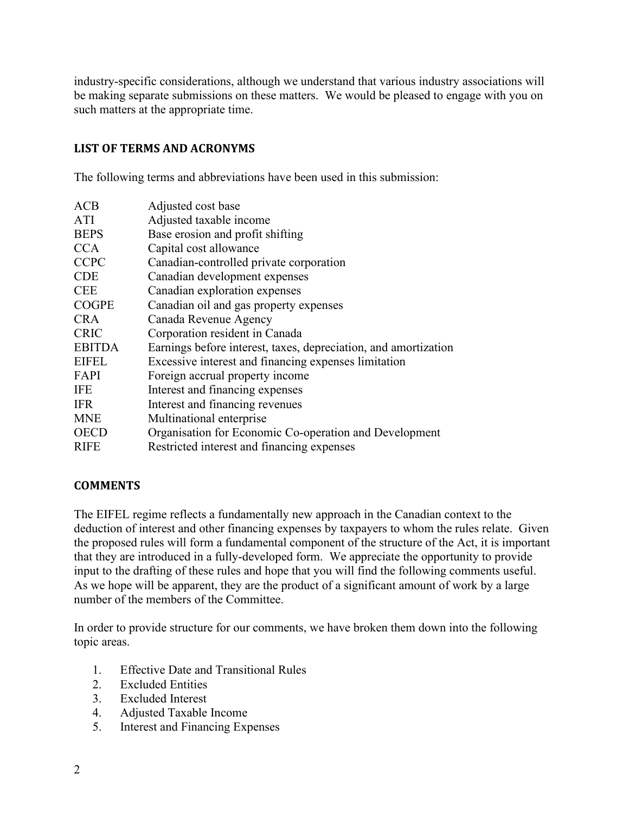industry-specific considerations, although we understand that various industry associations will be making separate submissions on these matters. We would be pleased to engage with you on such matters at the appropriate time.

# **LIST OF TERMS AND ACRONYMS**

The following terms and abbreviations have been used in this submission:

| ACB           | Adjusted cost base                                              |
|---------------|-----------------------------------------------------------------|
| ATI           | Adjusted taxable income                                         |
| <b>BEPS</b>   | Base erosion and profit shifting                                |
| <b>CCA</b>    | Capital cost allowance                                          |
| <b>CCPC</b>   | Canadian-controlled private corporation                         |
| <b>CDE</b>    | Canadian development expenses                                   |
| <b>CEE</b>    | Canadian exploration expenses                                   |
| <b>COGPE</b>  | Canadian oil and gas property expenses                          |
| <b>CRA</b>    | Canada Revenue Agency                                           |
| <b>CRIC</b>   | Corporation resident in Canada                                  |
| <b>EBITDA</b> | Earnings before interest, taxes, depreciation, and amortization |
| <b>EIFEL</b>  | Excessive interest and financing expenses limitation            |
| FAPI          | Foreign accrual property income                                 |
| <b>IFE</b>    | Interest and financing expenses                                 |
| <b>IFR</b>    | Interest and financing revenues                                 |
| <b>MNE</b>    | Multinational enterprise                                        |
| <b>OECD</b>   | Organisation for Economic Co-operation and Development          |
| <b>RIFE</b>   | Restricted interest and financing expenses                      |

# **COMMENTS**

The EIFEL regime reflects a fundamentally new approach in the Canadian context to the deduction of interest and other financing expenses by taxpayers to whom the rules relate. Given the proposed rules will form a fundamental component of the structure of the Act, it is important that they are introduced in a fully-developed form. We appreciate the opportunity to provide input to the drafting of these rules and hope that you will find the following comments useful. As we hope will be apparent, they are the product of a significant amount of work by a large number of the members of the Committee.

In order to provide structure for our comments, we have broken them down into the following topic areas.

- 1. Effective Date and Transitional Rules
- 2. Excluded Entities
- 3. Excluded Interest
- 4. Adjusted Taxable Income
- 5. Interest and Financing Expenses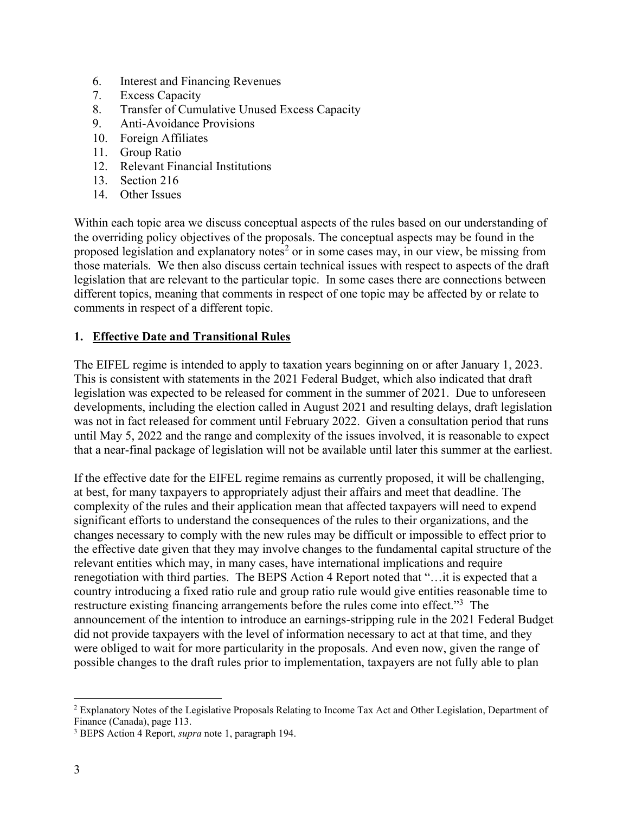- 6. Interest and Financing Revenues
- 7. Excess Capacity
- 8. Transfer of Cumulative Unused Excess Capacity
- 9. Anti-Avoidance Provisions
- 10. Foreign Affiliates
- 11. Group Ratio
- 12. Relevant Financial Institutions
- 13. Section 216
- 14. Other Issues

Within each topic area we discuss conceptual aspects of the rules based on our understanding of the overriding policy objectives of the proposals. The conceptual aspects may be found in the proposed legislation and explanatory notes<sup>2</sup> or in some cases may, in our view, be missing from those materials. We then also discuss certain technical issues with respect to aspects of the draft legislation that are relevant to the particular topic. In some cases there are connections between different topics, meaning that comments in respect of one topic may be affected by or relate to comments in respect of a different topic.

## **1. Effective Date and Transitional Rules**

The EIFEL regime is intended to apply to taxation years beginning on or after January 1, 2023. This is consistent with statements in the 2021 Federal Budget, which also indicated that draft legislation was expected to be released for comment in the summer of 2021. Due to unforeseen developments, including the election called in August 2021 and resulting delays, draft legislation was not in fact released for comment until February 2022. Given a consultation period that runs until May 5, 2022 and the range and complexity of the issues involved, it is reasonable to expect that a near-final package of legislation will not be available until later this summer at the earliest.

If the effective date for the EIFEL regime remains as currently proposed, it will be challenging, at best, for many taxpayers to appropriately adjust their affairs and meet that deadline. The complexity of the rules and their application mean that affected taxpayers will need to expend significant efforts to understand the consequences of the rules to their organizations, and the changes necessary to comply with the new rules may be difficult or impossible to effect prior to the effective date given that they may involve changes to the fundamental capital structure of the relevant entities which may, in many cases, have international implications and require renegotiation with third parties. The BEPS Action 4 Report noted that "…it is expected that a country introducing a fixed ratio rule and group ratio rule would give entities reasonable time to restructure existing financing arrangements before the rules come into effect."<sup>3</sup> The announcement of the intention to introduce an earnings-stripping rule in the 2021 Federal Budget did not provide taxpayers with the level of information necessary to act at that time, and they were obliged to wait for more particularity in the proposals. And even now, given the range of possible changes to the draft rules prior to implementation, taxpayers are not fully able to plan

<sup>2</sup> Explanatory Notes of the Legislative Proposals Relating to Income Tax Act and Other Legislation, Department of Finance (Canada), page 113.

<sup>3</sup> BEPS Action 4 Report, *supra* note 1, paragraph 194.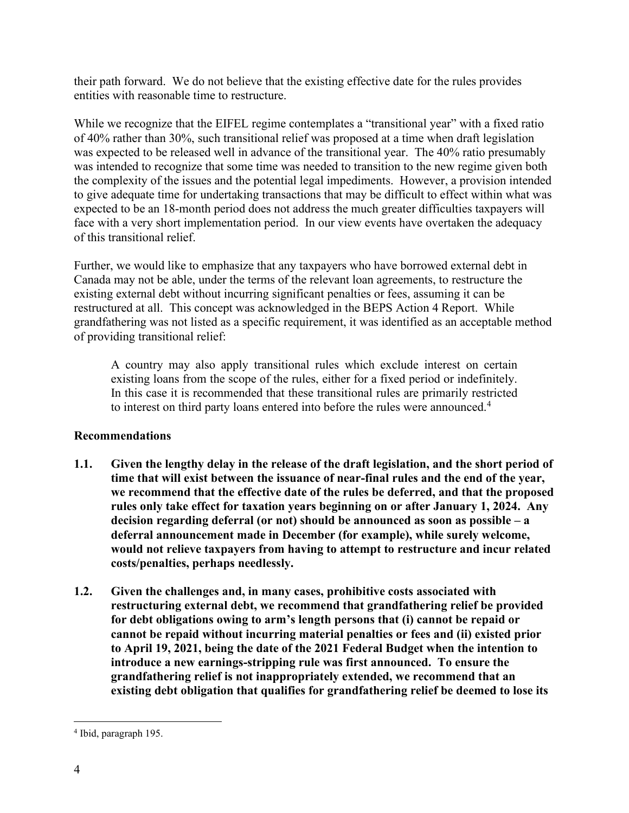their path forward. We do not believe that the existing effective date for the rules provides entities with reasonable time to restructure.

While we recognize that the EIFEL regime contemplates a "transitional year" with a fixed ratio of 40% rather than 30%, such transitional relief was proposed at a time when draft legislation was expected to be released well in advance of the transitional year. The 40% ratio presumably was intended to recognize that some time was needed to transition to the new regime given both the complexity of the issues and the potential legal impediments. However, a provision intended to give adequate time for undertaking transactions that may be difficult to effect within what was expected to be an 18-month period does not address the much greater difficulties taxpayers will face with a very short implementation period. In our view events have overtaken the adequacy of this transitional relief.

Further, we would like to emphasize that any taxpayers who have borrowed external debt in Canada may not be able, under the terms of the relevant loan agreements, to restructure the existing external debt without incurring significant penalties or fees, assuming it can be restructured at all. This concept was acknowledged in the BEPS Action 4 Report. While grandfathering was not listed as a specific requirement, it was identified as an acceptable method of providing transitional relief:

A country may also apply transitional rules which exclude interest on certain existing loans from the scope of the rules, either for a fixed period or indefinitely. In this case it is recommended that these transitional rules are primarily restricted to interest on third party loans entered into before the rules were announced.<sup>4</sup>

# **Recommendations**

- **1.1. Given the lengthy delay in the release of the draft legislation, and the short period of time that will exist between the issuance of near-final rules and the end of the year, we recommend that the effective date of the rules be deferred, and that the proposed rules only take effect for taxation years beginning on or after January 1, 2024. Any decision regarding deferral (or not) should be announced as soon as possible – a deferral announcement made in December (for example), while surely welcome, would not relieve taxpayers from having to attempt to restructure and incur related costs/penalties, perhaps needlessly.**
- **1.2. Given the challenges and, in many cases, prohibitive costs associated with restructuring external debt, we recommend that grandfathering relief be provided for debt obligations owing to arm's length persons that (i) cannot be repaid or cannot be repaid without incurring material penalties or fees and (ii) existed prior to April 19, 2021, being the date of the 2021 Federal Budget when the intention to introduce a new earnings-stripping rule was first announced. To ensure the grandfathering relief is not inappropriately extended, we recommend that an existing debt obligation that qualifies for grandfathering relief be deemed to lose its**

<sup>4</sup> Ibid, paragraph 195.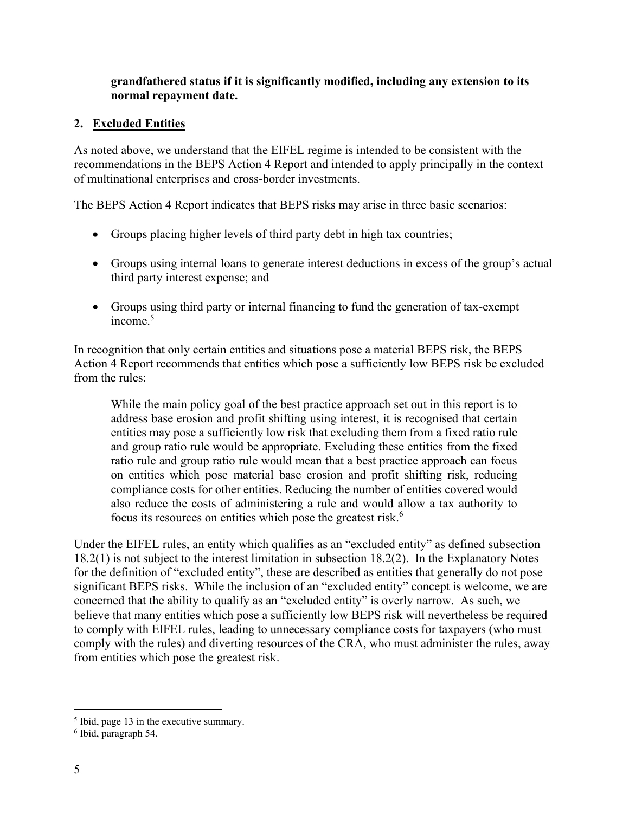## **grandfathered status if it is significantly modified, including any extension to its normal repayment date.**

# **2. Excluded Entities**

As noted above, we understand that the EIFEL regime is intended to be consistent with the recommendations in the BEPS Action 4 Report and intended to apply principally in the context of multinational enterprises and cross-border investments.

The BEPS Action 4 Report indicates that BEPS risks may arise in three basic scenarios:

- Groups placing higher levels of third party debt in high tax countries;
- Groups using internal loans to generate interest deductions in excess of the group's actual third party interest expense; and
- Groups using third party or internal financing to fund the generation of tax-exempt income. $5$

In recognition that only certain entities and situations pose a material BEPS risk, the BEPS Action 4 Report recommends that entities which pose a sufficiently low BEPS risk be excluded from the rules:

While the main policy goal of the best practice approach set out in this report is to address base erosion and profit shifting using interest, it is recognised that certain entities may pose a sufficiently low risk that excluding them from a fixed ratio rule and group ratio rule would be appropriate. Excluding these entities from the fixed ratio rule and group ratio rule would mean that a best practice approach can focus on entities which pose material base erosion and profit shifting risk, reducing compliance costs for other entities. Reducing the number of entities covered would also reduce the costs of administering a rule and would allow a tax authority to focus its resources on entities which pose the greatest risk.<sup>6</sup>

Under the EIFEL rules, an entity which qualifies as an "excluded entity" as defined subsection 18.2(1) is not subject to the interest limitation in subsection 18.2(2). In the Explanatory Notes for the definition of "excluded entity", these are described as entities that generally do not pose significant BEPS risks. While the inclusion of an "excluded entity" concept is welcome, we are concerned that the ability to qualify as an "excluded entity" is overly narrow. As such, we believe that many entities which pose a sufficiently low BEPS risk will nevertheless be required to comply with EIFEL rules, leading to unnecessary compliance costs for taxpayers (who must comply with the rules) and diverting resources of the CRA, who must administer the rules, away from entities which pose the greatest risk.

<sup>&</sup>lt;sup>5</sup> Ibid, page 13 in the executive summary.

<sup>6</sup> Ibid, paragraph 54.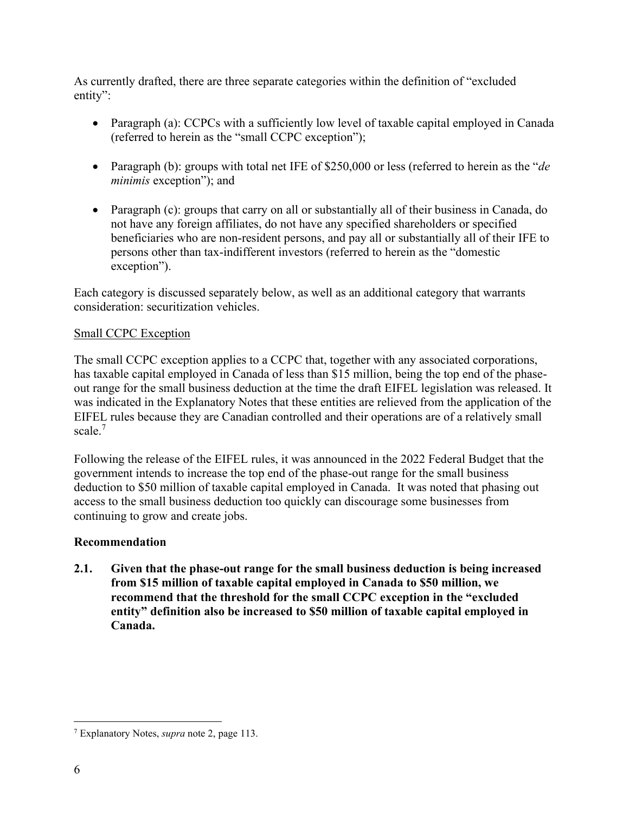As currently drafted, there are three separate categories within the definition of "excluded entity":

- Paragraph (a): CCPCs with a sufficiently low level of taxable capital employed in Canada (referred to herein as the "small CCPC exception");
- Paragraph (b): groups with total net IFE of \$250,000 or less (referred to herein as the "*de minimis* exception"); and
- Paragraph (c): groups that carry on all or substantially all of their business in Canada, do not have any foreign affiliates, do not have any specified shareholders or specified beneficiaries who are non-resident persons, and pay all or substantially all of their IFE to persons other than tax-indifferent investors (referred to herein as the "domestic exception").

Each category is discussed separately below, as well as an additional category that warrants consideration: securitization vehicles.

# Small CCPC Exception

The small CCPC exception applies to a CCPC that, together with any associated corporations, has taxable capital employed in Canada of less than \$15 million, being the top end of the phaseout range for the small business deduction at the time the draft EIFEL legislation was released. It was indicated in the Explanatory Notes that these entities are relieved from the application of the EIFEL rules because they are Canadian controlled and their operations are of a relatively small scale.<sup>7</sup>

Following the release of the EIFEL rules, it was announced in the 2022 Federal Budget that the government intends to increase the top end of the phase-out range for the small business deduction to \$50 million of taxable capital employed in Canada. It was noted that phasing out access to the small business deduction too quickly can discourage some businesses from continuing to grow and create jobs.

# **Recommendation**

**2.1. Given that the phase-out range for the small business deduction is being increased from \$15 million of taxable capital employed in Canada to \$50 million, we recommend that the threshold for the small CCPC exception in the "excluded entity" definition also be increased to \$50 million of taxable capital employed in Canada.**

<sup>7</sup> Explanatory Notes, *supra* note 2, page 113.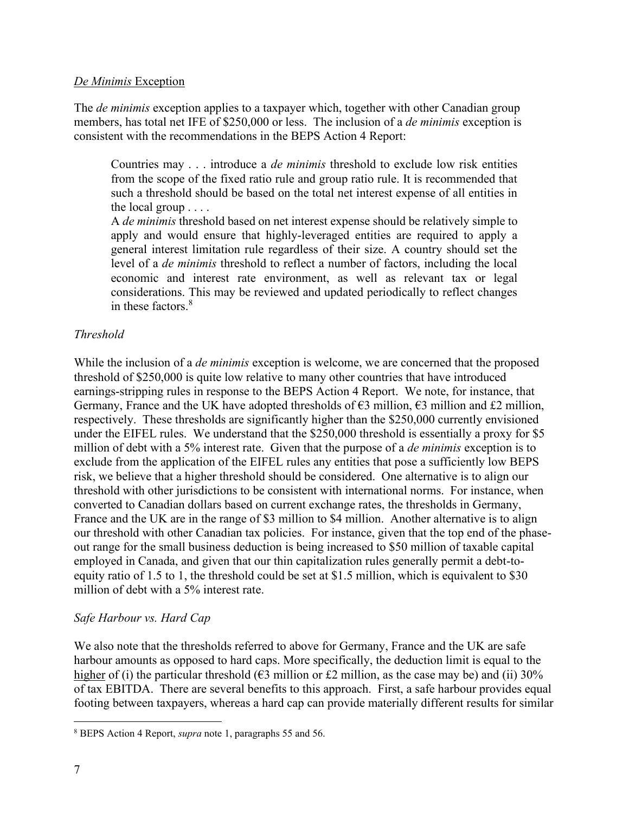### *De Minimis* Exception

The *de minimis* exception applies to a taxpayer which, together with other Canadian group members, has total net IFE of \$250,000 or less. The inclusion of a *de minimis* exception is consistent with the recommendations in the BEPS Action 4 Report:

Countries may . . . introduce a *de minimis* threshold to exclude low risk entities from the scope of the fixed ratio rule and group ratio rule. It is recommended that such a threshold should be based on the total net interest expense of all entities in the local group . . . .

A *de minimis* threshold based on net interest expense should be relatively simple to apply and would ensure that highly-leveraged entities are required to apply a general interest limitation rule regardless of their size. A country should set the level of a *de minimis* threshold to reflect a number of factors, including the local economic and interest rate environment, as well as relevant tax or legal considerations. This may be reviewed and updated periodically to reflect changes in these factors. $8$ 

# *Threshold*

While the inclusion of a *de minimis* exception is welcome, we are concerned that the proposed threshold of \$250,000 is quite low relative to many other countries that have introduced earnings-stripping rules in response to the BEPS Action 4 Report. We note, for instance, that Germany, France and the UK have adopted thresholds of  $\epsilon$ 3 million,  $\epsilon$ 3 million and £2 million, respectively. These thresholds are significantly higher than the \$250,000 currently envisioned under the EIFEL rules. We understand that the \$250,000 threshold is essentially a proxy for \$5 million of debt with a 5% interest rate. Given that the purpose of a *de minimis* exception is to exclude from the application of the EIFEL rules any entities that pose a sufficiently low BEPS risk, we believe that a higher threshold should be considered. One alternative is to align our threshold with other jurisdictions to be consistent with international norms. For instance, when converted to Canadian dollars based on current exchange rates, the thresholds in Germany, France and the UK are in the range of \$3 million to \$4 million. Another alternative is to align our threshold with other Canadian tax policies. For instance, given that the top end of the phaseout range for the small business deduction is being increased to \$50 million of taxable capital employed in Canada, and given that our thin capitalization rules generally permit a debt-toequity ratio of 1.5 to 1, the threshold could be set at \$1.5 million, which is equivalent to \$30 million of debt with a 5% interest rate.

# *Safe Harbour vs. Hard Cap*

We also note that the thresholds referred to above for Germany, France and the UK are safe harbour amounts as opposed to hard caps. More specifically, the deduction limit is equal to the higher of (i) the particular threshold ( $63$  million or £2 million, as the case may be) and (ii) 30% of tax EBITDA. There are several benefits to this approach. First, a safe harbour provides equal footing between taxpayers, whereas a hard cap can provide materially different results for similar

<sup>8</sup> BEPS Action 4 Report, *supra* note 1, paragraphs 55 and 56.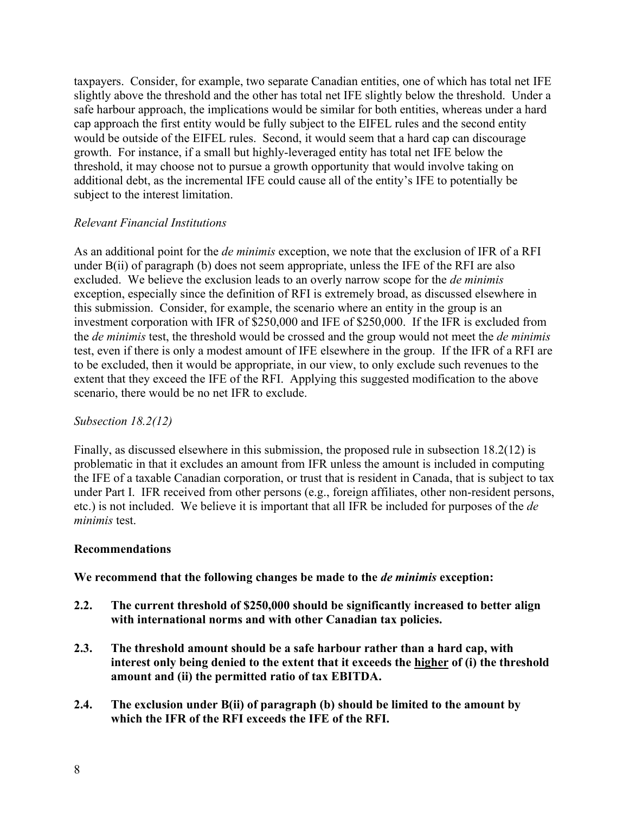taxpayers. Consider, for example, two separate Canadian entities, one of which has total net IFE slightly above the threshold and the other has total net IFE slightly below the threshold. Under a safe harbour approach, the implications would be similar for both entities, whereas under a hard cap approach the first entity would be fully subject to the EIFEL rules and the second entity would be outside of the EIFEL rules. Second, it would seem that a hard cap can discourage growth. For instance, if a small but highly-leveraged entity has total net IFE below the threshold, it may choose not to pursue a growth opportunity that would involve taking on additional debt, as the incremental IFE could cause all of the entity's IFE to potentially be subject to the interest limitation.

# *Relevant Financial Institutions*

As an additional point for the *de minimis* exception, we note that the exclusion of IFR of a RFI under B(ii) of paragraph (b) does not seem appropriate, unless the IFE of the RFI are also excluded. We believe the exclusion leads to an overly narrow scope for the *de minimis* exception, especially since the definition of RFI is extremely broad, as discussed elsewhere in this submission. Consider, for example, the scenario where an entity in the group is an investment corporation with IFR of \$250,000 and IFE of \$250,000. If the IFR is excluded from the *de minimis* test, the threshold would be crossed and the group would not meet the *de minimis* test, even if there is only a modest amount of IFE elsewhere in the group. If the IFR of a RFI are to be excluded, then it would be appropriate, in our view, to only exclude such revenues to the extent that they exceed the IFE of the RFI. Applying this suggested modification to the above scenario, there would be no net IFR to exclude.

# *Subsection 18.2(12)*

Finally, as discussed elsewhere in this submission, the proposed rule in subsection 18.2(12) is problematic in that it excludes an amount from IFR unless the amount is included in computing the IFE of a taxable Canadian corporation, or trust that is resident in Canada, that is subject to tax under Part I. IFR received from other persons (e.g., foreign affiliates, other non-resident persons, etc.) is not included. We believe it is important that all IFR be included for purposes of the *de minimis* test.

# **Recommendations**

**We recommend that the following changes be made to the** *de minimis* **exception:**

- **2.2. The current threshold of \$250,000 should be significantly increased to better align with international norms and with other Canadian tax policies.**
- **2.3. The threshold amount should be a safe harbour rather than a hard cap, with interest only being denied to the extent that it exceeds the higher of (i) the threshold amount and (ii) the permitted ratio of tax EBITDA.**
- **2.4. The exclusion under B(ii) of paragraph (b) should be limited to the amount by which the IFR of the RFI exceeds the IFE of the RFI.**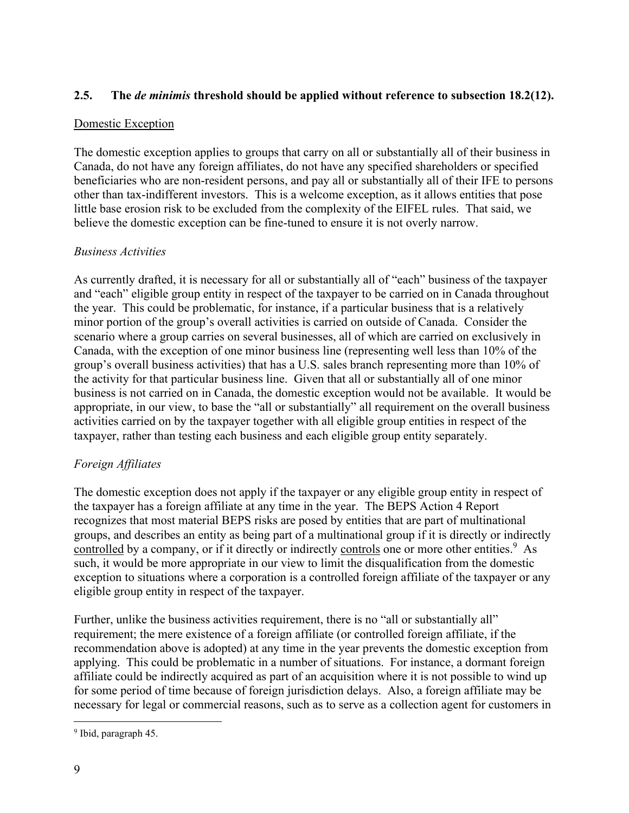# **2.5. The** *de minimis* **threshold should be applied without reference to subsection 18.2(12).**

# Domestic Exception

The domestic exception applies to groups that carry on all or substantially all of their business in Canada, do not have any foreign affiliates, do not have any specified shareholders or specified beneficiaries who are non-resident persons, and pay all or substantially all of their IFE to persons other than tax-indifferent investors. This is a welcome exception, as it allows entities that pose little base erosion risk to be excluded from the complexity of the EIFEL rules. That said, we believe the domestic exception can be fine-tuned to ensure it is not overly narrow.

# *Business Activities*

As currently drafted, it is necessary for all or substantially all of "each" business of the taxpayer and "each" eligible group entity in respect of the taxpayer to be carried on in Canada throughout the year. This could be problematic, for instance, if a particular business that is a relatively minor portion of the group's overall activities is carried on outside of Canada. Consider the scenario where a group carries on several businesses, all of which are carried on exclusively in Canada, with the exception of one minor business line (representing well less than 10% of the group's overall business activities) that has a U.S. sales branch representing more than 10% of the activity for that particular business line. Given that all or substantially all of one minor business is not carried on in Canada, the domestic exception would not be available. It would be appropriate, in our view, to base the "all or substantially" all requirement on the overall business activities carried on by the taxpayer together with all eligible group entities in respect of the taxpayer, rather than testing each business and each eligible group entity separately.

# *Foreign Affiliates*

The domestic exception does not apply if the taxpayer or any eligible group entity in respect of the taxpayer has a foreign affiliate at any time in the year. The BEPS Action 4 Report recognizes that most material BEPS risks are posed by entities that are part of multinational groups, and describes an entity as being part of a multinational group if it is directly or indirectly controlled by a company, or if it directly or indirectly controls one or more other entities.<sup>9</sup> As such, it would be more appropriate in our view to limit the disqualification from the domestic exception to situations where a corporation is a controlled foreign affiliate of the taxpayer or any eligible group entity in respect of the taxpayer.

Further, unlike the business activities requirement, there is no "all or substantially all" requirement; the mere existence of a foreign affiliate (or controlled foreign affiliate, if the recommendation above is adopted) at any time in the year prevents the domestic exception from applying. This could be problematic in a number of situations. For instance, a dormant foreign affiliate could be indirectly acquired as part of an acquisition where it is not possible to wind up for some period of time because of foreign jurisdiction delays. Also, a foreign affiliate may be necessary for legal or commercial reasons, such as to serve as a collection agent for customers in

<sup>&</sup>lt;sup>9</sup> Ibid, paragraph 45.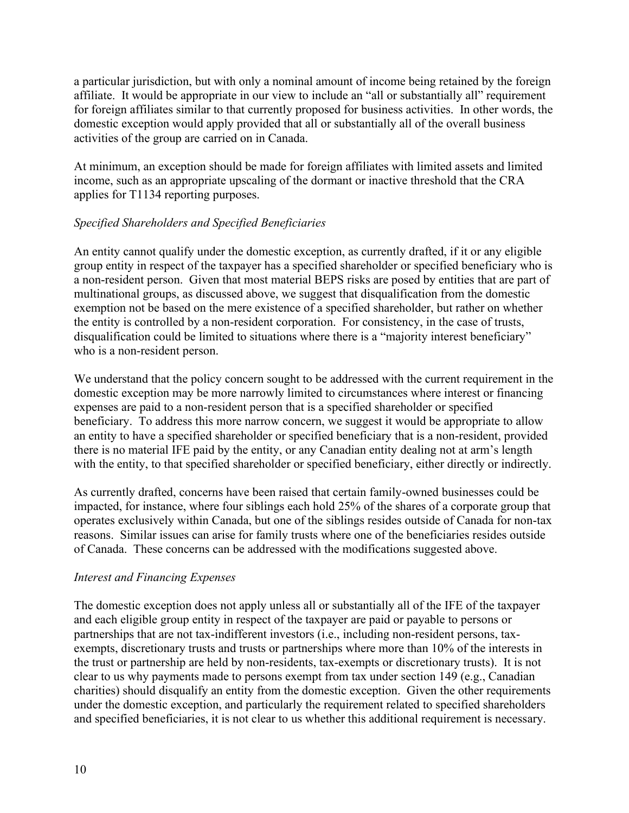a particular jurisdiction, but with only a nominal amount of income being retained by the foreign affiliate. It would be appropriate in our view to include an "all or substantially all" requirement for foreign affiliates similar to that currently proposed for business activities. In other words, the domestic exception would apply provided that all or substantially all of the overall business activities of the group are carried on in Canada.

At minimum, an exception should be made for foreign affiliates with limited assets and limited income, such as an appropriate upscaling of the dormant or inactive threshold that the CRA applies for T1134 reporting purposes.

# *Specified Shareholders and Specified Beneficiaries*

An entity cannot qualify under the domestic exception, as currently drafted, if it or any eligible group entity in respect of the taxpayer has a specified shareholder or specified beneficiary who is a non-resident person. Given that most material BEPS risks are posed by entities that are part of multinational groups, as discussed above, we suggest that disqualification from the domestic exemption not be based on the mere existence of a specified shareholder, but rather on whether the entity is controlled by a non-resident corporation. For consistency, in the case of trusts, disqualification could be limited to situations where there is a "majority interest beneficiary" who is a non-resident person.

We understand that the policy concern sought to be addressed with the current requirement in the domestic exception may be more narrowly limited to circumstances where interest or financing expenses are paid to a non-resident person that is a specified shareholder or specified beneficiary. To address this more narrow concern, we suggest it would be appropriate to allow an entity to have a specified shareholder or specified beneficiary that is a non-resident, provided there is no material IFE paid by the entity, or any Canadian entity dealing not at arm's length with the entity, to that specified shareholder or specified beneficiary, either directly or indirectly.

As currently drafted, concerns have been raised that certain family-owned businesses could be impacted, for instance, where four siblings each hold 25% of the shares of a corporate group that operates exclusively within Canada, but one of the siblings resides outside of Canada for non-tax reasons. Similar issues can arise for family trusts where one of the beneficiaries resides outside of Canada. These concerns can be addressed with the modifications suggested above.

# *Interest and Financing Expenses*

The domestic exception does not apply unless all or substantially all of the IFE of the taxpayer and each eligible group entity in respect of the taxpayer are paid or payable to persons or partnerships that are not tax-indifferent investors (i.e., including non-resident persons, taxexempts, discretionary trusts and trusts or partnerships where more than 10% of the interests in the trust or partnership are held by non-residents, tax-exempts or discretionary trusts). It is not clear to us why payments made to persons exempt from tax under section 149 (e.g., Canadian charities) should disqualify an entity from the domestic exception. Given the other requirements under the domestic exception, and particularly the requirement related to specified shareholders and specified beneficiaries, it is not clear to us whether this additional requirement is necessary.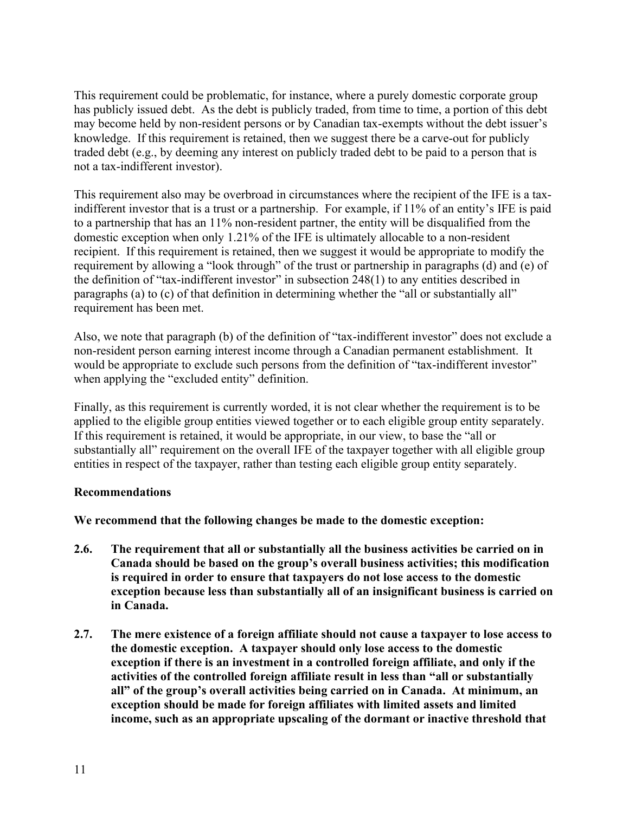This requirement could be problematic, for instance, where a purely domestic corporate group has publicly issued debt. As the debt is publicly traded, from time to time, a portion of this debt may become held by non-resident persons or by Canadian tax-exempts without the debt issuer's knowledge. If this requirement is retained, then we suggest there be a carve-out for publicly traded debt (e.g., by deeming any interest on publicly traded debt to be paid to a person that is not a tax-indifferent investor).

This requirement also may be overbroad in circumstances where the recipient of the IFE is a taxindifferent investor that is a trust or a partnership. For example, if 11% of an entity's IFE is paid to a partnership that has an 11% non-resident partner, the entity will be disqualified from the domestic exception when only 1.21% of the IFE is ultimately allocable to a non-resident recipient. If this requirement is retained, then we suggest it would be appropriate to modify the requirement by allowing a "look through" of the trust or partnership in paragraphs (d) and (e) of the definition of "tax-indifferent investor" in subsection 248(1) to any entities described in paragraphs (a) to (c) of that definition in determining whether the "all or substantially all" requirement has been met.

Also, we note that paragraph (b) of the definition of "tax-indifferent investor" does not exclude a non-resident person earning interest income through a Canadian permanent establishment. It would be appropriate to exclude such persons from the definition of "tax-indifferent investor" when applying the "excluded entity" definition.

Finally, as this requirement is currently worded, it is not clear whether the requirement is to be applied to the eligible group entities viewed together or to each eligible group entity separately. If this requirement is retained, it would be appropriate, in our view, to base the "all or substantially all" requirement on the overall IFE of the taxpayer together with all eligible group entities in respect of the taxpayer, rather than testing each eligible group entity separately.

### **Recommendations**

**We recommend that the following changes be made to the domestic exception:**

- **2.6. The requirement that all or substantially all the business activities be carried on in Canada should be based on the group's overall business activities; this modification is required in order to ensure that taxpayers do not lose access to the domestic exception because less than substantially all of an insignificant business is carried on in Canada.**
- **2.7. The mere existence of a foreign affiliate should not cause a taxpayer to lose access to the domestic exception. A taxpayer should only lose access to the domestic exception if there is an investment in a controlled foreign affiliate, and only if the activities of the controlled foreign affiliate result in less than "all or substantially all" of the group's overall activities being carried on in Canada. At minimum, an exception should be made for foreign affiliates with limited assets and limited income, such as an appropriate upscaling of the dormant or inactive threshold that**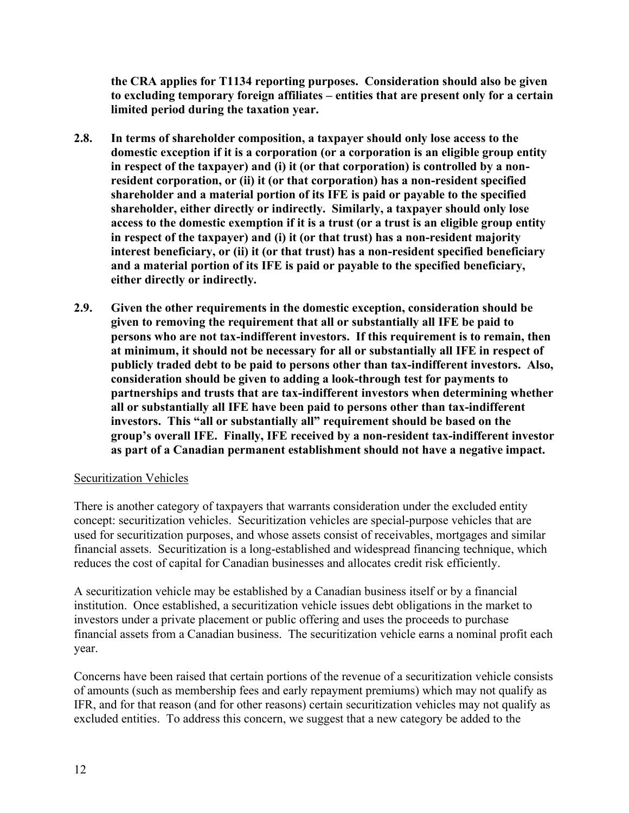**the CRA applies for T1134 reporting purposes. Consideration should also be given to excluding temporary foreign affiliates – entities that are present only for a certain limited period during the taxation year.**

- **2.8. In terms of shareholder composition, a taxpayer should only lose access to the domestic exception if it is a corporation (or a corporation is an eligible group entity in respect of the taxpayer) and (i) it (or that corporation) is controlled by a nonresident corporation, or (ii) it (or that corporation) has a non-resident specified shareholder and a material portion of its IFE is paid or payable to the specified shareholder, either directly or indirectly. Similarly, a taxpayer should only lose access to the domestic exemption if it is a trust (or a trust is an eligible group entity in respect of the taxpayer) and (i) it (or that trust) has a non-resident majority interest beneficiary, or (ii) it (or that trust) has a non-resident specified beneficiary and a material portion of its IFE is paid or payable to the specified beneficiary, either directly or indirectly.**
- **2.9. Given the other requirements in the domestic exception, consideration should be given to removing the requirement that all or substantially all IFE be paid to persons who are not tax-indifferent investors. If this requirement is to remain, then at minimum, it should not be necessary for all or substantially all IFE in respect of publicly traded debt to be paid to persons other than tax-indifferent investors. Also, consideration should be given to adding a look-through test for payments to partnerships and trusts that are tax-indifferent investors when determining whether all or substantially all IFE have been paid to persons other than tax-indifferent investors. This "all or substantially all" requirement should be based on the group's overall IFE. Finally, IFE received by a non-resident tax-indifferent investor as part of a Canadian permanent establishment should not have a negative impact.**

# Securitization Vehicles

There is another category of taxpayers that warrants consideration under the excluded entity concept: securitization vehicles. Securitization vehicles are special-purpose vehicles that are used for securitization purposes, and whose assets consist of receivables, mortgages and similar financial assets. Securitization is a long-established and widespread financing technique, which reduces the cost of capital for Canadian businesses and allocates credit risk efficiently.

A securitization vehicle may be established by a Canadian business itself or by a financial institution. Once established, a securitization vehicle issues debt obligations in the market to investors under a private placement or public offering and uses the proceeds to purchase financial assets from a Canadian business. The securitization vehicle earns a nominal profit each year.

Concerns have been raised that certain portions of the revenue of a securitization vehicle consists of amounts (such as membership fees and early repayment premiums) which may not qualify as IFR, and for that reason (and for other reasons) certain securitization vehicles may not qualify as excluded entities. To address this concern, we suggest that a new category be added to the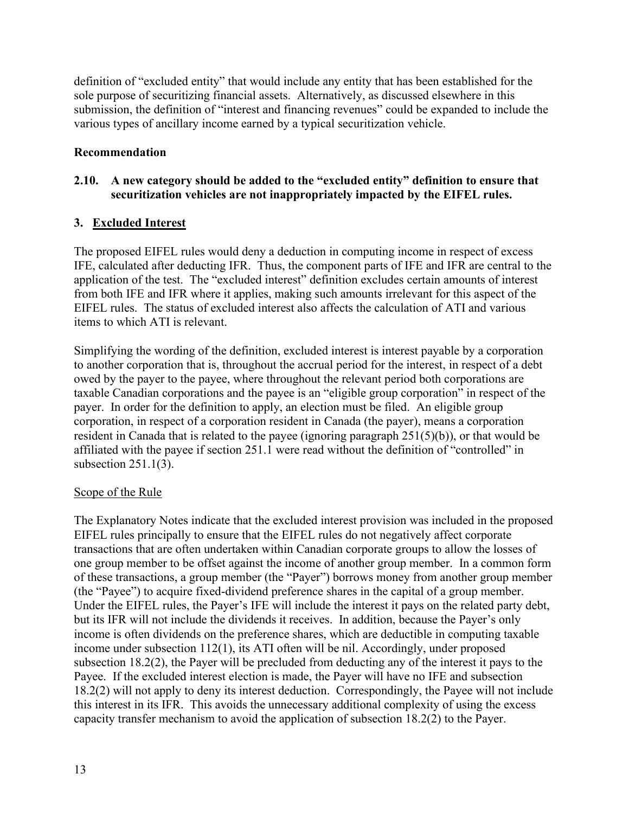definition of "excluded entity" that would include any entity that has been established for the sole purpose of securitizing financial assets. Alternatively, as discussed elsewhere in this submission, the definition of "interest and financing revenues" could be expanded to include the various types of ancillary income earned by a typical securitization vehicle.

# **Recommendation**

# **2.10. A new category should be added to the "excluded entity" definition to ensure that securitization vehicles are not inappropriately impacted by the EIFEL rules.**

# **3. Excluded Interest**

The proposed EIFEL rules would deny a deduction in computing income in respect of excess IFE, calculated after deducting IFR. Thus, the component parts of IFE and IFR are central to the application of the test. The "excluded interest" definition excludes certain amounts of interest from both IFE and IFR where it applies, making such amounts irrelevant for this aspect of the EIFEL rules. The status of excluded interest also affects the calculation of ATI and various items to which ATI is relevant.

Simplifying the wording of the definition, excluded interest is interest payable by a corporation to another corporation that is, throughout the accrual period for the interest, in respect of a debt owed by the payer to the payee, where throughout the relevant period both corporations are taxable Canadian corporations and the payee is an "eligible group corporation" in respect of the payer. In order for the definition to apply, an election must be filed. An eligible group corporation, in respect of a corporation resident in Canada (the payer), means a corporation resident in Canada that is related to the payee (ignoring paragraph 251(5)(b)), or that would be affiliated with the payee if section 251.1 were read without the definition of "controlled" in subsection 251.1(3).

# Scope of the Rule

The Explanatory Notes indicate that the excluded interest provision was included in the proposed EIFEL rules principally to ensure that the EIFEL rules do not negatively affect corporate transactions that are often undertaken within Canadian corporate groups to allow the losses of one group member to be offset against the income of another group member. In a common form of these transactions, a group member (the "Payer") borrows money from another group member (the "Payee") to acquire fixed-dividend preference shares in the capital of a group member. Under the EIFEL rules, the Payer's IFE will include the interest it pays on the related party debt, but its IFR will not include the dividends it receives. In addition, because the Payer's only income is often dividends on the preference shares, which are deductible in computing taxable income under subsection 112(1), its ATI often will be nil. Accordingly, under proposed subsection 18.2(2), the Payer will be precluded from deducting any of the interest it pays to the Payee. If the excluded interest election is made, the Payer will have no IFE and subsection 18.2(2) will not apply to deny its interest deduction. Correspondingly, the Payee will not include this interest in its IFR. This avoids the unnecessary additional complexity of using the excess capacity transfer mechanism to avoid the application of subsection 18.2(2) to the Payer.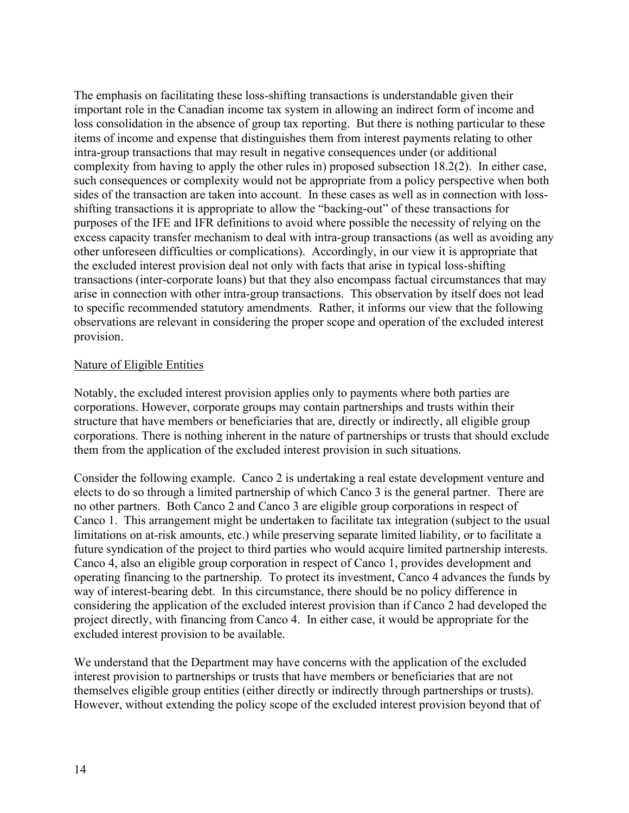The emphasis on facilitating these loss-shifting transactions is understandable given their important role in the Canadian income tax system in allowing an indirect form of income and loss consolidation in the absence of group tax reporting. But there is nothing particular to these items of income and expense that distinguishes them from interest payments relating to other intra-group transactions that may result in negative consequences under (or additional complexity from having to apply the other rules in) proposed subsection 18.2(2). In either case, such consequences or complexity would not be appropriate from a policy perspective when both sides of the transaction are taken into account. In these cases as well as in connection with lossshifting transactions it is appropriate to allow the "backing-out" of these transactions for purposes of the IFE and IFR definitions to avoid where possible the necessity of relying on the excess capacity transfer mechanism to deal with intra-group transactions (as well as avoiding any other unforeseen difficulties or complications). Accordingly, in our view it is appropriate that the excluded interest provision deal not only with facts that arise in typical loss-shifting transactions (inter-corporate loans) but that they also encompass factual circumstances that may arise in connection with other intra-group transactions. This observation by itself does not lead to specific recommended statutory amendments. Rather, it informs our view that the following observations are relevant in considering the proper scope and operation of the excluded interest provision.

### Nature of Eligible Entities

Notably, the excluded interest provision applies only to payments where both parties are corporations. However, corporate groups may contain partnerships and trusts within their structure that have members or beneficiaries that are, directly or indirectly, all eligible group corporations. There is nothing inherent in the nature of partnerships or trusts that should exclude them from the application of the excluded interest provision in such situations.

Consider the following example. Canco 2 is undertaking a real estate development venture and elects to do so through a limited partnership of which Canco 3 is the general partner. There are no other partners. Both Canco 2 and Canco 3 are eligible group corporations in respect of Canco 1. This arrangement might be undertaken to facilitate tax integration (subject to the usual limitations on at-risk amounts, etc.) while preserving separate limited liability, or to facilitate a future syndication of the project to third parties who would acquire limited partnership interests. Canco 4, also an eligible group corporation in respect of Canco 1, provides development and operating financing to the partnership. To protect its investment, Canco 4 advances the funds by way of interest-bearing debt. In this circumstance, there should be no policy difference in considering the application of the excluded interest provision than if Canco 2 had developed the project directly, with financing from Canco 4. In either case, it would be appropriate for the excluded interest provision to be available.

We understand that the Department may have concerns with the application of the excluded interest provision to partnerships or trusts that have members or beneficiaries that are not themselves eligible group entities (either directly or indirectly through partnerships or trusts). However, without extending the policy scope of the excluded interest provision beyond that of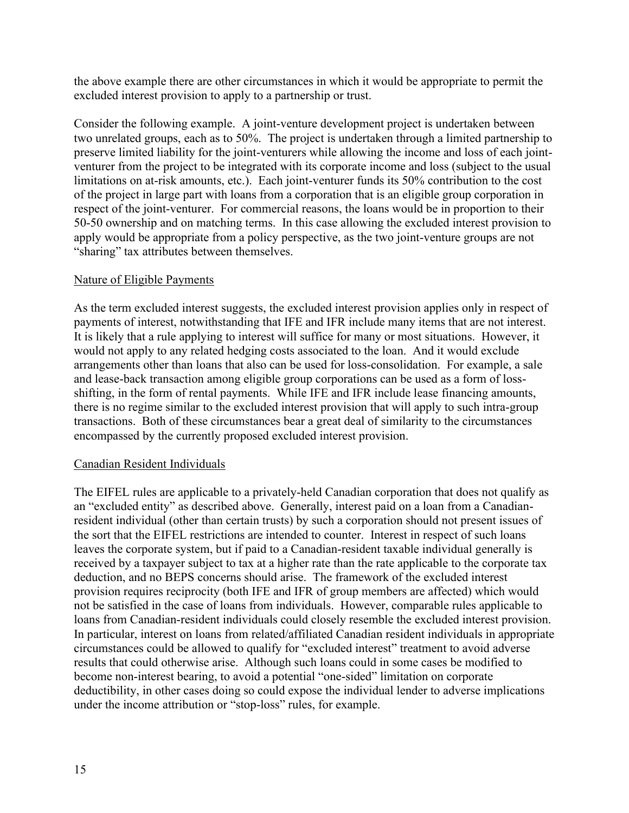the above example there are other circumstances in which it would be appropriate to permit the excluded interest provision to apply to a partnership or trust.

Consider the following example. A joint-venture development project is undertaken between two unrelated groups, each as to 50%. The project is undertaken through a limited partnership to preserve limited liability for the joint-venturers while allowing the income and loss of each jointventurer from the project to be integrated with its corporate income and loss (subject to the usual limitations on at-risk amounts, etc.). Each joint-venturer funds its 50% contribution to the cost of the project in large part with loans from a corporation that is an eligible group corporation in respect of the joint-venturer. For commercial reasons, the loans would be in proportion to their 50-50 ownership and on matching terms. In this case allowing the excluded interest provision to apply would be appropriate from a policy perspective, as the two joint-venture groups are not "sharing" tax attributes between themselves.

## Nature of Eligible Payments

As the term excluded interest suggests, the excluded interest provision applies only in respect of payments of interest, notwithstanding that IFE and IFR include many items that are not interest. It is likely that a rule applying to interest will suffice for many or most situations. However, it would not apply to any related hedging costs associated to the loan. And it would exclude arrangements other than loans that also can be used for loss-consolidation. For example, a sale and lease-back transaction among eligible group corporations can be used as a form of lossshifting, in the form of rental payments. While IFE and IFR include lease financing amounts, there is no regime similar to the excluded interest provision that will apply to such intra-group transactions. Both of these circumstances bear a great deal of similarity to the circumstances encompassed by the currently proposed excluded interest provision.

### Canadian Resident Individuals

The EIFEL rules are applicable to a privately-held Canadian corporation that does not qualify as an "excluded entity" as described above. Generally, interest paid on a loan from a Canadianresident individual (other than certain trusts) by such a corporation should not present issues of the sort that the EIFEL restrictions are intended to counter. Interest in respect of such loans leaves the corporate system, but if paid to a Canadian-resident taxable individual generally is received by a taxpayer subject to tax at a higher rate than the rate applicable to the corporate tax deduction, and no BEPS concerns should arise. The framework of the excluded interest provision requires reciprocity (both IFE and IFR of group members are affected) which would not be satisfied in the case of loans from individuals. However, comparable rules applicable to loans from Canadian-resident individuals could closely resemble the excluded interest provision. In particular, interest on loans from related/affiliated Canadian resident individuals in appropriate circumstances could be allowed to qualify for "excluded interest" treatment to avoid adverse results that could otherwise arise. Although such loans could in some cases be modified to become non-interest bearing, to avoid a potential "one-sided" limitation on corporate deductibility, in other cases doing so could expose the individual lender to adverse implications under the income attribution or "stop-loss" rules, for example.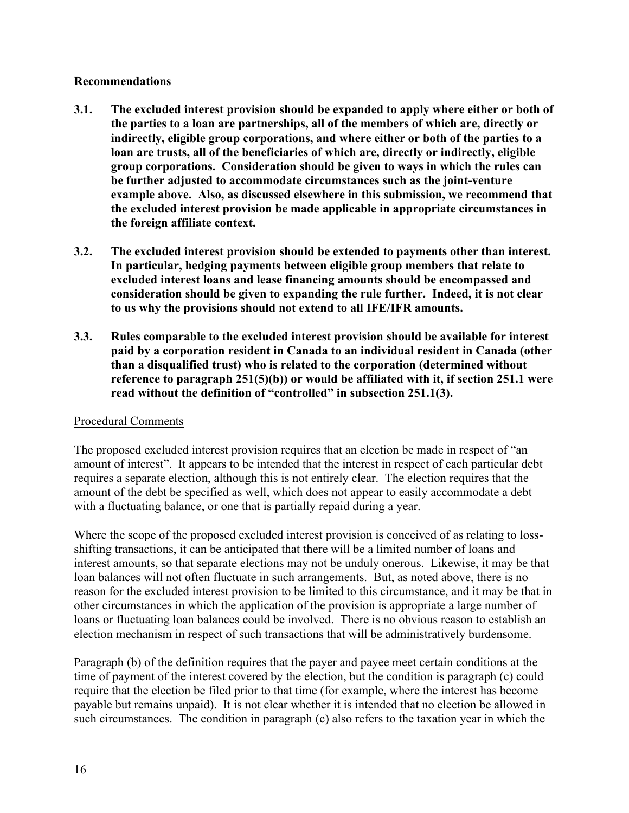## **Recommendations**

- **3.1. The excluded interest provision should be expanded to apply where either or both of the parties to a loan are partnerships, all of the members of which are, directly or indirectly, eligible group corporations, and where either or both of the parties to a loan are trusts, all of the beneficiaries of which are, directly or indirectly, eligible group corporations. Consideration should be given to ways in which the rules can be further adjusted to accommodate circumstances such as the joint-venture example above. Also, as discussed elsewhere in this submission, we recommend that the excluded interest provision be made applicable in appropriate circumstances in the foreign affiliate context.**
- **3.2. The excluded interest provision should be extended to payments other than interest. In particular, hedging payments between eligible group members that relate to excluded interest loans and lease financing amounts should be encompassed and consideration should be given to expanding the rule further. Indeed, it is not clear to us why the provisions should not extend to all IFE/IFR amounts.**
- **3.3. Rules comparable to the excluded interest provision should be available for interest paid by a corporation resident in Canada to an individual resident in Canada (other than a disqualified trust) who is related to the corporation (determined without reference to paragraph 251(5)(b)) or would be affiliated with it, if section 251.1 were read without the definition of "controlled" in subsection 251.1(3).**

# Procedural Comments

The proposed excluded interest provision requires that an election be made in respect of "an amount of interest". It appears to be intended that the interest in respect of each particular debt requires a separate election, although this is not entirely clear. The election requires that the amount of the debt be specified as well, which does not appear to easily accommodate a debt with a fluctuating balance, or one that is partially repaid during a year.

Where the scope of the proposed excluded interest provision is conceived of as relating to lossshifting transactions, it can be anticipated that there will be a limited number of loans and interest amounts, so that separate elections may not be unduly onerous. Likewise, it may be that loan balances will not often fluctuate in such arrangements. But, as noted above, there is no reason for the excluded interest provision to be limited to this circumstance, and it may be that in other circumstances in which the application of the provision is appropriate a large number of loans or fluctuating loan balances could be involved. There is no obvious reason to establish an election mechanism in respect of such transactions that will be administratively burdensome.

Paragraph (b) of the definition requires that the payer and payee meet certain conditions at the time of payment of the interest covered by the election, but the condition is paragraph (c) could require that the election be filed prior to that time (for example, where the interest has become payable but remains unpaid). It is not clear whether it is intended that no election be allowed in such circumstances. The condition in paragraph (c) also refers to the taxation year in which the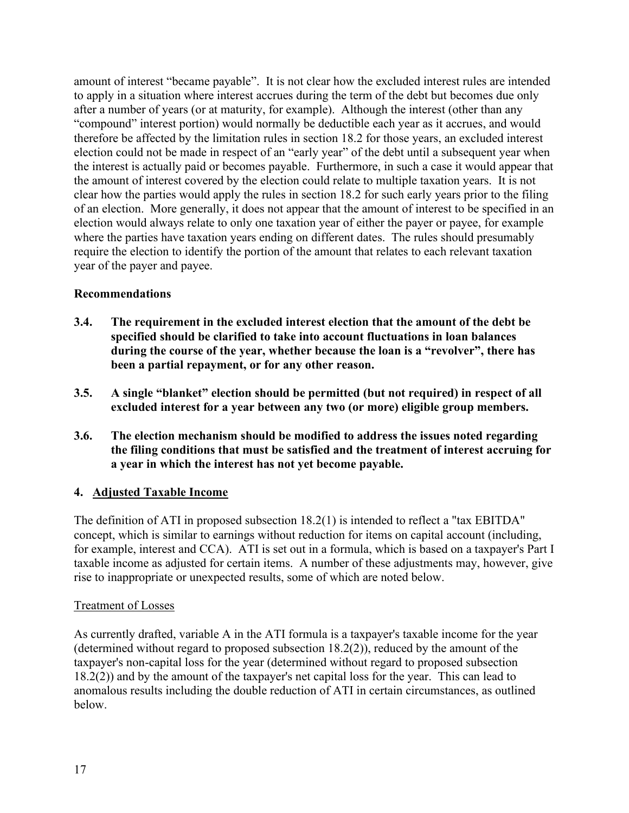amount of interest "became payable". It is not clear how the excluded interest rules are intended to apply in a situation where interest accrues during the term of the debt but becomes due only after a number of years (or at maturity, for example). Although the interest (other than any "compound" interest portion) would normally be deductible each year as it accrues, and would therefore be affected by the limitation rules in section 18.2 for those years, an excluded interest election could not be made in respect of an "early year" of the debt until a subsequent year when the interest is actually paid or becomes payable. Furthermore, in such a case it would appear that the amount of interest covered by the election could relate to multiple taxation years. It is not clear how the parties would apply the rules in section 18.2 for such early years prior to the filing of an election. More generally, it does not appear that the amount of interest to be specified in an election would always relate to only one taxation year of either the payer or payee, for example where the parties have taxation years ending on different dates. The rules should presumably require the election to identify the portion of the amount that relates to each relevant taxation year of the payer and payee.

# **Recommendations**

- **3.4. The requirement in the excluded interest election that the amount of the debt be specified should be clarified to take into account fluctuations in loan balances during the course of the year, whether because the loan is a "revolver", there has been a partial repayment, or for any other reason.**
- **3.5. A single "blanket" election should be permitted (but not required) in respect of all excluded interest for a year between any two (or more) eligible group members.**
- **3.6. The election mechanism should be modified to address the issues noted regarding the filing conditions that must be satisfied and the treatment of interest accruing for a year in which the interest has not yet become payable.**

# **4. Adjusted Taxable Income**

The definition of ATI in proposed subsection 18.2(1) is intended to reflect a "tax EBITDA" concept, which is similar to earnings without reduction for items on capital account (including, for example, interest and CCA). ATI is set out in a formula, which is based on a taxpayer's Part I taxable income as adjusted for certain items. A number of these adjustments may, however, give rise to inappropriate or unexpected results, some of which are noted below.

# Treatment of Losses

As currently drafted, variable A in the ATI formula is a taxpayer's taxable income for the year (determined without regard to proposed subsection 18.2(2)), reduced by the amount of the taxpayer's non-capital loss for the year (determined without regard to proposed subsection 18.2(2)) and by the amount of the taxpayer's net capital loss for the year. This can lead to anomalous results including the double reduction of ATI in certain circumstances, as outlined below.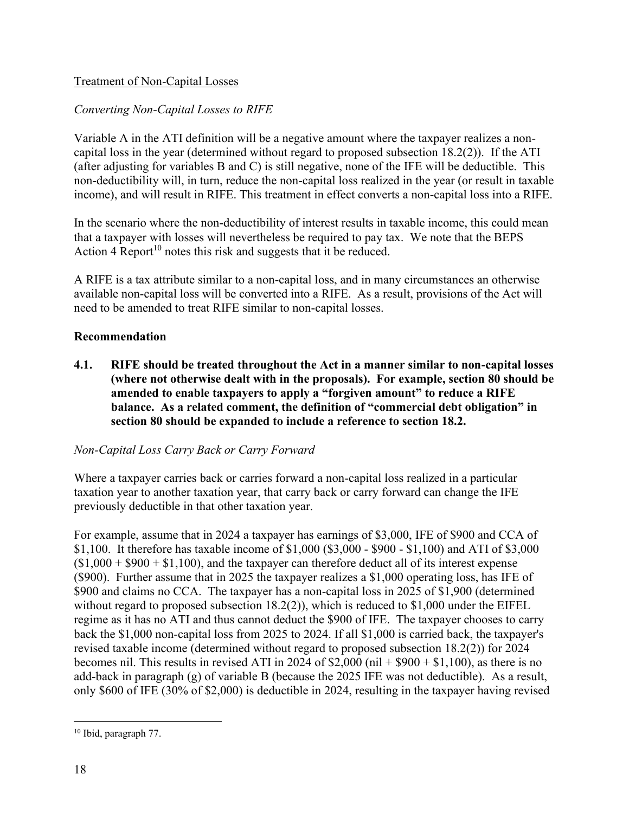# Treatment of Non-Capital Losses

# *Converting Non-Capital Losses to RIFE*

Variable A in the ATI definition will be a negative amount where the taxpayer realizes a noncapital loss in the year (determined without regard to proposed subsection 18.2(2)). If the ATI (after adjusting for variables B and C) is still negative, none of the IFE will be deductible. This non-deductibility will, in turn, reduce the non-capital loss realized in the year (or result in taxable income), and will result in RIFE. This treatment in effect converts a non-capital loss into a RIFE.

In the scenario where the non-deductibility of interest results in taxable income, this could mean that a taxpayer with losses will nevertheless be required to pay tax. We note that the BEPS Action 4 Report<sup>10</sup> notes this risk and suggests that it be reduced.

A RIFE is a tax attribute similar to a non-capital loss, and in many circumstances an otherwise available non-capital loss will be converted into a RIFE. As a result, provisions of the Act will need to be amended to treat RIFE similar to non-capital losses.

## **Recommendation**

**4.1. RIFE should be treated throughout the Act in a manner similar to non-capital losses (where not otherwise dealt with in the proposals). For example, section 80 should be amended to enable taxpayers to apply a "forgiven amount" to reduce a RIFE balance. As a related comment, the definition of "commercial debt obligation" in section 80 should be expanded to include a reference to section 18.2.**

# *Non-Capital Loss Carry Back or Carry Forward*

Where a taxpayer carries back or carries forward a non-capital loss realized in a particular taxation year to another taxation year, that carry back or carry forward can change the IFE previously deductible in that other taxation year.

For example, assume that in 2024 a taxpayer has earnings of \$3,000, IFE of \$900 and CCA of \$1,100. It therefore has taxable income of \$1,000 (\$3,000 - \$900 - \$1,100) and ATI of \$3,000  $($1,000 + $900 + $1,100)$ , and the taxpayer can therefore deduct all of its interest expense (\$900). Further assume that in 2025 the taxpayer realizes a \$1,000 operating loss, has IFE of \$900 and claims no CCA. The taxpayer has a non-capital loss in 2025 of \$1,900 (determined without regard to proposed subsection 18.2(2)), which is reduced to \$1,000 under the EIFEL regime as it has no ATI and thus cannot deduct the \$900 of IFE. The taxpayer chooses to carry back the \$1,000 non-capital loss from 2025 to 2024. If all \$1,000 is carried back, the taxpayer's revised taxable income (determined without regard to proposed subsection 18.2(2)) for 2024 becomes nil. This results in revised ATI in 2024 of  $$2,000$  (nil +  $$900 + $1,100$ ), as there is no add-back in paragraph (g) of variable B (because the 2025 IFE was not deductible). As a result, only \$600 of IFE (30% of \$2,000) is deductible in 2024, resulting in the taxpayer having revised

<sup>10</sup> Ibid, paragraph 77.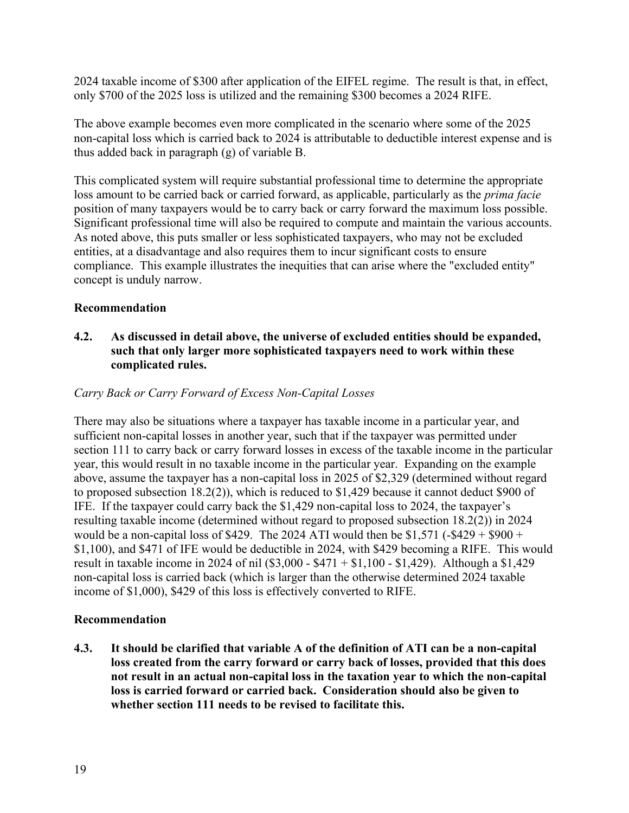2024 taxable income of \$300 after application of the EIFEL regime. The result is that, in effect, only \$700 of the 2025 loss is utilized and the remaining \$300 becomes a 2024 RIFE.

The above example becomes even more complicated in the scenario where some of the 2025 non-capital loss which is carried back to 2024 is attributable to deductible interest expense and is thus added back in paragraph (g) of variable B.

This complicated system will require substantial professional time to determine the appropriate loss amount to be carried back or carried forward, as applicable, particularly as the *prima facie* position of many taxpayers would be to carry back or carry forward the maximum loss possible. Significant professional time will also be required to compute and maintain the various accounts. As noted above, this puts smaller or less sophisticated taxpayers, who may not be excluded entities, at a disadvantage and also requires them to incur significant costs to ensure compliance. This example illustrates the inequities that can arise where the "excluded entity" concept is unduly narrow.

# **Recommendation**

# **4.2. As discussed in detail above, the universe of excluded entities should be expanded, such that only larger more sophisticated taxpayers need to work within these complicated rules.**

## *Carry Back or Carry Forward of Excess Non-Capital Losses*

There may also be situations where a taxpayer has taxable income in a particular year, and sufficient non-capital losses in another year, such that if the taxpayer was permitted under section 111 to carry back or carry forward losses in excess of the taxable income in the particular year, this would result in no taxable income in the particular year. Expanding on the example above, assume the taxpayer has a non-capital loss in 2025 of \$2,329 (determined without regard to proposed subsection 18.2(2)), which is reduced to \$1,429 because it cannot deduct \$900 of IFE. If the taxpayer could carry back the \$1,429 non-capital loss to 2024, the taxpayer's resulting taxable income (determined without regard to proposed subsection 18.2(2)) in 2024 would be a non-capital loss of \$429. The 2024 ATI would then be  $$1,571$  (-\$429 + \$900 + \$1,100), and \$471 of IFE would be deductible in 2024, with \$429 becoming a RIFE. This would result in taxable income in 2024 of nil (\$3,000 - \$471 + \$1,100 - \$1,429). Although a \$1,429 non-capital loss is carried back (which is larger than the otherwise determined 2024 taxable income of \$1,000), \$429 of this loss is effectively converted to RIFE.

### **Recommendation**

**4.3. It should be clarified that variable A of the definition of ATI can be a non-capital loss created from the carry forward or carry back of losses, provided that this does not result in an actual non-capital loss in the taxation year to which the non-capital loss is carried forward or carried back. Consideration should also be given to whether section 111 needs to be revised to facilitate this.**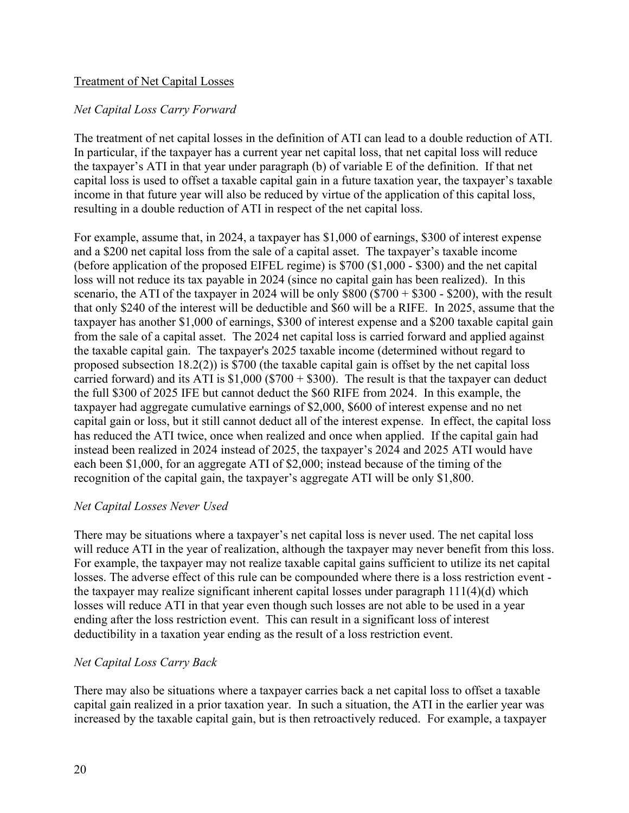## Treatment of Net Capital Losses

## *Net Capital Loss Carry Forward*

The treatment of net capital losses in the definition of ATI can lead to a double reduction of ATI. In particular, if the taxpayer has a current year net capital loss, that net capital loss will reduce the taxpayer's ATI in that year under paragraph (b) of variable E of the definition. If that net capital loss is used to offset a taxable capital gain in a future taxation year, the taxpayer's taxable income in that future year will also be reduced by virtue of the application of this capital loss, resulting in a double reduction of ATI in respect of the net capital loss.

For example, assume that, in 2024, a taxpayer has \$1,000 of earnings, \$300 of interest expense and a \$200 net capital loss from the sale of a capital asset. The taxpayer's taxable income (before application of the proposed EIFEL regime) is \$700 (\$1,000 - \$300) and the net capital loss will not reduce its tax payable in 2024 (since no capital gain has been realized). In this scenario, the ATI of the taxpayer in 2024 will be only  $$800 ($700 + $300 - $200)$ , with the result that only \$240 of the interest will be deductible and \$60 will be a RIFE. In 2025, assume that the taxpayer has another \$1,000 of earnings, \$300 of interest expense and a \$200 taxable capital gain from the sale of a capital asset. The 2024 net capital loss is carried forward and applied against the taxable capital gain. The taxpayer's 2025 taxable income (determined without regard to proposed subsection 18.2(2)) is \$700 (the taxable capital gain is offset by the net capital loss carried forward) and its ATI is  $$1,000$  ( $$700 + $300$ ). The result is that the taxpayer can deduct the full \$300 of 2025 IFE but cannot deduct the \$60 RIFE from 2024. In this example, the taxpayer had aggregate cumulative earnings of \$2,000, \$600 of interest expense and no net capital gain or loss, but it still cannot deduct all of the interest expense. In effect, the capital loss has reduced the ATI twice, once when realized and once when applied. If the capital gain had instead been realized in 2024 instead of 2025, the taxpayer's 2024 and 2025 ATI would have each been \$1,000, for an aggregate ATI of \$2,000; instead because of the timing of the recognition of the capital gain, the taxpayer's aggregate ATI will be only \$1,800.

### *Net Capital Losses Never Used*

There may be situations where a taxpayer's net capital loss is never used. The net capital loss will reduce ATI in the year of realization, although the taxpayer may never benefit from this loss. For example, the taxpayer may not realize taxable capital gains sufficient to utilize its net capital losses. The adverse effect of this rule can be compounded where there is a loss restriction event the taxpayer may realize significant inherent capital losses under paragraph 111(4)(d) which losses will reduce ATI in that year even though such losses are not able to be used in a year ending after the loss restriction event. This can result in a significant loss of interest deductibility in a taxation year ending as the result of a loss restriction event.

### *Net Capital Loss Carry Back*

There may also be situations where a taxpayer carries back a net capital loss to offset a taxable capital gain realized in a prior taxation year. In such a situation, the ATI in the earlier year was increased by the taxable capital gain, but is then retroactively reduced. For example, a taxpayer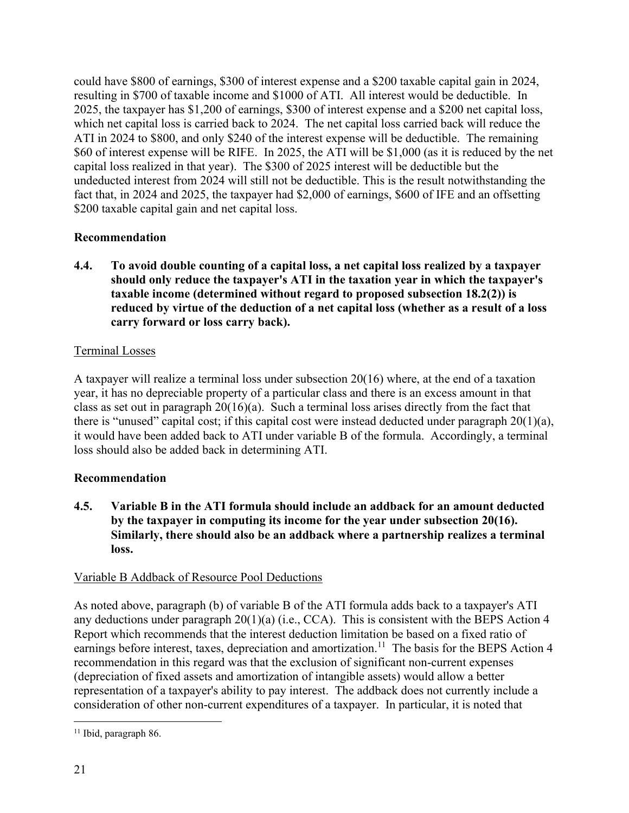could have \$800 of earnings, \$300 of interest expense and a \$200 taxable capital gain in 2024, resulting in \$700 of taxable income and \$1000 of ATI. All interest would be deductible. In 2025, the taxpayer has \$1,200 of earnings, \$300 of interest expense and a \$200 net capital loss, which net capital loss is carried back to 2024. The net capital loss carried back will reduce the ATI in 2024 to \$800, and only \$240 of the interest expense will be deductible. The remaining \$60 of interest expense will be RIFE. In 2025, the ATI will be \$1,000 (as it is reduced by the net capital loss realized in that year). The \$300 of 2025 interest will be deductible but the undeducted interest from 2024 will still not be deductible. This is the result notwithstanding the fact that, in 2024 and 2025, the taxpayer had \$2,000 of earnings, \$600 of IFE and an offsetting \$200 taxable capital gain and net capital loss.

# **Recommendation**

**4.4. To avoid double counting of a capital loss, a net capital loss realized by a taxpayer should only reduce the taxpayer's ATI in the taxation year in which the taxpayer's taxable income (determined without regard to proposed subsection 18.2(2)) is reduced by virtue of the deduction of a net capital loss (whether as a result of a loss carry forward or loss carry back).** 

# Terminal Losses

A taxpayer will realize a terminal loss under subsection 20(16) where, at the end of a taxation year, it has no depreciable property of a particular class and there is an excess amount in that class as set out in paragraph 20(16)(a). Such a terminal loss arises directly from the fact that there is "unused" capital cost; if this capital cost were instead deducted under paragraph  $20(1)(a)$ , it would have been added back to ATI under variable B of the formula. Accordingly, a terminal loss should also be added back in determining ATI.

# **Recommendation**

**4.5. Variable B in the ATI formula should include an addback for an amount deducted by the taxpayer in computing its income for the year under subsection 20(16). Similarly, there should also be an addback where a partnership realizes a terminal loss.**

# Variable B Addback of Resource Pool Deductions

As noted above, paragraph (b) of variable B of the ATI formula adds back to a taxpayer's ATI any deductions under paragraph 20(1)(a) (i.e., CCA). This is consistent with the BEPS Action 4 Report which recommends that the interest deduction limitation be based on a fixed ratio of earnings before interest, taxes, depreciation and amortization.<sup>11</sup> The basis for the BEPS Action 4 recommendation in this regard was that the exclusion of significant non-current expenses (depreciation of fixed assets and amortization of intangible assets) would allow a better representation of a taxpayer's ability to pay interest. The addback does not currently include a consideration of other non-current expenditures of a taxpayer. In particular, it is noted that

<sup>&</sup>lt;sup>11</sup> Ibid, paragraph 86.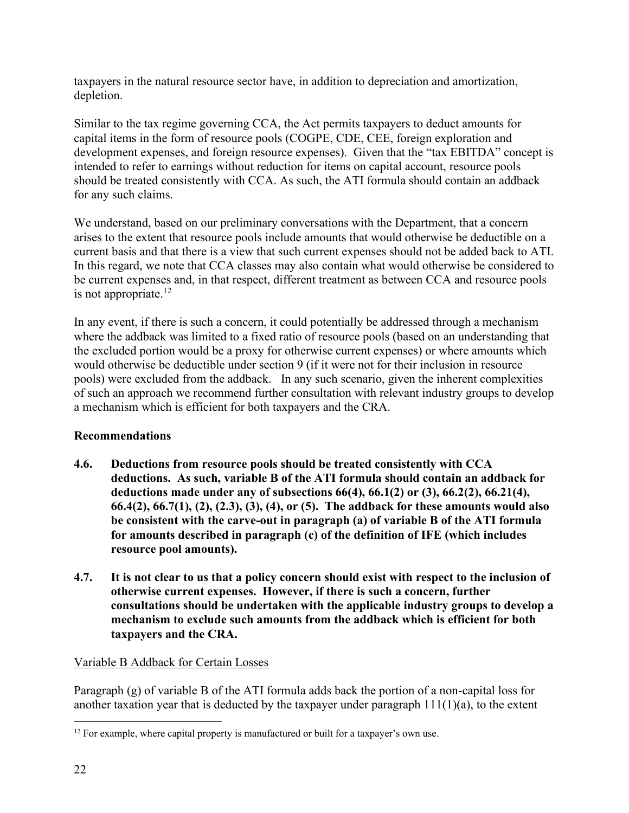taxpayers in the natural resource sector have, in addition to depreciation and amortization, depletion.

Similar to the tax regime governing CCA, the Act permits taxpayers to deduct amounts for capital items in the form of resource pools (COGPE, CDE, CEE, foreign exploration and development expenses, and foreign resource expenses). Given that the "tax EBITDA" concept is intended to refer to earnings without reduction for items on capital account, resource pools should be treated consistently with CCA. As such, the ATI formula should contain an addback for any such claims.

We understand, based on our preliminary conversations with the Department, that a concern arises to the extent that resource pools include amounts that would otherwise be deductible on a current basis and that there is a view that such current expenses should not be added back to ATI. In this regard, we note that CCA classes may also contain what would otherwise be considered to be current expenses and, in that respect, different treatment as between CCA and resource pools is not appropriate.<sup>12</sup>

In any event, if there is such a concern, it could potentially be addressed through a mechanism where the addback was limited to a fixed ratio of resource pools (based on an understanding that the excluded portion would be a proxy for otherwise current expenses) or where amounts which would otherwise be deductible under section 9 (if it were not for their inclusion in resource pools) were excluded from the addback. In any such scenario, given the inherent complexities of such an approach we recommend further consultation with relevant industry groups to develop a mechanism which is efficient for both taxpayers and the CRA.

# **Recommendations**

- **4.6. Deductions from resource pools should be treated consistently with CCA deductions. As such, variable B of the ATI formula should contain an addback for deductions made under any of subsections 66(4), 66.1(2) or (3), 66.2(2), 66.21(4), 66.4(2), 66.7(1), (2), (2.3), (3), (4), or (5). The addback for these amounts would also be consistent with the carve-out in paragraph (a) of variable B of the ATI formula for amounts described in paragraph (c) of the definition of IFE (which includes resource pool amounts).**
- **4.7. It is not clear to us that a policy concern should exist with respect to the inclusion of otherwise current expenses. However, if there is such a concern, further consultations should be undertaken with the applicable industry groups to develop a mechanism to exclude such amounts from the addback which is efficient for both taxpayers and the CRA.**

# Variable B Addback for Certain Losses

Paragraph (g) of variable B of the ATI formula adds back the portion of a non-capital loss for another taxation year that is deducted by the taxpayer under paragraph  $111(1)(a)$ , to the extent

 $12$  For example, where capital property is manufactured or built for a taxpayer's own use.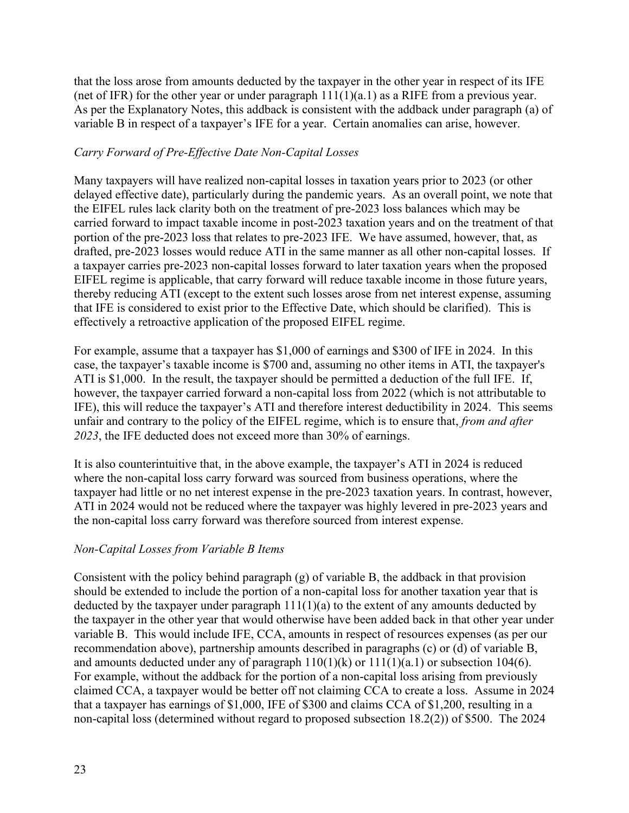that the loss arose from amounts deducted by the taxpayer in the other year in respect of its IFE (net of IFR) for the other year or under paragraph  $11(1)(a.1)$  as a RIFE from a previous year. As per the Explanatory Notes, this addback is consistent with the addback under paragraph (a) of variable B in respect of a taxpayer's IFE for a year. Certain anomalies can arise, however.

# *Carry Forward of Pre-Effective Date Non-Capital Losses*

Many taxpayers will have realized non-capital losses in taxation years prior to 2023 (or other delayed effective date), particularly during the pandemic years. As an overall point, we note that the EIFEL rules lack clarity both on the treatment of pre-2023 loss balances which may be carried forward to impact taxable income in post-2023 taxation years and on the treatment of that portion of the pre-2023 loss that relates to pre-2023 IFE. We have assumed, however, that, as drafted, pre-2023 losses would reduce ATI in the same manner as all other non-capital losses. If a taxpayer carries pre-2023 non-capital losses forward to later taxation years when the proposed EIFEL regime is applicable, that carry forward will reduce taxable income in those future years, thereby reducing ATI (except to the extent such losses arose from net interest expense, assuming that IFE is considered to exist prior to the Effective Date, which should be clarified). This is effectively a retroactive application of the proposed EIFEL regime.

For example, assume that a taxpayer has \$1,000 of earnings and \$300 of IFE in 2024. In this case, the taxpayer's taxable income is \$700 and, assuming no other items in ATI, the taxpayer's ATI is \$1,000. In the result, the taxpayer should be permitted a deduction of the full IFE. If, however, the taxpayer carried forward a non-capital loss from 2022 (which is not attributable to IFE), this will reduce the taxpayer's ATI and therefore interest deductibility in 2024. This seems unfair and contrary to the policy of the EIFEL regime, which is to ensure that, *from and after 2023*, the IFE deducted does not exceed more than 30% of earnings.

It is also counterintuitive that, in the above example, the taxpayer's ATI in 2024 is reduced where the non-capital loss carry forward was sourced from business operations, where the taxpayer had little or no net interest expense in the pre-2023 taxation years. In contrast, however, ATI in 2024 would not be reduced where the taxpayer was highly levered in pre-2023 years and the non-capital loss carry forward was therefore sourced from interest expense.

# *Non-Capital Losses from Variable B Items*

Consistent with the policy behind paragraph  $(g)$  of variable B, the addback in that provision should be extended to include the portion of a non-capital loss for another taxation year that is deducted by the taxpayer under paragraph  $11(1)(a)$  to the extent of any amounts deducted by the taxpayer in the other year that would otherwise have been added back in that other year under variable B. This would include IFE, CCA, amounts in respect of resources expenses (as per our recommendation above), partnership amounts described in paragraphs (c) or (d) of variable B, and amounts deducted under any of paragraph  $110(1)(k)$  or  $111(1)(a.1)$  or subsection 104(6). For example, without the addback for the portion of a non-capital loss arising from previously claimed CCA, a taxpayer would be better off not claiming CCA to create a loss. Assume in 2024 that a taxpayer has earnings of \$1,000, IFE of \$300 and claims CCA of \$1,200, resulting in a non-capital loss (determined without regard to proposed subsection 18.2(2)) of \$500. The 2024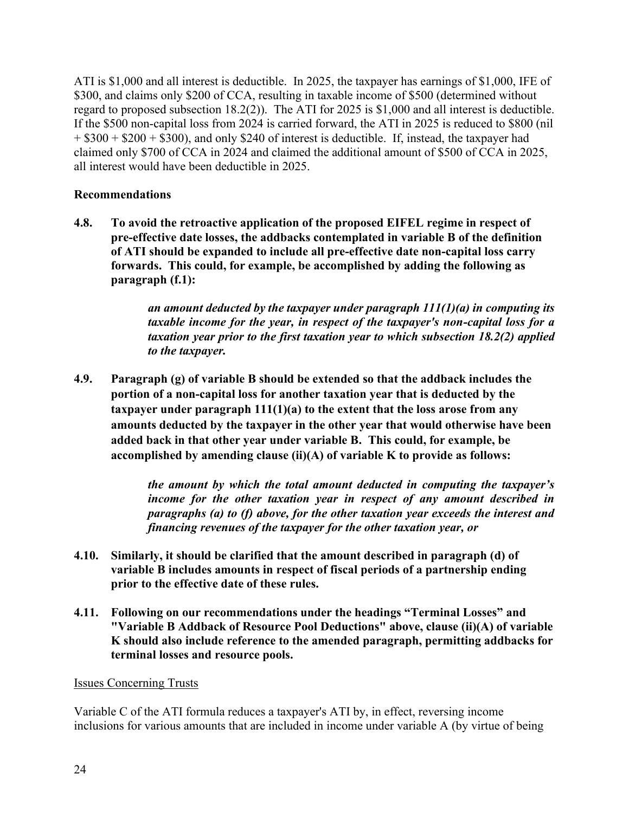ATI is \$1,000 and all interest is deductible. In 2025, the taxpayer has earnings of \$1,000, IFE of \$300, and claims only \$200 of CCA, resulting in taxable income of \$500 (determined without regard to proposed subsection 18.2(2)). The ATI for 2025 is \$1,000 and all interest is deductible. If the \$500 non-capital loss from 2024 is carried forward, the ATI in 2025 is reduced to \$800 (nil  $+$  \$300 + \$200 + \$300), and only \$240 of interest is deductible. If, instead, the taxpayer had claimed only \$700 of CCA in 2024 and claimed the additional amount of \$500 of CCA in 2025, all interest would have been deductible in 2025.

# **Recommendations**

**4.8. To avoid the retroactive application of the proposed EIFEL regime in respect of pre-effective date losses, the addbacks contemplated in variable B of the definition of ATI should be expanded to include all pre-effective date non-capital loss carry forwards. This could, for example, be accomplished by adding the following as paragraph (f.1):** 

> *an amount deducted by the taxpayer under paragraph 111(1)(a) in computing its taxable income for the year, in respect of the taxpayer's non-capital loss for a taxation year prior to the first taxation year to which subsection 18.2(2) applied to the taxpayer.*

**4.9. Paragraph (g) of variable B should be extended so that the addback includes the portion of a non-capital loss for another taxation year that is deducted by the taxpayer under paragraph 111(1)(a) to the extent that the loss arose from any amounts deducted by the taxpayer in the other year that would otherwise have been added back in that other year under variable B. This could, for example, be accomplished by amending clause (ii)(A) of variable K to provide as follows:** 

> *the amount by which the total amount deducted in computing the taxpayer's income for the other taxation year in respect of any amount described in paragraphs (a) to (f) above, for the other taxation year exceeds the interest and financing revenues of the taxpayer for the other taxation year, or*

- **4.10. Similarly, it should be clarified that the amount described in paragraph (d) of variable B includes amounts in respect of fiscal periods of a partnership ending prior to the effective date of these rules.**
- **4.11. Following on our recommendations under the headings "Terminal Losses" and "Variable B Addback of Resource Pool Deductions" above, clause (ii)(A) of variable K should also include reference to the amended paragraph, permitting addbacks for terminal losses and resource pools.**

### Issues Concerning Trusts

Variable C of the ATI formula reduces a taxpayer's ATI by, in effect, reversing income inclusions for various amounts that are included in income under variable A (by virtue of being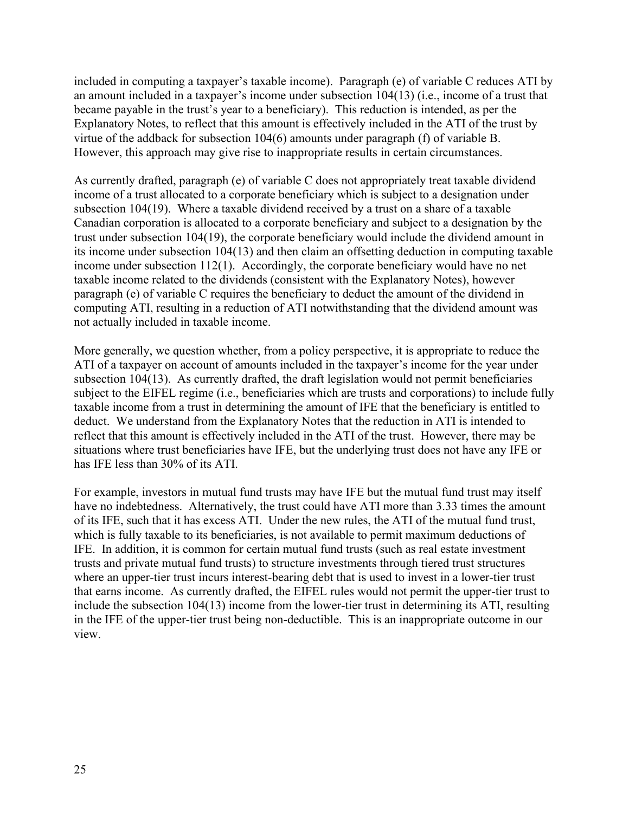included in computing a taxpayer's taxable income). Paragraph (e) of variable C reduces ATI by an amount included in a taxpayer's income under subsection 104(13) (i.e., income of a trust that became payable in the trust's year to a beneficiary). This reduction is intended, as per the Explanatory Notes, to reflect that this amount is effectively included in the ATI of the trust by virtue of the addback for subsection 104(6) amounts under paragraph (f) of variable B. However, this approach may give rise to inappropriate results in certain circumstances.

As currently drafted, paragraph (e) of variable C does not appropriately treat taxable dividend income of a trust allocated to a corporate beneficiary which is subject to a designation under subsection 104(19). Where a taxable dividend received by a trust on a share of a taxable Canadian corporation is allocated to a corporate beneficiary and subject to a designation by the trust under subsection 104(19), the corporate beneficiary would include the dividend amount in its income under subsection 104(13) and then claim an offsetting deduction in computing taxable income under subsection 112(1). Accordingly, the corporate beneficiary would have no net taxable income related to the dividends (consistent with the Explanatory Notes), however paragraph (e) of variable C requires the beneficiary to deduct the amount of the dividend in computing ATI, resulting in a reduction of ATI notwithstanding that the dividend amount was not actually included in taxable income.

More generally, we question whether, from a policy perspective, it is appropriate to reduce the ATI of a taxpayer on account of amounts included in the taxpayer's income for the year under subsection 104(13). As currently drafted, the draft legislation would not permit beneficiaries subject to the EIFEL regime (i.e., beneficiaries which are trusts and corporations) to include fully taxable income from a trust in determining the amount of IFE that the beneficiary is entitled to deduct. We understand from the Explanatory Notes that the reduction in ATI is intended to reflect that this amount is effectively included in the ATI of the trust. However, there may be situations where trust beneficiaries have IFE, but the underlying trust does not have any IFE or has IFE less than 30% of its ATI.

For example, investors in mutual fund trusts may have IFE but the mutual fund trust may itself have no indebtedness. Alternatively, the trust could have ATI more than 3.33 times the amount of its IFE, such that it has excess ATI. Under the new rules, the ATI of the mutual fund trust, which is fully taxable to its beneficiaries, is not available to permit maximum deductions of IFE. In addition, it is common for certain mutual fund trusts (such as real estate investment trusts and private mutual fund trusts) to structure investments through tiered trust structures where an upper-tier trust incurs interest-bearing debt that is used to invest in a lower-tier trust that earns income. As currently drafted, the EIFEL rules would not permit the upper-tier trust to include the subsection 104(13) income from the lower-tier trust in determining its ATI, resulting in the IFE of the upper-tier trust being non-deductible. This is an inappropriate outcome in our view.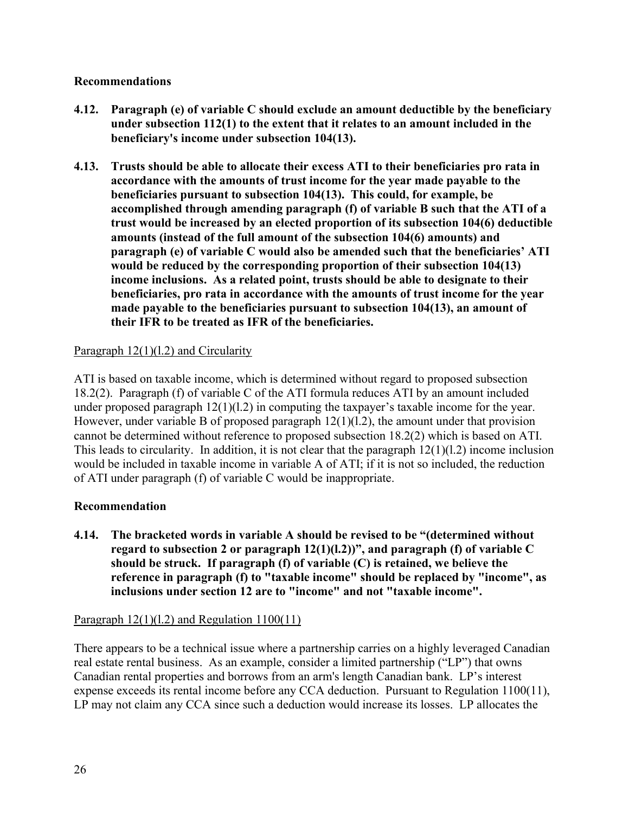## **Recommendations**

- **4.12. Paragraph (e) of variable C should exclude an amount deductible by the beneficiary under subsection 112(1) to the extent that it relates to an amount included in the beneficiary's income under subsection 104(13).**
- **4.13. Trusts should be able to allocate their excess ATI to their beneficiaries pro rata in accordance with the amounts of trust income for the year made payable to the beneficiaries pursuant to subsection 104(13). This could, for example, be accomplished through amending paragraph (f) of variable B such that the ATI of a trust would be increased by an elected proportion of its subsection 104(6) deductible amounts (instead of the full amount of the subsection 104(6) amounts) and paragraph (e) of variable C would also be amended such that the beneficiaries' ATI would be reduced by the corresponding proportion of their subsection 104(13) income inclusions. As a related point, trusts should be able to designate to their beneficiaries, pro rata in accordance with the amounts of trust income for the year made payable to the beneficiaries pursuant to subsection 104(13), an amount of their IFR to be treated as IFR of the beneficiaries.**

## Paragraph  $12(1)(1.2)$  and Circularity

ATI is based on taxable income, which is determined without regard to proposed subsection 18.2(2). Paragraph (f) of variable C of the ATI formula reduces ATI by an amount included under proposed paragraph  $12(1)(1.2)$  in computing the taxpayer's taxable income for the year. However, under variable B of proposed paragraph  $12(1)(1.2)$ , the amount under that provision cannot be determined without reference to proposed subsection 18.2(2) which is based on ATI. This leads to circularity. In addition, it is not clear that the paragraph 12(1)(l.2) income inclusion would be included in taxable income in variable A of ATI; if it is not so included, the reduction of ATI under paragraph (f) of variable C would be inappropriate.

### **Recommendation**

**4.14. The bracketed words in variable A should be revised to be "(determined without regard to subsection 2 or paragraph 12(1)(l.2))", and paragraph (f) of variable C should be struck. If paragraph (f) of variable (C) is retained, we believe the reference in paragraph (f) to "taxable income" should be replaced by "income", as inclusions under section 12 are to "income" and not "taxable income".** 

### Paragraph 12(1)(l.2) and Regulation 1100(11)

There appears to be a technical issue where a partnership carries on a highly leveraged Canadian real estate rental business. As an example, consider a limited partnership ("LP") that owns Canadian rental properties and borrows from an arm's length Canadian bank. LP's interest expense exceeds its rental income before any CCA deduction. Pursuant to Regulation 1100(11), LP may not claim any CCA since such a deduction would increase its losses. LP allocates the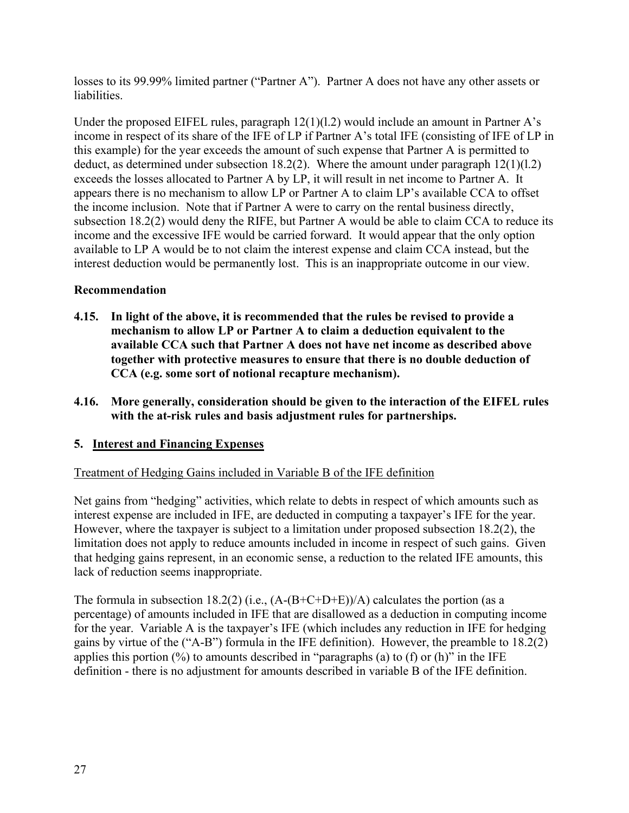losses to its 99.99% limited partner ("Partner A"). Partner A does not have any other assets or liabilities.

Under the proposed EIFEL rules, paragraph  $12(1)(1.2)$  would include an amount in Partner A's income in respect of its share of the IFE of LP if Partner A's total IFE (consisting of IFE of LP in this example) for the year exceeds the amount of such expense that Partner A is permitted to deduct, as determined under subsection  $18.2(2)$ . Where the amount under paragraph  $12(1)(1.2)$ exceeds the losses allocated to Partner A by LP, it will result in net income to Partner A. It appears there is no mechanism to allow LP or Partner A to claim LP's available CCA to offset the income inclusion. Note that if Partner A were to carry on the rental business directly, subsection 18.2(2) would deny the RIFE, but Partner A would be able to claim CCA to reduce its income and the excessive IFE would be carried forward. It would appear that the only option available to LP A would be to not claim the interest expense and claim CCA instead, but the interest deduction would be permanently lost. This is an inappropriate outcome in our view.

# **Recommendation**

- **4.15. In light of the above, it is recommended that the rules be revised to provide a mechanism to allow LP or Partner A to claim a deduction equivalent to the available CCA such that Partner A does not have net income as described above together with protective measures to ensure that there is no double deduction of CCA (e.g. some sort of notional recapture mechanism).**
- **4.16. More generally, consideration should be given to the interaction of the EIFEL rules with the at-risk rules and basis adjustment rules for partnerships.**

# **5. Interest and Financing Expenses**

# Treatment of Hedging Gains included in Variable B of the IFE definition

Net gains from "hedging" activities, which relate to debts in respect of which amounts such as interest expense are included in IFE, are deducted in computing a taxpayer's IFE for the year. However, where the taxpayer is subject to a limitation under proposed subsection 18.2(2), the limitation does not apply to reduce amounts included in income in respect of such gains. Given that hedging gains represent, in an economic sense, a reduction to the related IFE amounts, this lack of reduction seems inappropriate.

The formula in subsection 18.2(2) (i.e.,  $(A-(B+C+D+E))/A$ ) calculates the portion (as a percentage) of amounts included in IFE that are disallowed as a deduction in computing income for the year. Variable A is the taxpayer's IFE (which includes any reduction in IFE for hedging gains by virtue of the ("A-B") formula in the IFE definition). However, the preamble to 18.2(2) applies this portion  $(\%)$  to amounts described in "paragraphs (a) to (f) or (h)" in the IFE definition - there is no adjustment for amounts described in variable B of the IFE definition.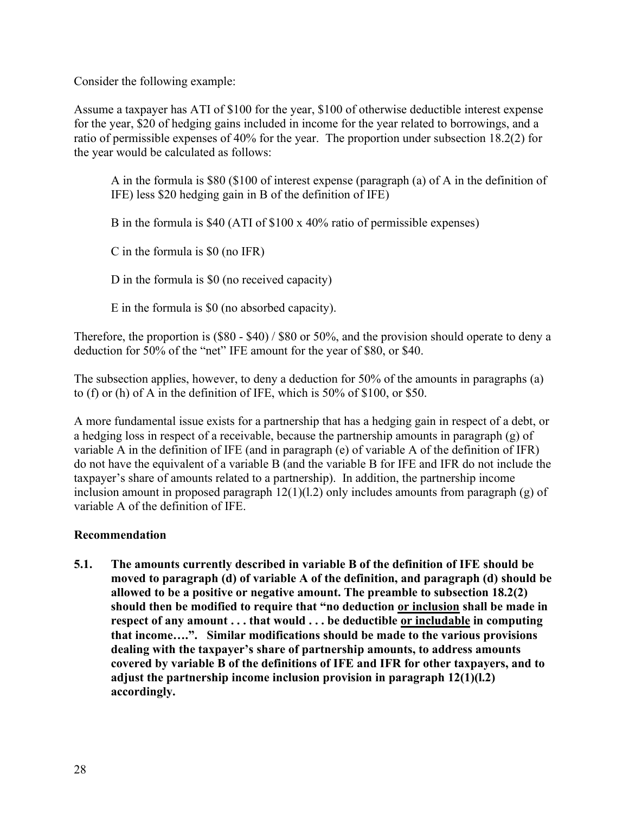Consider the following example:

Assume a taxpayer has ATI of \$100 for the year, \$100 of otherwise deductible interest expense for the year, \$20 of hedging gains included in income for the year related to borrowings, and a ratio of permissible expenses of 40% for the year. The proportion under subsection 18.2(2) for the year would be calculated as follows:

A in the formula is \$80 (\$100 of interest expense (paragraph (a) of A in the definition of IFE) less \$20 hedging gain in B of the definition of IFE)

B in the formula is \$40 (ATI of \$100 x 40% ratio of permissible expenses)

C in the formula is \$0 (no IFR)

D in the formula is \$0 (no received capacity)

E in the formula is \$0 (no absorbed capacity).

Therefore, the proportion is (\$80 - \$40) / \$80 or 50%, and the provision should operate to deny a deduction for 50% of the "net" IFE amount for the year of \$80, or \$40.

The subsection applies, however, to deny a deduction for 50% of the amounts in paragraphs (a) to (f) or (h) of A in the definition of IFE, which is 50% of \$100, or \$50.

A more fundamental issue exists for a partnership that has a hedging gain in respect of a debt, or a hedging loss in respect of a receivable, because the partnership amounts in paragraph (g) of variable A in the definition of IFE (and in paragraph (e) of variable A of the definition of IFR) do not have the equivalent of a variable B (and the variable B for IFE and IFR do not include the taxpayer's share of amounts related to a partnership). In addition, the partnership income inclusion amount in proposed paragraph  $12(1)(1.2)$  only includes amounts from paragraph (g) of variable A of the definition of IFE.

# **Recommendation**

**5.1. The amounts currently described in variable B of the definition of IFE should be moved to paragraph (d) of variable A of the definition, and paragraph (d) should be allowed to be a positive or negative amount. The preamble to subsection 18.2(2) should then be modified to require that "no deduction or inclusion shall be made in respect of any amount . . . that would . . . be deductible or includable in computing that income….". Similar modifications should be made to the various provisions dealing with the taxpayer's share of partnership amounts, to address amounts covered by variable B of the definitions of IFE and IFR for other taxpayers, and to adjust the partnership income inclusion provision in paragraph 12(1)(l.2) accordingly.**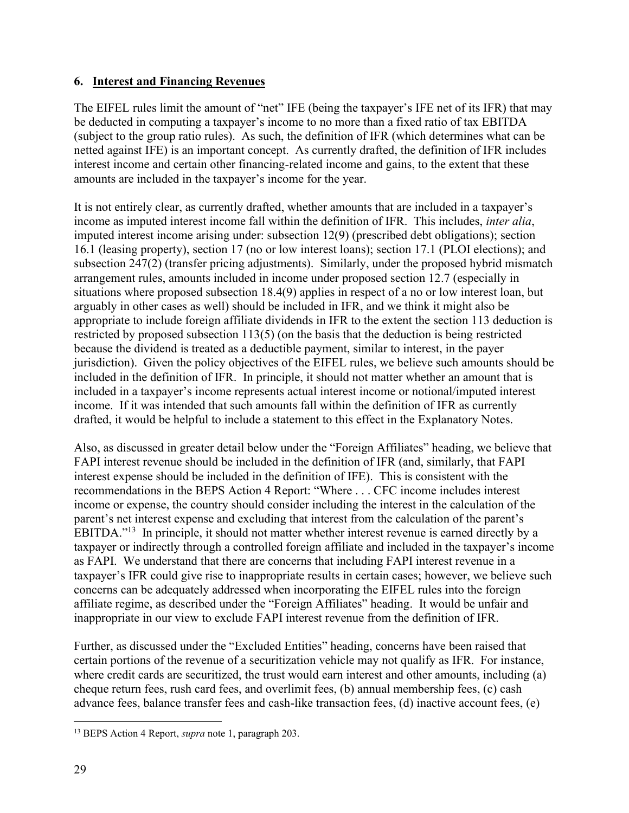## **6. Interest and Financing Revenues**

The EIFEL rules limit the amount of "net" IFE (being the taxpayer's IFE net of its IFR) that may be deducted in computing a taxpayer's income to no more than a fixed ratio of tax EBITDA (subject to the group ratio rules). As such, the definition of IFR (which determines what can be netted against IFE) is an important concept. As currently drafted, the definition of IFR includes interest income and certain other financing-related income and gains, to the extent that these amounts are included in the taxpayer's income for the year.

It is not entirely clear, as currently drafted, whether amounts that are included in a taxpayer's income as imputed interest income fall within the definition of IFR. This includes, *inter alia*, imputed interest income arising under: subsection 12(9) (prescribed debt obligations); section 16.1 (leasing property), section 17 (no or low interest loans); section 17.1 (PLOI elections); and subsection 247(2) (transfer pricing adjustments). Similarly, under the proposed hybrid mismatch arrangement rules, amounts included in income under proposed section 12.7 (especially in situations where proposed subsection 18.4(9) applies in respect of a no or low interest loan, but arguably in other cases as well) should be included in IFR, and we think it might also be appropriate to include foreign affiliate dividends in IFR to the extent the section 113 deduction is restricted by proposed subsection 113(5) (on the basis that the deduction is being restricted because the dividend is treated as a deductible payment, similar to interest, in the payer jurisdiction). Given the policy objectives of the EIFEL rules, we believe such amounts should be included in the definition of IFR. In principle, it should not matter whether an amount that is included in a taxpayer's income represents actual interest income or notional/imputed interest income. If it was intended that such amounts fall within the definition of IFR as currently drafted, it would be helpful to include a statement to this effect in the Explanatory Notes.

Also, as discussed in greater detail below under the "Foreign Affiliates" heading, we believe that FAPI interest revenue should be included in the definition of IFR (and, similarly, that FAPI interest expense should be included in the definition of IFE). This is consistent with the recommendations in the BEPS Action 4 Report: "Where . . . CFC income includes interest income or expense, the country should consider including the interest in the calculation of the parent's net interest expense and excluding that interest from the calculation of the parent's EBITDA."<sup>13</sup> In principle, it should not matter whether interest revenue is earned directly by a taxpayer or indirectly through a controlled foreign affiliate and included in the taxpayer's income as FAPI. We understand that there are concerns that including FAPI interest revenue in a taxpayer's IFR could give rise to inappropriate results in certain cases; however, we believe such concerns can be adequately addressed when incorporating the EIFEL rules into the foreign affiliate regime, as described under the "Foreign Affiliates" heading. It would be unfair and inappropriate in our view to exclude FAPI interest revenue from the definition of IFR.

Further, as discussed under the "Excluded Entities" heading, concerns have been raised that certain portions of the revenue of a securitization vehicle may not qualify as IFR. For instance, where credit cards are securitized, the trust would earn interest and other amounts, including (a) cheque return fees, rush card fees, and overlimit fees, (b) annual membership fees, (c) cash advance fees, balance transfer fees and cash-like transaction fees, (d) inactive account fees, (e)

<sup>13</sup> BEPS Action 4 Report, *supra* note 1, paragraph 203.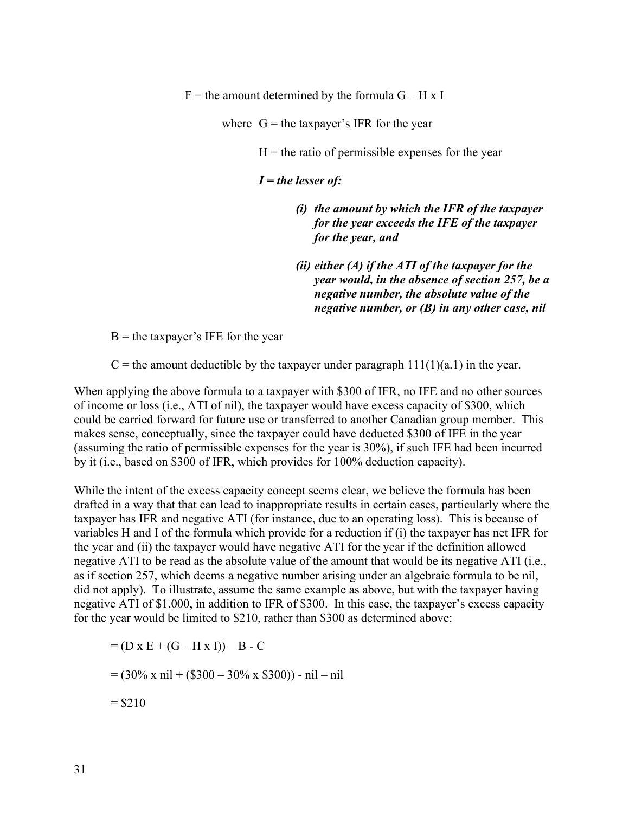$F =$  the amount determined by the formula  $G - H \times I$ 

where  $G =$  the taxpayer's IFR for the year

 $H =$  the ratio of permissible expenses for the year

*I = the lesser of:*

- *(i) the amount by which the IFR of the taxpayer for the year exceeds the IFE of the taxpayer for the year, and*
- *(ii) either (A) if the ATI of the taxpayer for the year would, in the absence of section 257, be a negative number, the absolute value of the negative number, or (B) in any other case, nil*

 $B =$  the taxpayer's IFE for the year

 $C =$  the amount deductible by the taxpayer under paragraph  $111(1)(a.1)$  in the year.

When applying the above formula to a taxpayer with \$300 of IFR, no IFE and no other sources of income or loss (i.e., ATI of nil), the taxpayer would have excess capacity of \$300, which could be carried forward for future use or transferred to another Canadian group member. This makes sense, conceptually, since the taxpayer could have deducted \$300 of IFE in the year (assuming the ratio of permissible expenses for the year is 30%), if such IFE had been incurred by it (i.e., based on \$300 of IFR, which provides for 100% deduction capacity).

While the intent of the excess capacity concept seems clear, we believe the formula has been drafted in a way that that can lead to inappropriate results in certain cases, particularly where the taxpayer has IFR and negative ATI (for instance, due to an operating loss). This is because of variables H and I of the formula which provide for a reduction if (i) the taxpayer has net IFR for the year and (ii) the taxpayer would have negative ATI for the year if the definition allowed negative ATI to be read as the absolute value of the amount that would be its negative ATI (i.e., as if section 257, which deems a negative number arising under an algebraic formula to be nil, did not apply). To illustrate, assume the same example as above, but with the taxpayer having negative ATI of \$1,000, in addition to IFR of \$300. In this case, the taxpayer's excess capacity for the year would be limited to \$210, rather than \$300 as determined above:

 $= (D \times E + (G - H \times I)) - B - C$  $= (30\% \times \text{nil} + (\$300 - 30\% \times \$300)) - \text{nil} - \text{nil}$  $= $210$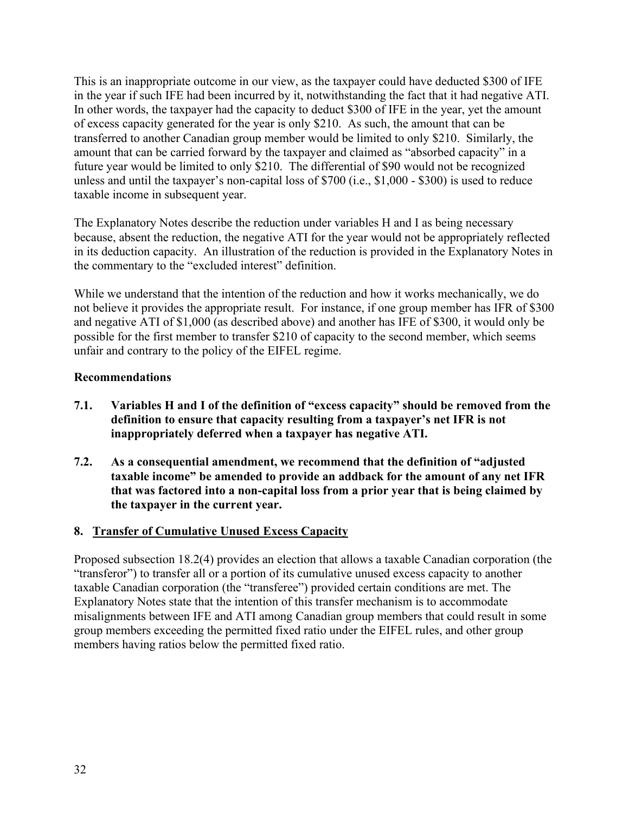This is an inappropriate outcome in our view, as the taxpayer could have deducted \$300 of IFE in the year if such IFE had been incurred by it, notwithstanding the fact that it had negative ATI. In other words, the taxpayer had the capacity to deduct \$300 of IFE in the year, yet the amount of excess capacity generated for the year is only \$210. As such, the amount that can be transferred to another Canadian group member would be limited to only \$210. Similarly, the amount that can be carried forward by the taxpayer and claimed as "absorbed capacity" in a future year would be limited to only \$210. The differential of \$90 would not be recognized unless and until the taxpayer's non-capital loss of \$700 (i.e., \$1,000 - \$300) is used to reduce taxable income in subsequent year.

The Explanatory Notes describe the reduction under variables H and I as being necessary because, absent the reduction, the negative ATI for the year would not be appropriately reflected in its deduction capacity. An illustration of the reduction is provided in the Explanatory Notes in the commentary to the "excluded interest" definition.

While we understand that the intention of the reduction and how it works mechanically, we do not believe it provides the appropriate result. For instance, if one group member has IFR of \$300 and negative ATI of \$1,000 (as described above) and another has IFE of \$300, it would only be possible for the first member to transfer \$210 of capacity to the second member, which seems unfair and contrary to the policy of the EIFEL regime.

# **Recommendations**

- **7.1. Variables H and I of the definition of "excess capacity" should be removed from the definition to ensure that capacity resulting from a taxpayer's net IFR is not inappropriately deferred when a taxpayer has negative ATI.**
- **7.2. As a consequential amendment, we recommend that the definition of "adjusted taxable income" be amended to provide an addback for the amount of any net IFR that was factored into a non-capital loss from a prior year that is being claimed by the taxpayer in the current year.**

# **8. Transfer of Cumulative Unused Excess Capacity**

Proposed subsection 18.2(4) provides an election that allows a taxable Canadian corporation (the "transferor") to transfer all or a portion of its cumulative unused excess capacity to another taxable Canadian corporation (the "transferee") provided certain conditions are met. The Explanatory Notes state that the intention of this transfer mechanism is to accommodate misalignments between IFE and ATI among Canadian group members that could result in some group members exceeding the permitted fixed ratio under the EIFEL rules, and other group members having ratios below the permitted fixed ratio.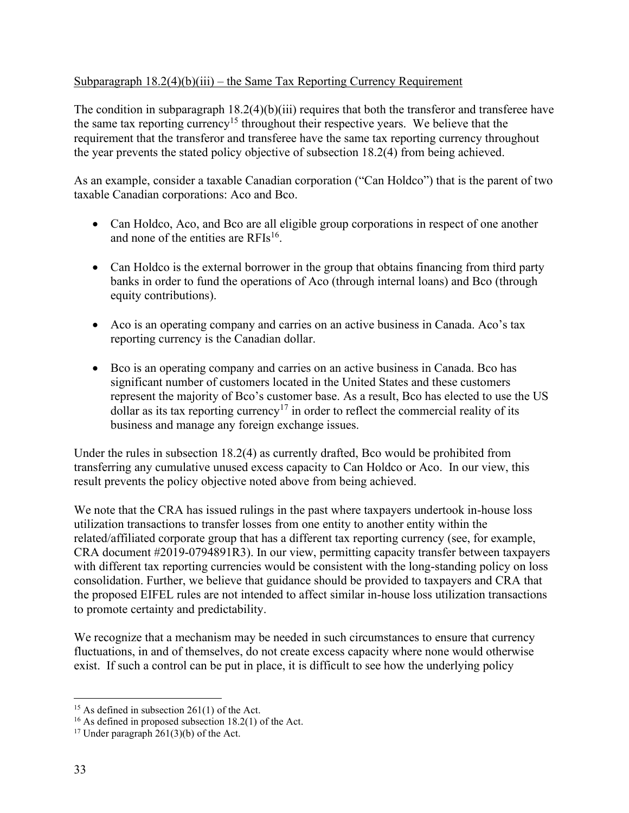# Subparagraph  $18.2(4)(b)(iii)$  – the Same Tax Reporting Currency Requirement

The condition in subparagraph 18.2(4)(b)(iii) requires that both the transferor and transferee have the same tax reporting currency<sup>15</sup> throughout their respective years. We believe that the requirement that the transferor and transferee have the same tax reporting currency throughout the year prevents the stated policy objective of subsection 18.2(4) from being achieved.

As an example, consider a taxable Canadian corporation ("Can Holdco") that is the parent of two taxable Canadian corporations: Aco and Bco.

- Can Holdco, Aco, and Bco are all eligible group corporations in respect of one another and none of the entities are RFIs<sup>16</sup>.
- Can Holdco is the external borrower in the group that obtains financing from third party banks in order to fund the operations of Aco (through internal loans) and Bco (through equity contributions).
- Aco is an operating company and carries on an active business in Canada. Aco's tax reporting currency is the Canadian dollar.
- Bco is an operating company and carries on an active business in Canada. Bco has significant number of customers located in the United States and these customers represent the majority of Bco's customer base. As a result, Bco has elected to use the US dollar as its tax reporting currency<sup>17</sup> in order to reflect the commercial reality of its business and manage any foreign exchange issues.

Under the rules in subsection 18.2(4) as currently drafted, Bco would be prohibited from transferring any cumulative unused excess capacity to Can Holdco or Aco. In our view, this result prevents the policy objective noted above from being achieved.

We note that the CRA has issued rulings in the past where taxpayers undertook in-house loss utilization transactions to transfer losses from one entity to another entity within the related/affiliated corporate group that has a different tax reporting currency (see, for example, CRA document #2019-0794891R3). In our view, permitting capacity transfer between taxpayers with different tax reporting currencies would be consistent with the long-standing policy on loss consolidation. Further, we believe that guidance should be provided to taxpayers and CRA that the proposed EIFEL rules are not intended to affect similar in-house loss utilization transactions to promote certainty and predictability.

We recognize that a mechanism may be needed in such circumstances to ensure that currency fluctuations, in and of themselves, do not create excess capacity where none would otherwise exist. If such a control can be put in place, it is difficult to see how the underlying policy

 $15$  As defined in subsection 261(1) of the Act.

<sup>16</sup> As defined in proposed subsection 18.2(1) of the Act.

<sup>&</sup>lt;sup>17</sup> Under paragraph  $261(3)(b)$  of the Act.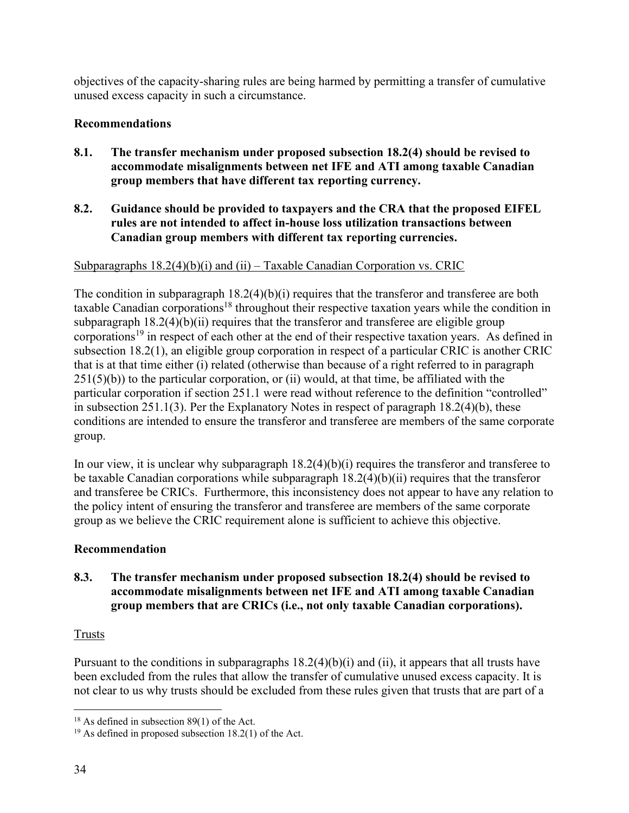objectives of the capacity-sharing rules are being harmed by permitting a transfer of cumulative unused excess capacity in such a circumstance.

# **Recommendations**

- **8.1. The transfer mechanism under proposed subsection 18.2(4) should be revised to accommodate misalignments between net IFE and ATI among taxable Canadian group members that have different tax reporting currency.**
- **8.2. Guidance should be provided to taxpayers and the CRA that the proposed EIFEL rules are not intended to affect in-house loss utilization transactions between Canadian group members with different tax reporting currencies.**

# Subparagraphs  $18.2(4)(b)(i)$  and  $(ii)$  – Taxable Canadian Corporation vs. CRIC

The condition in subparagraph  $18.2(4)(b)(i)$  requires that the transferor and transferee are both taxable Canadian corporations<sup>18</sup> throughout their respective taxation years while the condition in subparagraph  $18.2(4)(b)(ii)$  requires that the transferor and transferee are eligible group corporations<sup>19</sup> in respect of each other at the end of their respective taxation years. As defined in subsection 18.2(1), an eligible group corporation in respect of a particular CRIC is another CRIC that is at that time either (i) related (otherwise than because of a right referred to in paragraph  $251(5)(b)$ ) to the particular corporation, or (ii) would, at that time, be affiliated with the particular corporation if section 251.1 were read without reference to the definition "controlled" in subsection 251.1(3). Per the Explanatory Notes in respect of paragraph 18.2(4)(b), these conditions are intended to ensure the transferor and transferee are members of the same corporate group.

In our view, it is unclear why subparagraph  $18.2(4)(b)(i)$  requires the transferor and transferee to be taxable Canadian corporations while subparagraph 18.2(4)(b)(ii) requires that the transferor and transferee be CRICs. Furthermore, this inconsistency does not appear to have any relation to the policy intent of ensuring the transferor and transferee are members of the same corporate group as we believe the CRIC requirement alone is sufficient to achieve this objective.

# **Recommendation**

# **8.3. The transfer mechanism under proposed subsection 18.2(4) should be revised to accommodate misalignments between net IFE and ATI among taxable Canadian group members that are CRICs (i.e., not only taxable Canadian corporations).**

# Trusts

Pursuant to the conditions in subparagraphs  $18.2(4)(b)(i)$  and (ii), it appears that all trusts have been excluded from the rules that allow the transfer of cumulative unused excess capacity. It is not clear to us why trusts should be excluded from these rules given that trusts that are part of a

 $18$  As defined in subsection 89(1) of the Act.

 $19$  As defined in proposed subsection 18.2(1) of the Act.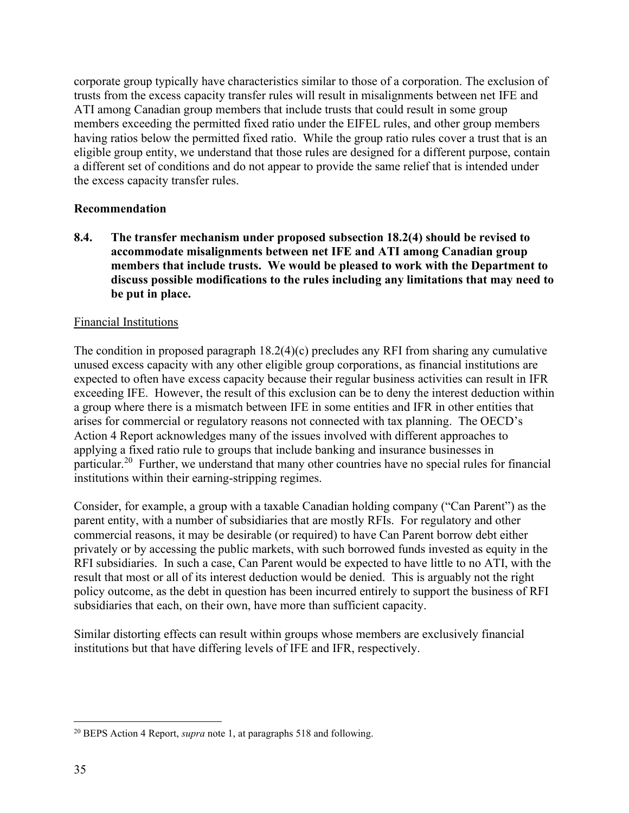corporate group typically have characteristics similar to those of a corporation. The exclusion of trusts from the excess capacity transfer rules will result in misalignments between net IFE and ATI among Canadian group members that include trusts that could result in some group members exceeding the permitted fixed ratio under the EIFEL rules, and other group members having ratios below the permitted fixed ratio. While the group ratio rules cover a trust that is an eligible group entity, we understand that those rules are designed for a different purpose, contain a different set of conditions and do not appear to provide the same relief that is intended under the excess capacity transfer rules.

## **Recommendation**

**8.4. The transfer mechanism under proposed subsection 18.2(4) should be revised to accommodate misalignments between net IFE and ATI among Canadian group members that include trusts. We would be pleased to work with the Department to discuss possible modifications to the rules including any limitations that may need to be put in place.**

## Financial Institutions

The condition in proposed paragraph 18.2(4)(c) precludes any RFI from sharing any cumulative unused excess capacity with any other eligible group corporations, as financial institutions are expected to often have excess capacity because their regular business activities can result in IFR exceeding IFE. However, the result of this exclusion can be to deny the interest deduction within a group where there is a mismatch between IFE in some entities and IFR in other entities that arises for commercial or regulatory reasons not connected with tax planning. The OECD's Action 4 Report acknowledges many of the issues involved with different approaches to applying a fixed ratio rule to groups that include banking and insurance businesses in particular.<sup>20</sup> Further, we understand that many other countries have no special rules for financial institutions within their earning-stripping regimes.

Consider, for example, a group with a taxable Canadian holding company ("Can Parent") as the parent entity, with a number of subsidiaries that are mostly RFIs. For regulatory and other commercial reasons, it may be desirable (or required) to have Can Parent borrow debt either privately or by accessing the public markets, with such borrowed funds invested as equity in the RFI subsidiaries. In such a case, Can Parent would be expected to have little to no ATI, with the result that most or all of its interest deduction would be denied. This is arguably not the right policy outcome, as the debt in question has been incurred entirely to support the business of RFI subsidiaries that each, on their own, have more than sufficient capacity.

Similar distorting effects can result within groups whose members are exclusively financial institutions but that have differing levels of IFE and IFR, respectively.

<sup>20</sup> BEPS Action 4 Report, *supra* note 1, at paragraphs 518 and following.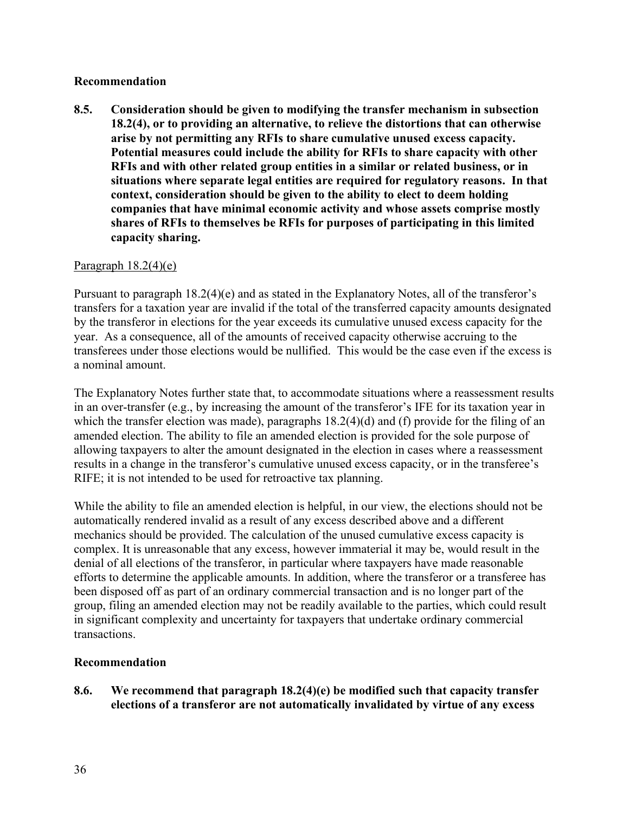### **Recommendation**

**8.5. Consideration should be given to modifying the transfer mechanism in subsection 18.2(4), or to providing an alternative, to relieve the distortions that can otherwise arise by not permitting any RFIs to share cumulative unused excess capacity. Potential measures could include the ability for RFIs to share capacity with other RFIs and with other related group entities in a similar or related business, or in situations where separate legal entities are required for regulatory reasons. In that context, consideration should be given to the ability to elect to deem holding companies that have minimal economic activity and whose assets comprise mostly shares of RFIs to themselves be RFIs for purposes of participating in this limited capacity sharing.** 

## Paragraph 18.2(4)(e)

Pursuant to paragraph 18.2(4)(e) and as stated in the Explanatory Notes, all of the transferor's transfers for a taxation year are invalid if the total of the transferred capacity amounts designated by the transferor in elections for the year exceeds its cumulative unused excess capacity for the year. As a consequence, all of the amounts of received capacity otherwise accruing to the transferees under those elections would be nullified. This would be the case even if the excess is a nominal amount.

The Explanatory Notes further state that, to accommodate situations where a reassessment results in an over-transfer (e.g., by increasing the amount of the transferor's IFE for its taxation year in which the transfer election was made), paragraphs  $18.2(4)(d)$  and (f) provide for the filing of an amended election. The ability to file an amended election is provided for the sole purpose of allowing taxpayers to alter the amount designated in the election in cases where a reassessment results in a change in the transferor's cumulative unused excess capacity, or in the transferee's RIFE; it is not intended to be used for retroactive tax planning.

While the ability to file an amended election is helpful, in our view, the elections should not be automatically rendered invalid as a result of any excess described above and a different mechanics should be provided. The calculation of the unused cumulative excess capacity is complex. It is unreasonable that any excess, however immaterial it may be, would result in the denial of all elections of the transferor, in particular where taxpayers have made reasonable efforts to determine the applicable amounts. In addition, where the transferor or a transferee has been disposed off as part of an ordinary commercial transaction and is no longer part of the group, filing an amended election may not be readily available to the parties, which could result in significant complexity and uncertainty for taxpayers that undertake ordinary commercial transactions.

### **Recommendation**

**8.6. We recommend that paragraph 18.2(4)(e) be modified such that capacity transfer elections of a transferor are not automatically invalidated by virtue of any excess**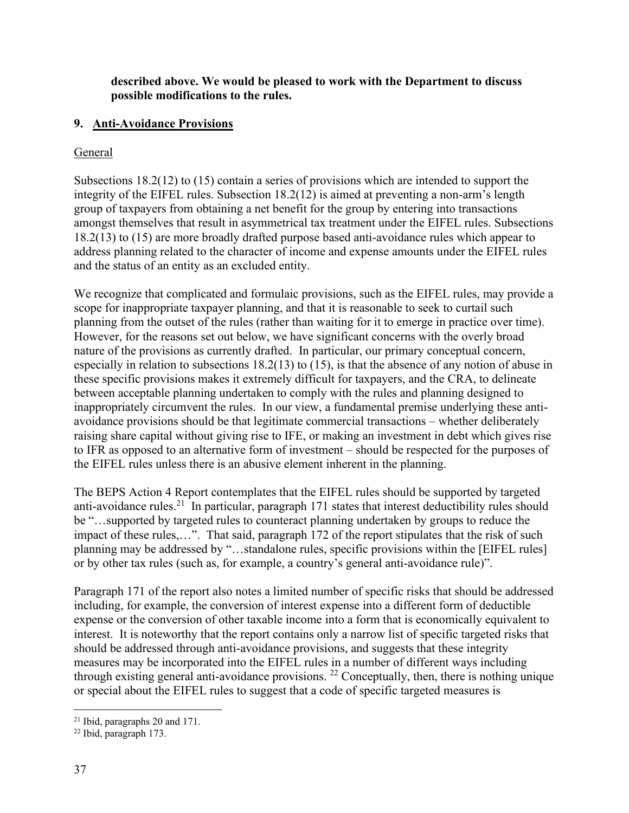## **described above. We would be pleased to work with the Department to discuss possible modifications to the rules.**

## **9. Anti-Avoidance Provisions**

### **General**

Subsections 18.2(12) to (15) contain a series of provisions which are intended to support the integrity of the EIFEL rules. Subsection 18.2(12) is aimed at preventing a non-arm's length group of taxpayers from obtaining a net benefit for the group by entering into transactions amongst themselves that result in asymmetrical tax treatment under the EIFEL rules. Subsections 18.2(13) to (15) are more broadly drafted purpose based anti-avoidance rules which appear to address planning related to the character of income and expense amounts under the EIFEL rules and the status of an entity as an excluded entity.

We recognize that complicated and formulaic provisions, such as the EIFEL rules, may provide a scope for inappropriate taxpayer planning, and that it is reasonable to seek to curtail such planning from the outset of the rules (rather than waiting for it to emerge in practice over time). However, for the reasons set out below, we have significant concerns with the overly broad nature of the provisions as currently drafted. In particular, our primary conceptual concern, especially in relation to subsections 18.2(13) to (15), is that the absence of any notion of abuse in these specific provisions makes it extremely difficult for taxpayers, and the CRA, to delineate between acceptable planning undertaken to comply with the rules and planning designed to inappropriately circumvent the rules. In our view, a fundamental premise underlying these antiavoidance provisions should be that legitimate commercial transactions – whether deliberately raising share capital without giving rise to IFE, or making an investment in debt which gives rise to IFR as opposed to an alternative form of investment – should be respected for the purposes of the EIFEL rules unless there is an abusive element inherent in the planning.

The BEPS Action 4 Report contemplates that the EIFEL rules should be supported by targeted anti-avoidance rules.<sup>21</sup> In particular, paragraph 171 states that interest deductibility rules should be "…supported by targeted rules to counteract planning undertaken by groups to reduce the impact of these rules,…". That said, paragraph 172 of the report stipulates that the risk of such planning may be addressed by "…standalone rules, specific provisions within the [EIFEL rules] or by other tax rules (such as, for example, a country's general anti-avoidance rule)".

Paragraph 171 of the report also notes a limited number of specific risks that should be addressed including, for example, the conversion of interest expense into a different form of deductible expense or the conversion of other taxable income into a form that is economically equivalent to interest. It is noteworthy that the report contains only a narrow list of specific targeted risks that should be addressed through anti-avoidance provisions, and suggests that these integrity measures may be incorporated into the EIFEL rules in a number of different ways including through existing general anti-avoidance provisions. <sup>22</sup> Conceptually, then, there is nothing unique or special about the EIFEL rules to suggest that a code of specific targeted measures is

<sup>21</sup> Ibid, paragraphs 20 and 171.

<sup>22</sup> Ibid, paragraph 173.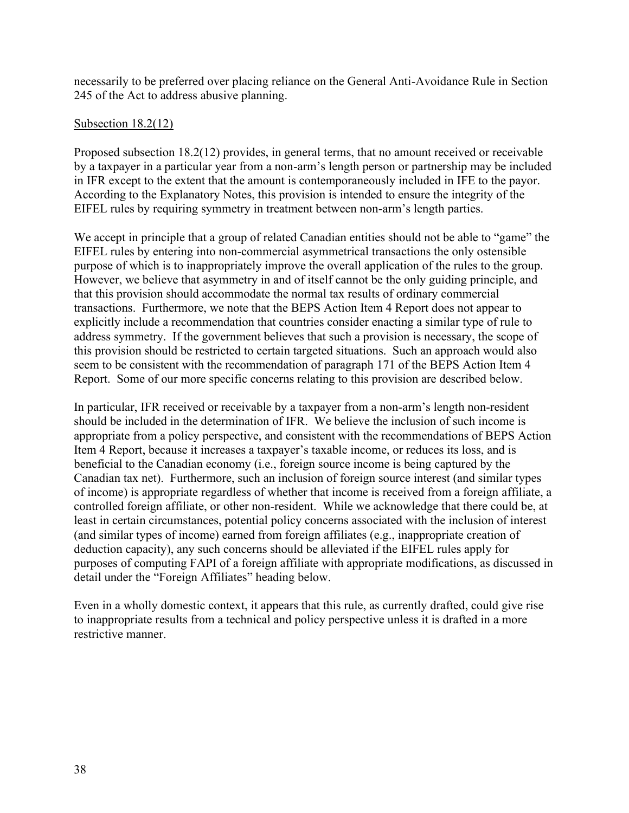necessarily to be preferred over placing reliance on the General Anti-Avoidance Rule in Section 245 of the Act to address abusive planning.

## Subsection 18.2(12)

Proposed subsection 18.2(12) provides, in general terms, that no amount received or receivable by a taxpayer in a particular year from a non-arm's length person or partnership may be included in IFR except to the extent that the amount is contemporaneously included in IFE to the payor. According to the Explanatory Notes, this provision is intended to ensure the integrity of the EIFEL rules by requiring symmetry in treatment between non-arm's length parties.

We accept in principle that a group of related Canadian entities should not be able to "game" the EIFEL rules by entering into non-commercial asymmetrical transactions the only ostensible purpose of which is to inappropriately improve the overall application of the rules to the group. However, we believe that asymmetry in and of itself cannot be the only guiding principle, and that this provision should accommodate the normal tax results of ordinary commercial transactions. Furthermore, we note that the BEPS Action Item 4 Report does not appear to explicitly include a recommendation that countries consider enacting a similar type of rule to address symmetry. If the government believes that such a provision is necessary, the scope of this provision should be restricted to certain targeted situations. Such an approach would also seem to be consistent with the recommendation of paragraph 171 of the BEPS Action Item 4 Report. Some of our more specific concerns relating to this provision are described below.

In particular, IFR received or receivable by a taxpayer from a non-arm's length non-resident should be included in the determination of IFR. We believe the inclusion of such income is appropriate from a policy perspective, and consistent with the recommendations of BEPS Action Item 4 Report, because it increases a taxpayer's taxable income, or reduces its loss, and is beneficial to the Canadian economy (i.e., foreign source income is being captured by the Canadian tax net). Furthermore, such an inclusion of foreign source interest (and similar types of income) is appropriate regardless of whether that income is received from a foreign affiliate, a controlled foreign affiliate, or other non-resident. While we acknowledge that there could be, at least in certain circumstances, potential policy concerns associated with the inclusion of interest (and similar types of income) earned from foreign affiliates (e.g., inappropriate creation of deduction capacity), any such concerns should be alleviated if the EIFEL rules apply for purposes of computing FAPI of a foreign affiliate with appropriate modifications, as discussed in detail under the "Foreign Affiliates" heading below.

Even in a wholly domestic context, it appears that this rule, as currently drafted, could give rise to inappropriate results from a technical and policy perspective unless it is drafted in a more restrictive manner.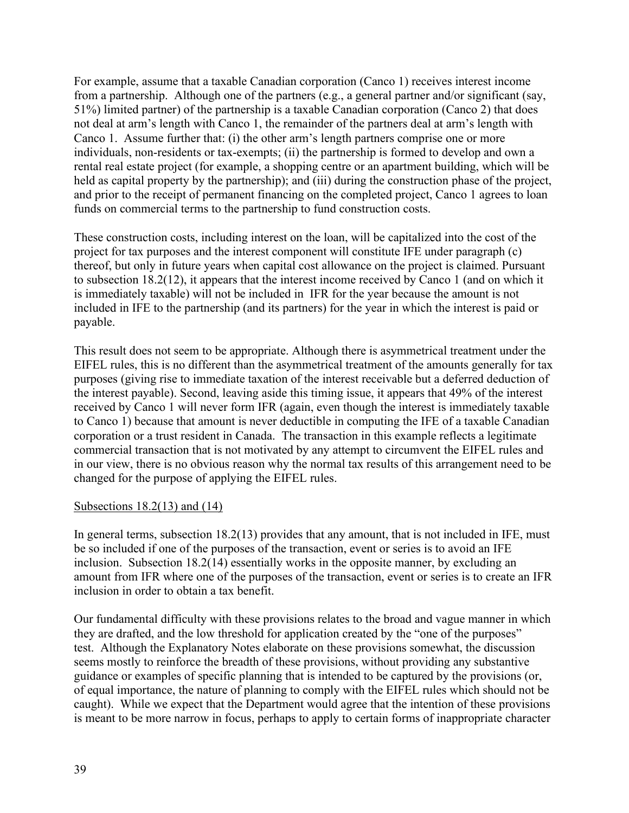For example, assume that a taxable Canadian corporation (Canco 1) receives interest income from a partnership. Although one of the partners (e.g., a general partner and/or significant (say, 51%) limited partner) of the partnership is a taxable Canadian corporation (Canco 2) that does not deal at arm's length with Canco 1, the remainder of the partners deal at arm's length with Canco 1. Assume further that: (i) the other arm's length partners comprise one or more individuals, non-residents or tax-exempts; (ii) the partnership is formed to develop and own a rental real estate project (for example, a shopping centre or an apartment building, which will be held as capital property by the partnership); and (iii) during the construction phase of the project, and prior to the receipt of permanent financing on the completed project, Canco 1 agrees to loan funds on commercial terms to the partnership to fund construction costs.

These construction costs, including interest on the loan, will be capitalized into the cost of the project for tax purposes and the interest component will constitute IFE under paragraph (c) thereof, but only in future years when capital cost allowance on the project is claimed. Pursuant to subsection 18.2(12), it appears that the interest income received by Canco 1 (and on which it is immediately taxable) will not be included in IFR for the year because the amount is not included in IFE to the partnership (and its partners) for the year in which the interest is paid or payable.

This result does not seem to be appropriate. Although there is asymmetrical treatment under the EIFEL rules, this is no different than the asymmetrical treatment of the amounts generally for tax purposes (giving rise to immediate taxation of the interest receivable but a deferred deduction of the interest payable). Second, leaving aside this timing issue, it appears that 49% of the interest received by Canco 1 will never form IFR (again, even though the interest is immediately taxable to Canco 1) because that amount is never deductible in computing the IFE of a taxable Canadian corporation or a trust resident in Canada. The transaction in this example reflects a legitimate commercial transaction that is not motivated by any attempt to circumvent the EIFEL rules and in our view, there is no obvious reason why the normal tax results of this arrangement need to be changed for the purpose of applying the EIFEL rules.

### Subsections  $18.2(13)$  and  $(14)$

In general terms, subsection 18.2(13) provides that any amount, that is not included in IFE, must be so included if one of the purposes of the transaction, event or series is to avoid an IFE inclusion. Subsection 18.2(14) essentially works in the opposite manner, by excluding an amount from IFR where one of the purposes of the transaction, event or series is to create an IFR inclusion in order to obtain a tax benefit.

Our fundamental difficulty with these provisions relates to the broad and vague manner in which they are drafted, and the low threshold for application created by the "one of the purposes" test. Although the Explanatory Notes elaborate on these provisions somewhat, the discussion seems mostly to reinforce the breadth of these provisions, without providing any substantive guidance or examples of specific planning that is intended to be captured by the provisions (or, of equal importance, the nature of planning to comply with the EIFEL rules which should not be caught). While we expect that the Department would agree that the intention of these provisions is meant to be more narrow in focus, perhaps to apply to certain forms of inappropriate character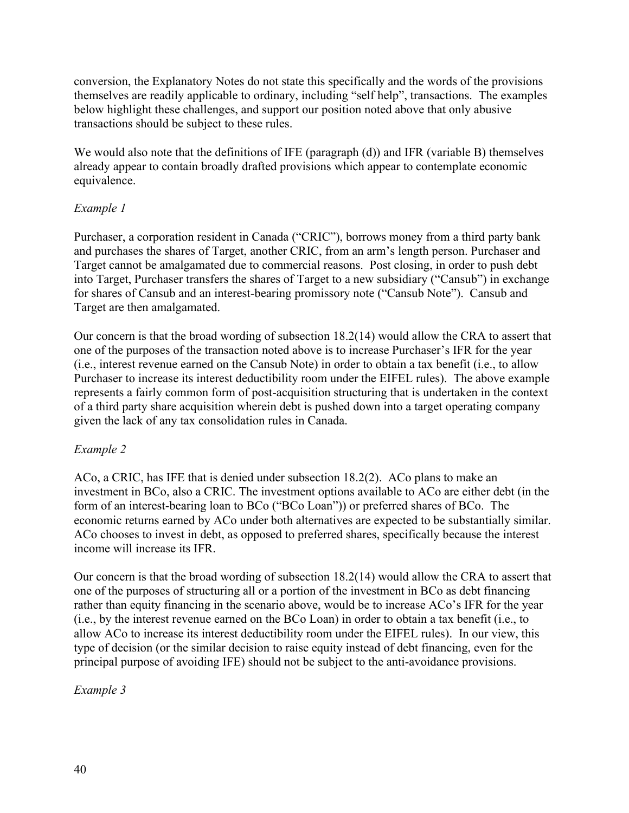conversion, the Explanatory Notes do not state this specifically and the words of the provisions themselves are readily applicable to ordinary, including "self help", transactions. The examples below highlight these challenges, and support our position noted above that only abusive transactions should be subject to these rules.

We would also note that the definitions of IFE (paragraph (d)) and IFR (variable B) themselves already appear to contain broadly drafted provisions which appear to contemplate economic equivalence.

# *Example 1*

Purchaser, a corporation resident in Canada ("CRIC"), borrows money from a third party bank and purchases the shares of Target, another CRIC, from an arm's length person. Purchaser and Target cannot be amalgamated due to commercial reasons. Post closing, in order to push debt into Target, Purchaser transfers the shares of Target to a new subsidiary ("Cansub") in exchange for shares of Cansub and an interest-bearing promissory note ("Cansub Note"). Cansub and Target are then amalgamated.

Our concern is that the broad wording of subsection 18.2(14) would allow the CRA to assert that one of the purposes of the transaction noted above is to increase Purchaser's IFR for the year (i.e., interest revenue earned on the Cansub Note) in order to obtain a tax benefit (i.e., to allow Purchaser to increase its interest deductibility room under the EIFEL rules). The above example represents a fairly common form of post-acquisition structuring that is undertaken in the context of a third party share acquisition wherein debt is pushed down into a target operating company given the lack of any tax consolidation rules in Canada.

# *Example 2*

ACo, a CRIC, has IFE that is denied under subsection 18.2(2). ACo plans to make an investment in BCo, also a CRIC. The investment options available to ACo are either debt (in the form of an interest-bearing loan to BCo ("BCo Loan")) or preferred shares of BCo. The economic returns earned by ACo under both alternatives are expected to be substantially similar. ACo chooses to invest in debt, as opposed to preferred shares, specifically because the interest income will increase its IFR.

Our concern is that the broad wording of subsection 18.2(14) would allow the CRA to assert that one of the purposes of structuring all or a portion of the investment in BCo as debt financing rather than equity financing in the scenario above, would be to increase ACo's IFR for the year (i.e., by the interest revenue earned on the BCo Loan) in order to obtain a tax benefit (i.e., to allow ACo to increase its interest deductibility room under the EIFEL rules). In our view, this type of decision (or the similar decision to raise equity instead of debt financing, even for the principal purpose of avoiding IFE) should not be subject to the anti-avoidance provisions.

# *Example 3*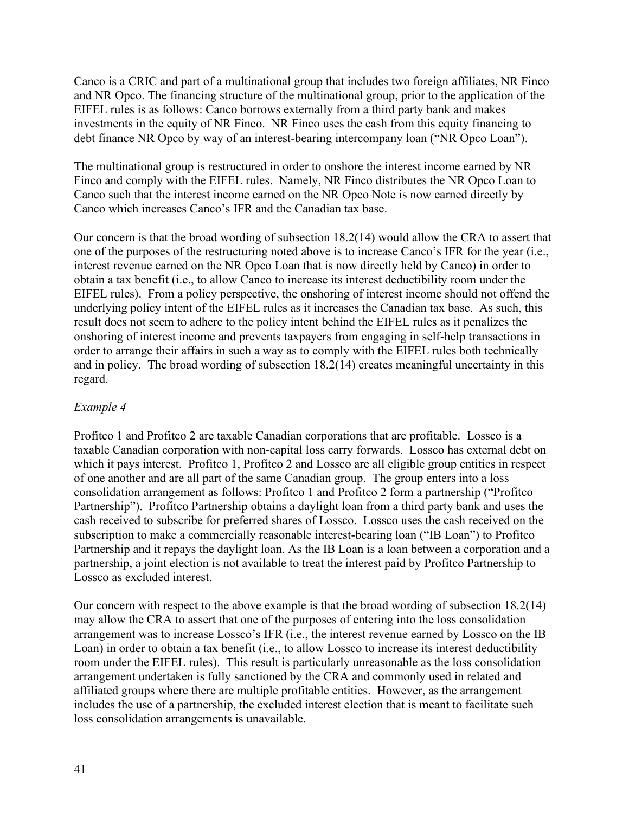Canco is a CRIC and part of a multinational group that includes two foreign affiliates, NR Finco and NR Opco. The financing structure of the multinational group, prior to the application of the EIFEL rules is as follows: Canco borrows externally from a third party bank and makes investments in the equity of NR Finco. NR Finco uses the cash from this equity financing to debt finance NR Opco by way of an interest-bearing intercompany loan ("NR Opco Loan").

The multinational group is restructured in order to onshore the interest income earned by NR Finco and comply with the EIFEL rules. Namely, NR Finco distributes the NR Opco Loan to Canco such that the interest income earned on the NR Opco Note is now earned directly by Canco which increases Canco's IFR and the Canadian tax base.

Our concern is that the broad wording of subsection 18.2(14) would allow the CRA to assert that one of the purposes of the restructuring noted above is to increase Canco's IFR for the year (i.e., interest revenue earned on the NR Opco Loan that is now directly held by Canco) in order to obtain a tax benefit (i.e., to allow Canco to increase its interest deductibility room under the EIFEL rules). From a policy perspective, the onshoring of interest income should not offend the underlying policy intent of the EIFEL rules as it increases the Canadian tax base. As such, this result does not seem to adhere to the policy intent behind the EIFEL rules as it penalizes the onshoring of interest income and prevents taxpayers from engaging in self-help transactions in order to arrange their affairs in such a way as to comply with the EIFEL rules both technically and in policy. The broad wording of subsection 18.2(14) creates meaningful uncertainty in this regard.

# *Example 4*

Profitco 1 and Profitco 2 are taxable Canadian corporations that are profitable. Lossco is a taxable Canadian corporation with non-capital loss carry forwards. Lossco has external debt on which it pays interest. Profitco 1, Profitco 2 and Lossco are all eligible group entities in respect of one another and are all part of the same Canadian group. The group enters into a loss consolidation arrangement as follows: Profitco 1 and Profitco 2 form a partnership ("Profitco Partnership"). Profitco Partnership obtains a daylight loan from a third party bank and uses the cash received to subscribe for preferred shares of Lossco. Lossco uses the cash received on the subscription to make a commercially reasonable interest-bearing loan ("IB Loan") to Profitco Partnership and it repays the daylight loan. As the IB Loan is a loan between a corporation and a partnership, a joint election is not available to treat the interest paid by Profitco Partnership to Lossco as excluded interest.

Our concern with respect to the above example is that the broad wording of subsection 18.2(14) may allow the CRA to assert that one of the purposes of entering into the loss consolidation arrangement was to increase Lossco's IFR (i.e., the interest revenue earned by Lossco on the IB Loan) in order to obtain a tax benefit (i.e., to allow Lossco to increase its interest deductibility room under the EIFEL rules). This result is particularly unreasonable as the loss consolidation arrangement undertaken is fully sanctioned by the CRA and commonly used in related and affiliated groups where there are multiple profitable entities. However, as the arrangement includes the use of a partnership, the excluded interest election that is meant to facilitate such loss consolidation arrangements is unavailable.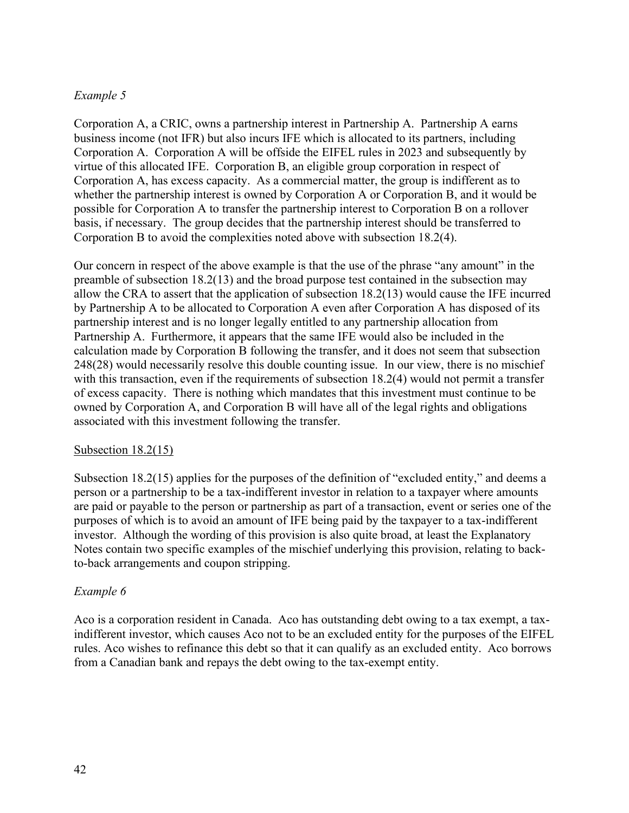# *Example 5*

Corporation A, a CRIC, owns a partnership interest in Partnership A. Partnership A earns business income (not IFR) but also incurs IFE which is allocated to its partners, including Corporation A. Corporation A will be offside the EIFEL rules in 2023 and subsequently by virtue of this allocated IFE. Corporation B, an eligible group corporation in respect of Corporation A, has excess capacity. As a commercial matter, the group is indifferent as to whether the partnership interest is owned by Corporation A or Corporation B, and it would be possible for Corporation A to transfer the partnership interest to Corporation B on a rollover basis, if necessary. The group decides that the partnership interest should be transferred to Corporation B to avoid the complexities noted above with subsection 18.2(4).

Our concern in respect of the above example is that the use of the phrase "any amount" in the preamble of subsection 18.2(13) and the broad purpose test contained in the subsection may allow the CRA to assert that the application of subsection 18.2(13) would cause the IFE incurred by Partnership A to be allocated to Corporation A even after Corporation A has disposed of its partnership interest and is no longer legally entitled to any partnership allocation from Partnership A. Furthermore, it appears that the same IFE would also be included in the calculation made by Corporation B following the transfer, and it does not seem that subsection 248(28) would necessarily resolve this double counting issue. In our view, there is no mischief with this transaction, even if the requirements of subsection 18.2(4) would not permit a transfer of excess capacity. There is nothing which mandates that this investment must continue to be owned by Corporation A, and Corporation B will have all of the legal rights and obligations associated with this investment following the transfer.

### Subsection 18.2(15)

Subsection 18.2(15) applies for the purposes of the definition of "excluded entity," and deems a person or a partnership to be a tax-indifferent investor in relation to a taxpayer where amounts are paid or payable to the person or partnership as part of a transaction, event or series one of the purposes of which is to avoid an amount of IFE being paid by the taxpayer to a tax-indifferent investor. Although the wording of this provision is also quite broad, at least the Explanatory Notes contain two specific examples of the mischief underlying this provision, relating to backto-back arrangements and coupon stripping.

# *Example 6*

Aco is a corporation resident in Canada. Aco has outstanding debt owing to a tax exempt, a taxindifferent investor, which causes Aco not to be an excluded entity for the purposes of the EIFEL rules. Aco wishes to refinance this debt so that it can qualify as an excluded entity. Aco borrows from a Canadian bank and repays the debt owing to the tax-exempt entity.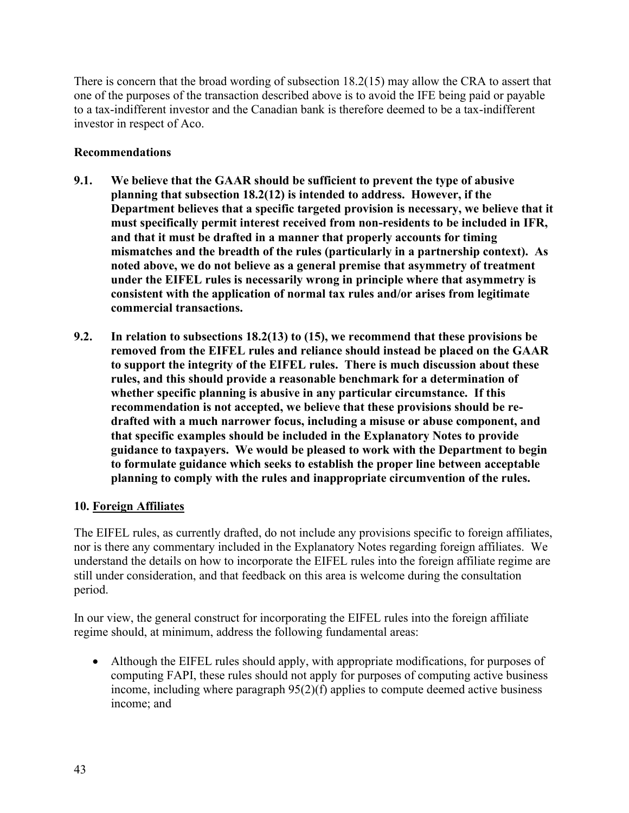There is concern that the broad wording of subsection 18.2(15) may allow the CRA to assert that one of the purposes of the transaction described above is to avoid the IFE being paid or payable to a tax-indifferent investor and the Canadian bank is therefore deemed to be a tax-indifferent investor in respect of Aco.

# **Recommendations**

- **9.1. We believe that the GAAR should be sufficient to prevent the type of abusive planning that subsection 18.2(12) is intended to address. However, if the Department believes that a specific targeted provision is necessary, we believe that it must specifically permit interest received from non-residents to be included in IFR, and that it must be drafted in a manner that properly accounts for timing mismatches and the breadth of the rules (particularly in a partnership context). As noted above, we do not believe as a general premise that asymmetry of treatment under the EIFEL rules is necessarily wrong in principle where that asymmetry is consistent with the application of normal tax rules and/or arises from legitimate commercial transactions.**
- **9.2. In relation to subsections 18.2(13) to (15), we recommend that these provisions be removed from the EIFEL rules and reliance should instead be placed on the GAAR to support the integrity of the EIFEL rules. There is much discussion about these rules, and this should provide a reasonable benchmark for a determination of whether specific planning is abusive in any particular circumstance. If this recommendation is not accepted, we believe that these provisions should be redrafted with a much narrower focus, including a misuse or abuse component, and that specific examples should be included in the Explanatory Notes to provide guidance to taxpayers. We would be pleased to work with the Department to begin to formulate guidance which seeks to establish the proper line between acceptable planning to comply with the rules and inappropriate circumvention of the rules.**

# **10. Foreign Affiliates**

The EIFEL rules, as currently drafted, do not include any provisions specific to foreign affiliates, nor is there any commentary included in the Explanatory Notes regarding foreign affiliates. We understand the details on how to incorporate the EIFEL rules into the foreign affiliate regime are still under consideration, and that feedback on this area is welcome during the consultation period.

In our view, the general construct for incorporating the EIFEL rules into the foreign affiliate regime should, at minimum, address the following fundamental areas:

• Although the EIFEL rules should apply, with appropriate modifications, for purposes of computing FAPI, these rules should not apply for purposes of computing active business income, including where paragraph 95(2)(f) applies to compute deemed active business income; and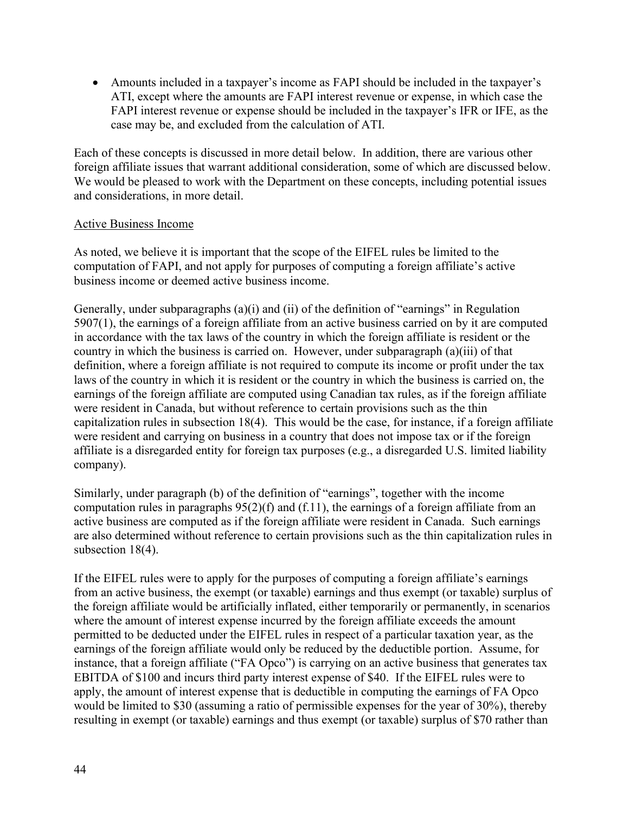• Amounts included in a taxpayer's income as FAPI should be included in the taxpayer's ATI, except where the amounts are FAPI interest revenue or expense, in which case the FAPI interest revenue or expense should be included in the taxpayer's IFR or IFE, as the case may be, and excluded from the calculation of ATI.

Each of these concepts is discussed in more detail below. In addition, there are various other foreign affiliate issues that warrant additional consideration, some of which are discussed below. We would be pleased to work with the Department on these concepts, including potential issues and considerations, in more detail.

## Active Business Income

As noted, we believe it is important that the scope of the EIFEL rules be limited to the computation of FAPI, and not apply for purposes of computing a foreign affiliate's active business income or deemed active business income.

Generally, under subparagraphs (a)(i) and (ii) of the definition of "earnings" in Regulation 5907(1), the earnings of a foreign affiliate from an active business carried on by it are computed in accordance with the tax laws of the country in which the foreign affiliate is resident or the country in which the business is carried on. However, under subparagraph (a)(iii) of that definition, where a foreign affiliate is not required to compute its income or profit under the tax laws of the country in which it is resident or the country in which the business is carried on, the earnings of the foreign affiliate are computed using Canadian tax rules, as if the foreign affiliate were resident in Canada, but without reference to certain provisions such as the thin capitalization rules in subsection 18(4). This would be the case, for instance, if a foreign affiliate were resident and carrying on business in a country that does not impose tax or if the foreign affiliate is a disregarded entity for foreign tax purposes (e.g., a disregarded U.S. limited liability company).

Similarly, under paragraph (b) of the definition of "earnings", together with the income computation rules in paragraphs 95(2)(f) and (f.11), the earnings of a foreign affiliate from an active business are computed as if the foreign affiliate were resident in Canada. Such earnings are also determined without reference to certain provisions such as the thin capitalization rules in subsection 18(4).

If the EIFEL rules were to apply for the purposes of computing a foreign affiliate's earnings from an active business, the exempt (or taxable) earnings and thus exempt (or taxable) surplus of the foreign affiliate would be artificially inflated, either temporarily or permanently, in scenarios where the amount of interest expense incurred by the foreign affiliate exceeds the amount permitted to be deducted under the EIFEL rules in respect of a particular taxation year, as the earnings of the foreign affiliate would only be reduced by the deductible portion. Assume, for instance, that a foreign affiliate ("FA Opco") is carrying on an active business that generates tax EBITDA of \$100 and incurs third party interest expense of \$40. If the EIFEL rules were to apply, the amount of interest expense that is deductible in computing the earnings of FA Opco would be limited to \$30 (assuming a ratio of permissible expenses for the year of 30%), thereby resulting in exempt (or taxable) earnings and thus exempt (or taxable) surplus of \$70 rather than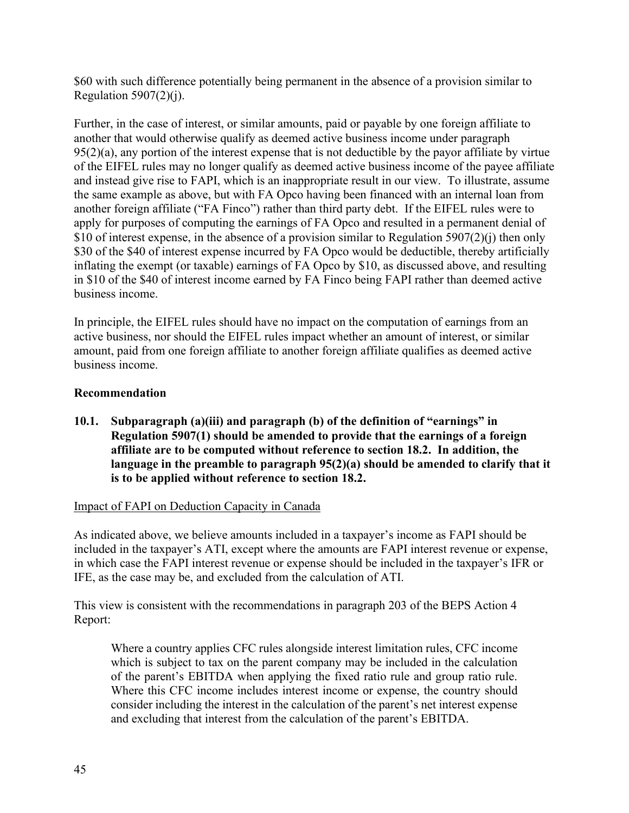\$60 with such difference potentially being permanent in the absence of a provision similar to Regulation  $5907(2)(i)$ .

Further, in the case of interest, or similar amounts, paid or payable by one foreign affiliate to another that would otherwise qualify as deemed active business income under paragraph  $95(2)(a)$ , any portion of the interest expense that is not deductible by the payor affiliate by virtue of the EIFEL rules may no longer qualify as deemed active business income of the payee affiliate and instead give rise to FAPI, which is an inappropriate result in our view. To illustrate, assume the same example as above, but with FA Opco having been financed with an internal loan from another foreign affiliate ("FA Finco") rather than third party debt. If the EIFEL rules were to apply for purposes of computing the earnings of FA Opco and resulted in a permanent denial of \$10 of interest expense, in the absence of a provision similar to Regulation 5907(2)(j) then only \$30 of the \$40 of interest expense incurred by FA Opco would be deductible, thereby artificially inflating the exempt (or taxable) earnings of FA Opco by \$10, as discussed above, and resulting in \$10 of the \$40 of interest income earned by FA Finco being FAPI rather than deemed active business income.

In principle, the EIFEL rules should have no impact on the computation of earnings from an active business, nor should the EIFEL rules impact whether an amount of interest, or similar amount, paid from one foreign affiliate to another foreign affiliate qualifies as deemed active business income.

# **Recommendation**

**10.1. Subparagraph (a)(iii) and paragraph (b) of the definition of "earnings" in Regulation 5907(1) should be amended to provide that the earnings of a foreign affiliate are to be computed without reference to section 18.2. In addition, the language in the preamble to paragraph 95(2)(a) should be amended to clarify that it is to be applied without reference to section 18.2.**

# Impact of FAPI on Deduction Capacity in Canada

As indicated above, we believe amounts included in a taxpayer's income as FAPI should be included in the taxpayer's ATI, except where the amounts are FAPI interest revenue or expense, in which case the FAPI interest revenue or expense should be included in the taxpayer's IFR or IFE, as the case may be, and excluded from the calculation of ATI.

This view is consistent with the recommendations in paragraph 203 of the BEPS Action 4 Report:

Where a country applies CFC rules alongside interest limitation rules, CFC income which is subject to tax on the parent company may be included in the calculation of the parent's EBITDA when applying the fixed ratio rule and group ratio rule. Where this CFC income includes interest income or expense, the country should consider including the interest in the calculation of the parent's net interest expense and excluding that interest from the calculation of the parent's EBITDA.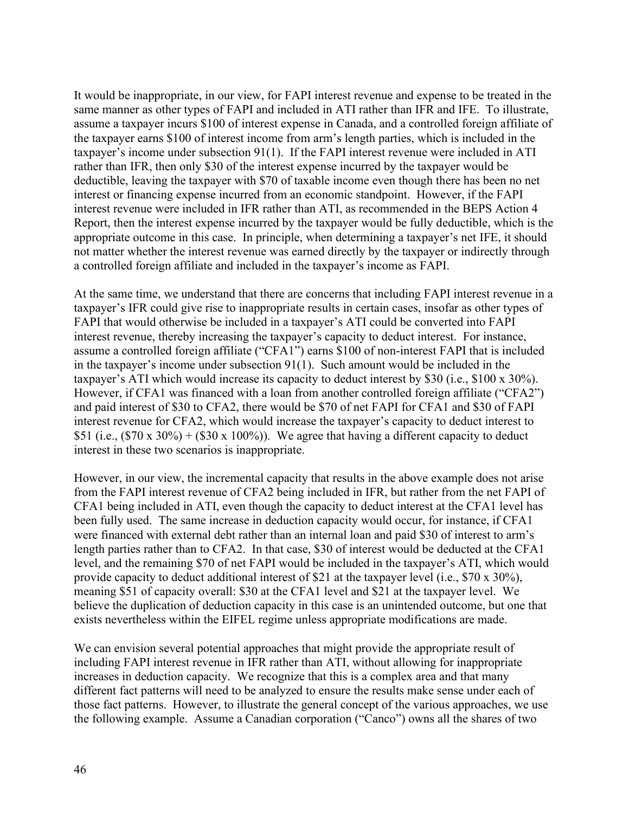It would be inappropriate, in our view, for FAPI interest revenue and expense to be treated in the same manner as other types of FAPI and included in ATI rather than IFR and IFE. To illustrate, assume a taxpayer incurs \$100 of interest expense in Canada, and a controlled foreign affiliate of the taxpayer earns \$100 of interest income from arm's length parties, which is included in the taxpayer's income under subsection 91(1). If the FAPI interest revenue were included in ATI rather than IFR, then only \$30 of the interest expense incurred by the taxpayer would be deductible, leaving the taxpayer with \$70 of taxable income even though there has been no net interest or financing expense incurred from an economic standpoint. However, if the FAPI interest revenue were included in IFR rather than ATI, as recommended in the BEPS Action 4 Report, then the interest expense incurred by the taxpayer would be fully deductible, which is the appropriate outcome in this case. In principle, when determining a taxpayer's net IFE, it should not matter whether the interest revenue was earned directly by the taxpayer or indirectly through a controlled foreign affiliate and included in the taxpayer's income as FAPI.

At the same time, we understand that there are concerns that including FAPI interest revenue in a taxpayer's IFR could give rise to inappropriate results in certain cases, insofar as other types of FAPI that would otherwise be included in a taxpayer's ATI could be converted into FAPI interest revenue, thereby increasing the taxpayer's capacity to deduct interest. For instance, assume a controlled foreign affiliate ("CFA1") earns \$100 of non-interest FAPI that is included in the taxpayer's income under subsection 91(1). Such amount would be included in the taxpayer's ATI which would increase its capacity to deduct interest by \$30 (i.e., \$100 x 30%). However, if CFA1 was financed with a loan from another controlled foreign affiliate ("CFA2") and paid interest of \$30 to CFA2, there would be \$70 of net FAPI for CFA1 and \$30 of FAPI interest revenue for CFA2, which would increase the taxpayer's capacity to deduct interest to \$51 (i.e.,  $(\$70 \times 30\%) + (\$30 \times 100\%)$ ). We agree that having a different capacity to deduct interest in these two scenarios is inappropriate.

However, in our view, the incremental capacity that results in the above example does not arise from the FAPI interest revenue of CFA2 being included in IFR, but rather from the net FAPI of CFA1 being included in ATI, even though the capacity to deduct interest at the CFA1 level has been fully used. The same increase in deduction capacity would occur, for instance, if CFA1 were financed with external debt rather than an internal loan and paid \$30 of interest to arm's length parties rather than to CFA2. In that case, \$30 of interest would be deducted at the CFA1 level, and the remaining \$70 of net FAPI would be included in the taxpayer's ATI, which would provide capacity to deduct additional interest of \$21 at the taxpayer level (i.e., \$70 x 30%), meaning \$51 of capacity overall: \$30 at the CFA1 level and \$21 at the taxpayer level. We believe the duplication of deduction capacity in this case is an unintended outcome, but one that exists nevertheless within the EIFEL regime unless appropriate modifications are made.

We can envision several potential approaches that might provide the appropriate result of including FAPI interest revenue in IFR rather than ATI, without allowing for inappropriate increases in deduction capacity. We recognize that this is a complex area and that many different fact patterns will need to be analyzed to ensure the results make sense under each of those fact patterns. However, to illustrate the general concept of the various approaches, we use the following example. Assume a Canadian corporation ("Canco") owns all the shares of two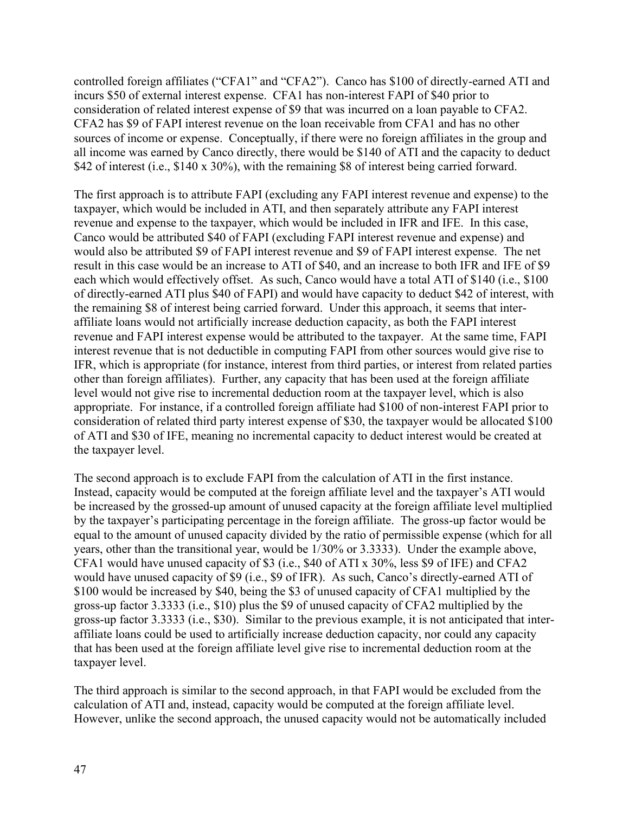controlled foreign affiliates ("CFA1" and "CFA2"). Canco has \$100 of directly-earned ATI and incurs \$50 of external interest expense. CFA1 has non-interest FAPI of \$40 prior to consideration of related interest expense of \$9 that was incurred on a loan payable to CFA2. CFA2 has \$9 of FAPI interest revenue on the loan receivable from CFA1 and has no other sources of income or expense. Conceptually, if there were no foreign affiliates in the group and all income was earned by Canco directly, there would be \$140 of ATI and the capacity to deduct \$42 of interest (i.e., \$140 x 30%), with the remaining \$8 of interest being carried forward.

The first approach is to attribute FAPI (excluding any FAPI interest revenue and expense) to the taxpayer, which would be included in ATI, and then separately attribute any FAPI interest revenue and expense to the taxpayer, which would be included in IFR and IFE. In this case, Canco would be attributed \$40 of FAPI (excluding FAPI interest revenue and expense) and would also be attributed \$9 of FAPI interest revenue and \$9 of FAPI interest expense. The net result in this case would be an increase to ATI of \$40, and an increase to both IFR and IFE of \$9 each which would effectively offset. As such, Canco would have a total ATI of \$140 (i.e., \$100 of directly-earned ATI plus \$40 of FAPI) and would have capacity to deduct \$42 of interest, with the remaining \$8 of interest being carried forward. Under this approach, it seems that interaffiliate loans would not artificially increase deduction capacity, as both the FAPI interest revenue and FAPI interest expense would be attributed to the taxpayer. At the same time, FAPI interest revenue that is not deductible in computing FAPI from other sources would give rise to IFR, which is appropriate (for instance, interest from third parties, or interest from related parties other than foreign affiliates). Further, any capacity that has been used at the foreign affiliate level would not give rise to incremental deduction room at the taxpayer level, which is also appropriate. For instance, if a controlled foreign affiliate had \$100 of non-interest FAPI prior to consideration of related third party interest expense of \$30, the taxpayer would be allocated \$100 of ATI and \$30 of IFE, meaning no incremental capacity to deduct interest would be created at the taxpayer level.

The second approach is to exclude FAPI from the calculation of ATI in the first instance. Instead, capacity would be computed at the foreign affiliate level and the taxpayer's ATI would be increased by the grossed-up amount of unused capacity at the foreign affiliate level multiplied by the taxpayer's participating percentage in the foreign affiliate. The gross-up factor would be equal to the amount of unused capacity divided by the ratio of permissible expense (which for all years, other than the transitional year, would be 1/30% or 3.3333). Under the example above, CFA1 would have unused capacity of \$3 (i.e., \$40 of ATI x 30%, less \$9 of IFE) and CFA2 would have unused capacity of \$9 (i.e., \$9 of IFR). As such, Canco's directly-earned ATI of \$100 would be increased by \$40, being the \$3 of unused capacity of CFA1 multiplied by the gross-up factor 3.3333 (i.e., \$10) plus the \$9 of unused capacity of CFA2 multiplied by the gross-up factor 3.3333 (i.e., \$30). Similar to the previous example, it is not anticipated that interaffiliate loans could be used to artificially increase deduction capacity, nor could any capacity that has been used at the foreign affiliate level give rise to incremental deduction room at the taxpayer level.

The third approach is similar to the second approach, in that FAPI would be excluded from the calculation of ATI and, instead, capacity would be computed at the foreign affiliate level. However, unlike the second approach, the unused capacity would not be automatically included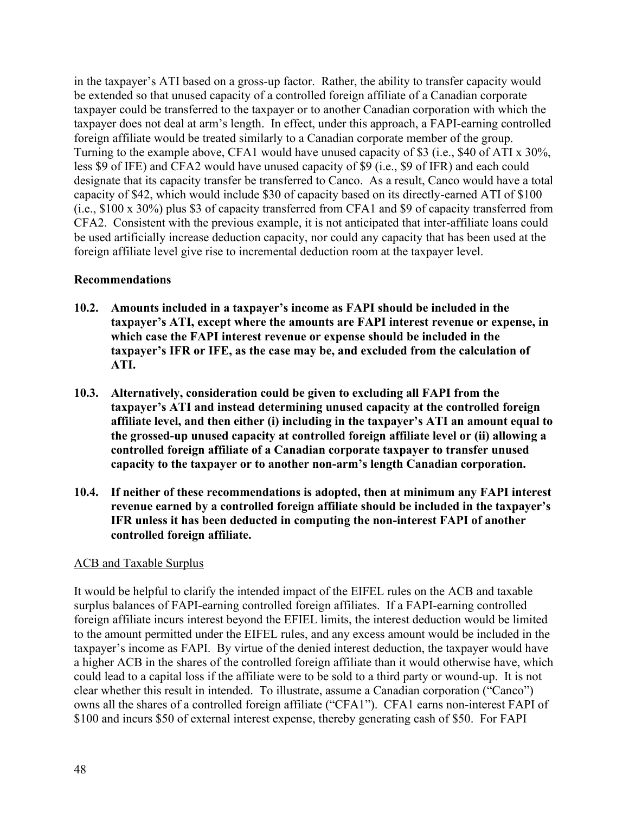in the taxpayer's ATI based on a gross-up factor. Rather, the ability to transfer capacity would be extended so that unused capacity of a controlled foreign affiliate of a Canadian corporate taxpayer could be transferred to the taxpayer or to another Canadian corporation with which the taxpayer does not deal at arm's length. In effect, under this approach, a FAPI-earning controlled foreign affiliate would be treated similarly to a Canadian corporate member of the group. Turning to the example above, CFA1 would have unused capacity of \$3 (i.e., \$40 of ATI x 30%, less \$9 of IFE) and CFA2 would have unused capacity of \$9 (i.e., \$9 of IFR) and each could designate that its capacity transfer be transferred to Canco. As a result, Canco would have a total capacity of \$42, which would include \$30 of capacity based on its directly-earned ATI of \$100 (i.e., \$100 x 30%) plus \$3 of capacity transferred from CFA1 and \$9 of capacity transferred from CFA2. Consistent with the previous example, it is not anticipated that inter-affiliate loans could be used artificially increase deduction capacity, nor could any capacity that has been used at the foreign affiliate level give rise to incremental deduction room at the taxpayer level.

### **Recommendations**

- **10.2. Amounts included in a taxpayer's income as FAPI should be included in the taxpayer's ATI, except where the amounts are FAPI interest revenue or expense, in which case the FAPI interest revenue or expense should be included in the taxpayer's IFR or IFE, as the case may be, and excluded from the calculation of ATI.**
- **10.3. Alternatively, consideration could be given to excluding all FAPI from the taxpayer's ATI and instead determining unused capacity at the controlled foreign affiliate level, and then either (i) including in the taxpayer's ATI an amount equal to the grossed-up unused capacity at controlled foreign affiliate level or (ii) allowing a controlled foreign affiliate of a Canadian corporate taxpayer to transfer unused capacity to the taxpayer or to another non-arm's length Canadian corporation.**
- **10.4. If neither of these recommendations is adopted, then at minimum any FAPI interest revenue earned by a controlled foreign affiliate should be included in the taxpayer's IFR unless it has been deducted in computing the non-interest FAPI of another controlled foreign affiliate.**

# ACB and Taxable Surplus

It would be helpful to clarify the intended impact of the EIFEL rules on the ACB and taxable surplus balances of FAPI-earning controlled foreign affiliates. If a FAPI-earning controlled foreign affiliate incurs interest beyond the EFIEL limits, the interest deduction would be limited to the amount permitted under the EIFEL rules, and any excess amount would be included in the taxpayer's income as FAPI. By virtue of the denied interest deduction, the taxpayer would have a higher ACB in the shares of the controlled foreign affiliate than it would otherwise have, which could lead to a capital loss if the affiliate were to be sold to a third party or wound-up. It is not clear whether this result in intended. To illustrate, assume a Canadian corporation ("Canco") owns all the shares of a controlled foreign affiliate ("CFA1"). CFA1 earns non-interest FAPI of \$100 and incurs \$50 of external interest expense, thereby generating cash of \$50. For FAPI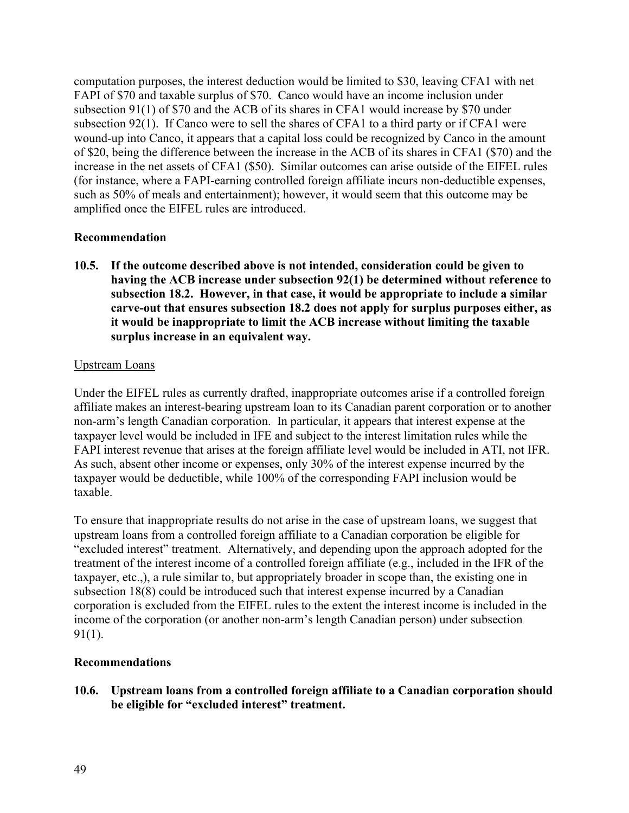computation purposes, the interest deduction would be limited to \$30, leaving CFA1 with net FAPI of \$70 and taxable surplus of \$70. Canco would have an income inclusion under subsection 91(1) of \$70 and the ACB of its shares in CFA1 would increase by \$70 under subsection 92(1). If Canco were to sell the shares of CFA1 to a third party or if CFA1 were wound-up into Canco, it appears that a capital loss could be recognized by Canco in the amount of \$20, being the difference between the increase in the ACB of its shares in CFA1 (\$70) and the increase in the net assets of CFA1 (\$50). Similar outcomes can arise outside of the EIFEL rules (for instance, where a FAPI-earning controlled foreign affiliate incurs non-deductible expenses, such as 50% of meals and entertainment); however, it would seem that this outcome may be amplified once the EIFEL rules are introduced.

## **Recommendation**

**10.5. If the outcome described above is not intended, consideration could be given to having the ACB increase under subsection 92(1) be determined without reference to subsection 18.2. However, in that case, it would be appropriate to include a similar carve-out that ensures subsection 18.2 does not apply for surplus purposes either, as it would be inappropriate to limit the ACB increase without limiting the taxable surplus increase in an equivalent way.**

### Upstream Loans

Under the EIFEL rules as currently drafted, inappropriate outcomes arise if a controlled foreign affiliate makes an interest-bearing upstream loan to its Canadian parent corporation or to another non-arm's length Canadian corporation. In particular, it appears that interest expense at the taxpayer level would be included in IFE and subject to the interest limitation rules while the FAPI interest revenue that arises at the foreign affiliate level would be included in ATI, not IFR. As such, absent other income or expenses, only 30% of the interest expense incurred by the taxpayer would be deductible, while 100% of the corresponding FAPI inclusion would be taxable.

To ensure that inappropriate results do not arise in the case of upstream loans, we suggest that upstream loans from a controlled foreign affiliate to a Canadian corporation be eligible for "excluded interest" treatment. Alternatively, and depending upon the approach adopted for the treatment of the interest income of a controlled foreign affiliate (e.g., included in the IFR of the taxpayer, etc.,), a rule similar to, but appropriately broader in scope than, the existing one in subsection 18(8) could be introduced such that interest expense incurred by a Canadian corporation is excluded from the EIFEL rules to the extent the interest income is included in the income of the corporation (or another non-arm's length Canadian person) under subsection 91(1).

### **Recommendations**

**10.6. Upstream loans from a controlled foreign affiliate to a Canadian corporation should be eligible for "excluded interest" treatment.**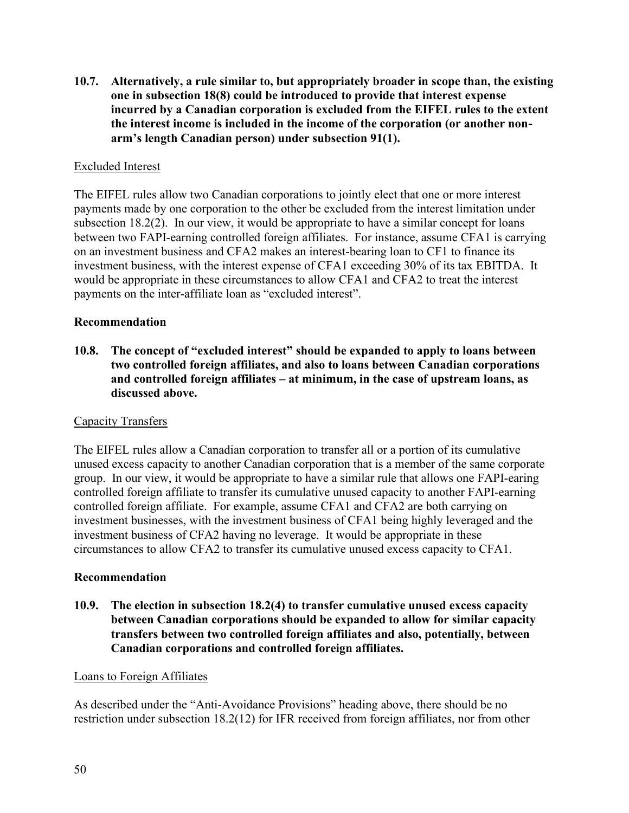**10.7. Alternatively, a rule similar to, but appropriately broader in scope than, the existing one in subsection 18(8) could be introduced to provide that interest expense incurred by a Canadian corporation is excluded from the EIFEL rules to the extent the interest income is included in the income of the corporation (or another nonarm's length Canadian person) under subsection 91(1).**

# Excluded Interest

The EIFEL rules allow two Canadian corporations to jointly elect that one or more interest payments made by one corporation to the other be excluded from the interest limitation under subsection 18.2(2). In our view, it would be appropriate to have a similar concept for loans between two FAPI-earning controlled foreign affiliates. For instance, assume CFA1 is carrying on an investment business and CFA2 makes an interest-bearing loan to CF1 to finance its investment business, with the interest expense of CFA1 exceeding 30% of its tax EBITDA. It would be appropriate in these circumstances to allow CFA1 and CFA2 to treat the interest payments on the inter-affiliate loan as "excluded interest".

### **Recommendation**

**10.8. The concept of "excluded interest" should be expanded to apply to loans between two controlled foreign affiliates, and also to loans between Canadian corporations and controlled foreign affiliates – at minimum, in the case of upstream loans, as discussed above.**

### Capacity Transfers

The EIFEL rules allow a Canadian corporation to transfer all or a portion of its cumulative unused excess capacity to another Canadian corporation that is a member of the same corporate group. In our view, it would be appropriate to have a similar rule that allows one FAPI-earing controlled foreign affiliate to transfer its cumulative unused capacity to another FAPI-earning controlled foreign affiliate. For example, assume CFA1 and CFA2 are both carrying on investment businesses, with the investment business of CFA1 being highly leveraged and the investment business of CFA2 having no leverage. It would be appropriate in these circumstances to allow CFA2 to transfer its cumulative unused excess capacity to CFA1.

#### **Recommendation**

**10.9. The election in subsection 18.2(4) to transfer cumulative unused excess capacity between Canadian corporations should be expanded to allow for similar capacity transfers between two controlled foreign affiliates and also, potentially, between Canadian corporations and controlled foreign affiliates.** 

#### Loans to Foreign Affiliates

As described under the "Anti-Avoidance Provisions" heading above, there should be no restriction under subsection 18.2(12) for IFR received from foreign affiliates, nor from other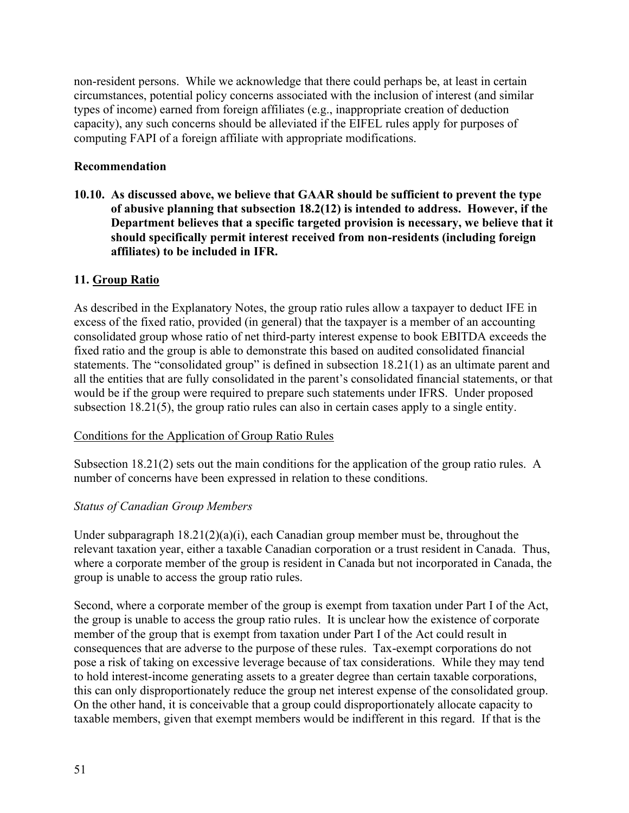non-resident persons. While we acknowledge that there could perhaps be, at least in certain circumstances, potential policy concerns associated with the inclusion of interest (and similar types of income) earned from foreign affiliates (e.g., inappropriate creation of deduction capacity), any such concerns should be alleviated if the EIFEL rules apply for purposes of computing FAPI of a foreign affiliate with appropriate modifications.

## **Recommendation**

**10.10. As discussed above, we believe that GAAR should be sufficient to prevent the type of abusive planning that subsection 18.2(12) is intended to address. However, if the Department believes that a specific targeted provision is necessary, we believe that it should specifically permit interest received from non-residents (including foreign affiliates) to be included in IFR.**

## **11. Group Ratio**

As described in the Explanatory Notes, the group ratio rules allow a taxpayer to deduct IFE in excess of the fixed ratio, provided (in general) that the taxpayer is a member of an accounting consolidated group whose ratio of net third-party interest expense to book EBITDA exceeds the fixed ratio and the group is able to demonstrate this based on audited consolidated financial statements. The "consolidated group" is defined in subsection 18.21(1) as an ultimate parent and all the entities that are fully consolidated in the parent's consolidated financial statements, or that would be if the group were required to prepare such statements under IFRS. Under proposed subsection 18.21(5), the group ratio rules can also in certain cases apply to a single entity.

### Conditions for the Application of Group Ratio Rules

Subsection 18.21(2) sets out the main conditions for the application of the group ratio rules. A number of concerns have been expressed in relation to these conditions.

# *Status of Canadian Group Members*

Under subparagraph 18.21(2)(a)(i), each Canadian group member must be, throughout the relevant taxation year, either a taxable Canadian corporation or a trust resident in Canada. Thus, where a corporate member of the group is resident in Canada but not incorporated in Canada, the group is unable to access the group ratio rules.

Second, where a corporate member of the group is exempt from taxation under Part I of the Act, the group is unable to access the group ratio rules. It is unclear how the existence of corporate member of the group that is exempt from taxation under Part I of the Act could result in consequences that are adverse to the purpose of these rules. Tax-exempt corporations do not pose a risk of taking on excessive leverage because of tax considerations. While they may tend to hold interest-income generating assets to a greater degree than certain taxable corporations, this can only disproportionately reduce the group net interest expense of the consolidated group. On the other hand, it is conceivable that a group could disproportionately allocate capacity to taxable members, given that exempt members would be indifferent in this regard. If that is the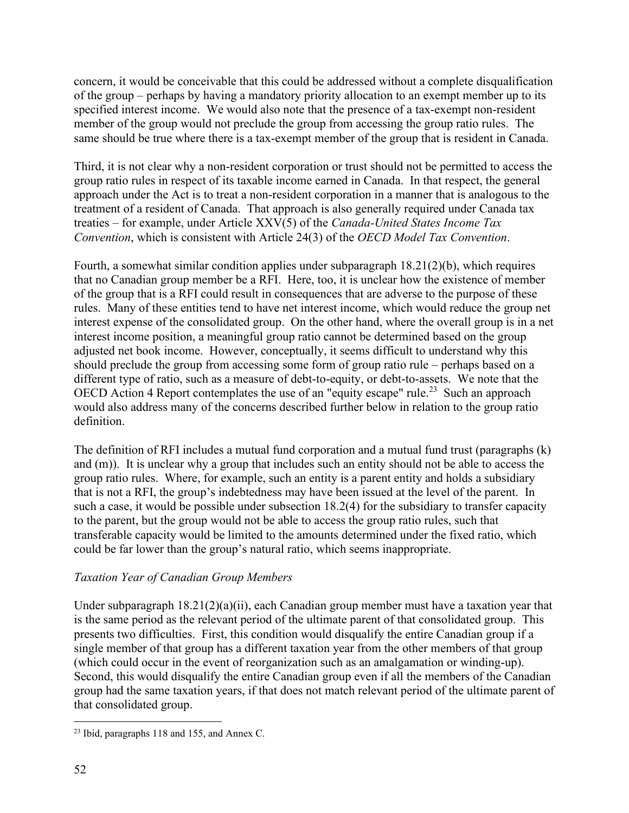concern, it would be conceivable that this could be addressed without a complete disqualification of the group – perhaps by having a mandatory priority allocation to an exempt member up to its specified interest income. We would also note that the presence of a tax-exempt non-resident member of the group would not preclude the group from accessing the group ratio rules. The same should be true where there is a tax-exempt member of the group that is resident in Canada.

Third, it is not clear why a non-resident corporation or trust should not be permitted to access the group ratio rules in respect of its taxable income earned in Canada. In that respect, the general approach under the Act is to treat a non-resident corporation in a manner that is analogous to the treatment of a resident of Canada. That approach is also generally required under Canada tax treaties – for example, under Article XXV(5) of the *Canada-United States Income Tax Convention*, which is consistent with Article 24(3) of the *OECD Model Tax Convention*.

Fourth, a somewhat similar condition applies under subparagraph 18.21(2)(b), which requires that no Canadian group member be a RFI. Here, too, it is unclear how the existence of member of the group that is a RFI could result in consequences that are adverse to the purpose of these rules. Many of these entities tend to have net interest income, which would reduce the group net interest expense of the consolidated group. On the other hand, where the overall group is in a net interest income position, a meaningful group ratio cannot be determined based on the group adjusted net book income. However, conceptually, it seems difficult to understand why this should preclude the group from accessing some form of group ratio rule – perhaps based on a different type of ratio, such as a measure of debt-to-equity, or debt-to-assets. We note that the OECD Action 4 Report contemplates the use of an "equity escape" rule.<sup>23</sup> Such an approach would also address many of the concerns described further below in relation to the group ratio definition.

The definition of RFI includes a mutual fund corporation and a mutual fund trust (paragraphs (k) and (m)). It is unclear why a group that includes such an entity should not be able to access the group ratio rules. Where, for example, such an entity is a parent entity and holds a subsidiary that is not a RFI, the group's indebtedness may have been issued at the level of the parent. In such a case, it would be possible under subsection 18.2(4) for the subsidiary to transfer capacity to the parent, but the group would not be able to access the group ratio rules, such that transferable capacity would be limited to the amounts determined under the fixed ratio, which could be far lower than the group's natural ratio, which seems inappropriate.

# *Taxation Year of Canadian Group Members*

Under subparagraph  $18.21(2)(a)(ii)$ , each Canadian group member must have a taxation year that is the same period as the relevant period of the ultimate parent of that consolidated group. This presents two difficulties. First, this condition would disqualify the entire Canadian group if a single member of that group has a different taxation year from the other members of that group (which could occur in the event of reorganization such as an amalgamation or winding-up). Second, this would disqualify the entire Canadian group even if all the members of the Canadian group had the same taxation years, if that does not match relevant period of the ultimate parent of that consolidated group.

<sup>23</sup> Ibid, paragraphs 118 and 155, and Annex C.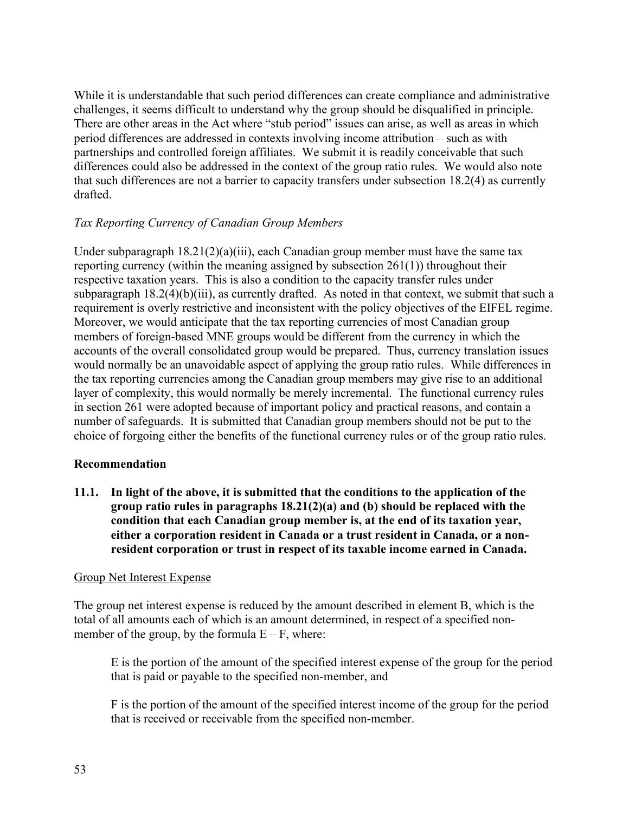While it is understandable that such period differences can create compliance and administrative challenges, it seems difficult to understand why the group should be disqualified in principle. There are other areas in the Act where "stub period" issues can arise, as well as areas in which period differences are addressed in contexts involving income attribution – such as with partnerships and controlled foreign affiliates. We submit it is readily conceivable that such differences could also be addressed in the context of the group ratio rules. We would also note that such differences are not a barrier to capacity transfers under subsection 18.2(4) as currently drafted.

# *Tax Reporting Currency of Canadian Group Members*

Under subparagraph  $18.21(2)(a)(iii)$ , each Canadian group member must have the same tax reporting currency (within the meaning assigned by subsection 261(1)) throughout their respective taxation years. This is also a condition to the capacity transfer rules under subparagraph 18.2(4)(b)(iii), as currently drafted. As noted in that context, we submit that such a requirement is overly restrictive and inconsistent with the policy objectives of the EIFEL regime. Moreover, we would anticipate that the tax reporting currencies of most Canadian group members of foreign-based MNE groups would be different from the currency in which the accounts of the overall consolidated group would be prepared. Thus, currency translation issues would normally be an unavoidable aspect of applying the group ratio rules. While differences in the tax reporting currencies among the Canadian group members may give rise to an additional layer of complexity, this would normally be merely incremental. The functional currency rules in section 261 were adopted because of important policy and practical reasons, and contain a number of safeguards. It is submitted that Canadian group members should not be put to the choice of forgoing either the benefits of the functional currency rules or of the group ratio rules.

# **Recommendation**

**11.1. In light of the above, it is submitted that the conditions to the application of the group ratio rules in paragraphs 18.21(2)(a) and (b) should be replaced with the condition that each Canadian group member is, at the end of its taxation year, either a corporation resident in Canada or a trust resident in Canada, or a nonresident corporation or trust in respect of its taxable income earned in Canada.**

### Group Net Interest Expense

The group net interest expense is reduced by the amount described in element B, which is the total of all amounts each of which is an amount determined, in respect of a specified nonmember of the group, by the formula  $E - F$ , where:

E is the portion of the amount of the specified interest expense of the group for the period that is paid or payable to the specified non-member, and

F is the portion of the amount of the specified interest income of the group for the period that is received or receivable from the specified non-member.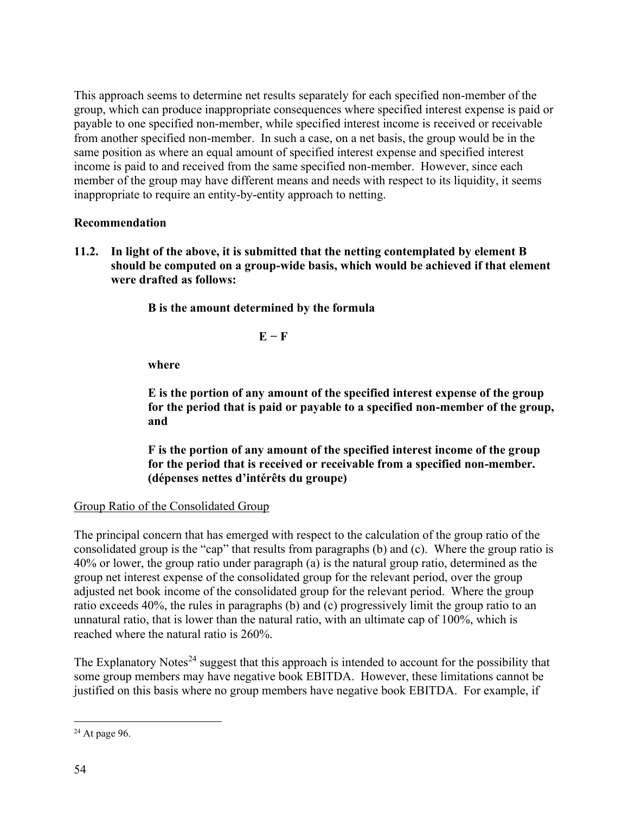This approach seems to determine net results separately for each specified non-member of the group, which can produce inappropriate consequences where specified interest expense is paid or payable to one specified non-member, while specified interest income is received or receivable from another specified non-member. In such a case, on a net basis, the group would be in the same position as where an equal amount of specified interest expense and specified interest income is paid to and received from the same specified non-member. However, since each member of the group may have different means and needs with respect to its liquidity, it seems inappropriate to require an entity-by-entity approach to netting.

# **Recommendation**

**11.2. In light of the above, it is submitted that the netting contemplated by element B should be computed on a group-wide basis, which would be achieved if that element were drafted as follows:**

**B is the amount determined by the formula**

### **E − F**

**where**

**E is the portion of any amount of the specified interest expense of the group for the period that is paid or payable to a specified non-member of the group, and**

**F is the portion of any amount of the specified interest income of the group for the period that is received or receivable from a specified non-member. (dépenses nettes d'intérêts du groupe)** 

Group Ratio of the Consolidated Group

The principal concern that has emerged with respect to the calculation of the group ratio of the consolidated group is the "cap" that results from paragraphs (b) and (c). Where the group ratio is 40% or lower, the group ratio under paragraph (a) is the natural group ratio, determined as the group net interest expense of the consolidated group for the relevant period, over the group adjusted net book income of the consolidated group for the relevant period. Where the group ratio exceeds 40%, the rules in paragraphs (b) and (c) progressively limit the group ratio to an unnatural ratio, that is lower than the natural ratio, with an ultimate cap of 100%, which is reached where the natural ratio is 260%.

The Explanatory Notes<sup>24</sup> suggest that this approach is intended to account for the possibility that some group members may have negative book EBITDA. However, these limitations cannot be justified on this basis where no group members have negative book EBITDA. For example, if

 $24$  At page 96.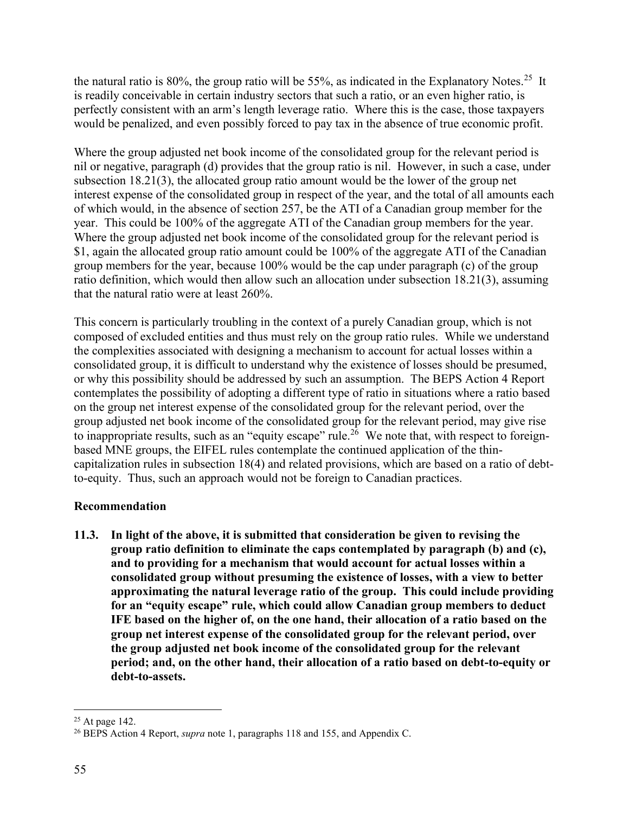the natural ratio is 80%, the group ratio will be 55%, as indicated in the Explanatory Notes.<sup>25</sup> It is readily conceivable in certain industry sectors that such a ratio, or an even higher ratio, is perfectly consistent with an arm's length leverage ratio. Where this is the case, those taxpayers would be penalized, and even possibly forced to pay tax in the absence of true economic profit.

Where the group adjusted net book income of the consolidated group for the relevant period is nil or negative, paragraph (d) provides that the group ratio is nil. However, in such a case, under subsection 18.21(3), the allocated group ratio amount would be the lower of the group net interest expense of the consolidated group in respect of the year, and the total of all amounts each of which would, in the absence of section 257, be the ATI of a Canadian group member for the year. This could be 100% of the aggregate ATI of the Canadian group members for the year. Where the group adjusted net book income of the consolidated group for the relevant period is \$1, again the allocated group ratio amount could be 100% of the aggregate ATI of the Canadian group members for the year, because 100% would be the cap under paragraph (c) of the group ratio definition, which would then allow such an allocation under subsection 18.21(3), assuming that the natural ratio were at least 260%.

This concern is particularly troubling in the context of a purely Canadian group, which is not composed of excluded entities and thus must rely on the group ratio rules. While we understand the complexities associated with designing a mechanism to account for actual losses within a consolidated group, it is difficult to understand why the existence of losses should be presumed, or why this possibility should be addressed by such an assumption. The BEPS Action 4 Report contemplates the possibility of adopting a different type of ratio in situations where a ratio based on the group net interest expense of the consolidated group for the relevant period, over the group adjusted net book income of the consolidated group for the relevant period, may give rise to inappropriate results, such as an "equity escape" rule.<sup>26</sup> We note that, with respect to foreignbased MNE groups, the EIFEL rules contemplate the continued application of the thincapitalization rules in subsection 18(4) and related provisions, which are based on a ratio of debtto-equity. Thus, such an approach would not be foreign to Canadian practices.

# **Recommendation**

**11.3. In light of the above, it is submitted that consideration be given to revising the group ratio definition to eliminate the caps contemplated by paragraph (b) and (c), and to providing for a mechanism that would account for actual losses within a consolidated group without presuming the existence of losses, with a view to better approximating the natural leverage ratio of the group. This could include providing for an "equity escape" rule, which could allow Canadian group members to deduct IFE based on the higher of, on the one hand, their allocation of a ratio based on the group net interest expense of the consolidated group for the relevant period, over the group adjusted net book income of the consolidated group for the relevant period; and, on the other hand, their allocation of a ratio based on debt-to-equity or debt-to-assets.** 

 $25$  At page 142.

<sup>&</sup>lt;sup>26</sup> BEPS Action 4 Report, *supra* note 1, paragraphs 118 and 155, and Appendix C.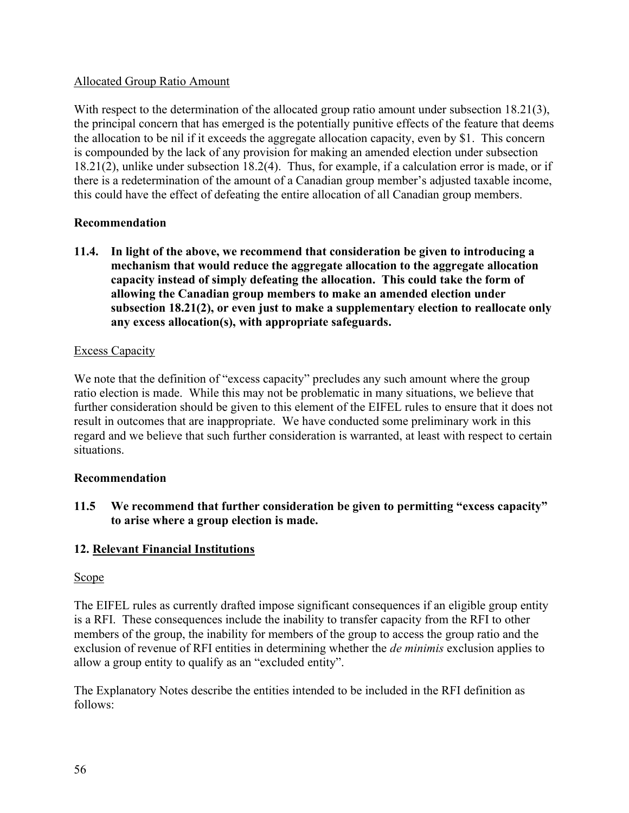# Allocated Group Ratio Amount

With respect to the determination of the allocated group ratio amount under subsection 18.21(3), the principal concern that has emerged is the potentially punitive effects of the feature that deems the allocation to be nil if it exceeds the aggregate allocation capacity, even by \$1. This concern is compounded by the lack of any provision for making an amended election under subsection 18.21(2), unlike under subsection 18.2(4). Thus, for example, if a calculation error is made, or if there is a redetermination of the amount of a Canadian group member's adjusted taxable income, this could have the effect of defeating the entire allocation of all Canadian group members.

## **Recommendation**

**11.4. In light of the above, we recommend that consideration be given to introducing a mechanism that would reduce the aggregate allocation to the aggregate allocation capacity instead of simply defeating the allocation. This could take the form of allowing the Canadian group members to make an amended election under subsection 18.21(2), or even just to make a supplementary election to reallocate only any excess allocation(s), with appropriate safeguards.** 

## Excess Capacity

We note that the definition of "excess capacity" precludes any such amount where the group ratio election is made. While this may not be problematic in many situations, we believe that further consideration should be given to this element of the EIFEL rules to ensure that it does not result in outcomes that are inappropriate. We have conducted some preliminary work in this regard and we believe that such further consideration is warranted, at least with respect to certain situations.

### **Recommendation**

**11.5 We recommend that further consideration be given to permitting "excess capacity" to arise where a group election is made.**

# **12. Relevant Financial Institutions**

### Scope

The EIFEL rules as currently drafted impose significant consequences if an eligible group entity is a RFI. These consequences include the inability to transfer capacity from the RFI to other members of the group, the inability for members of the group to access the group ratio and the exclusion of revenue of RFI entities in determining whether the *de minimis* exclusion applies to allow a group entity to qualify as an "excluded entity".

The Explanatory Notes describe the entities intended to be included in the RFI definition as follows: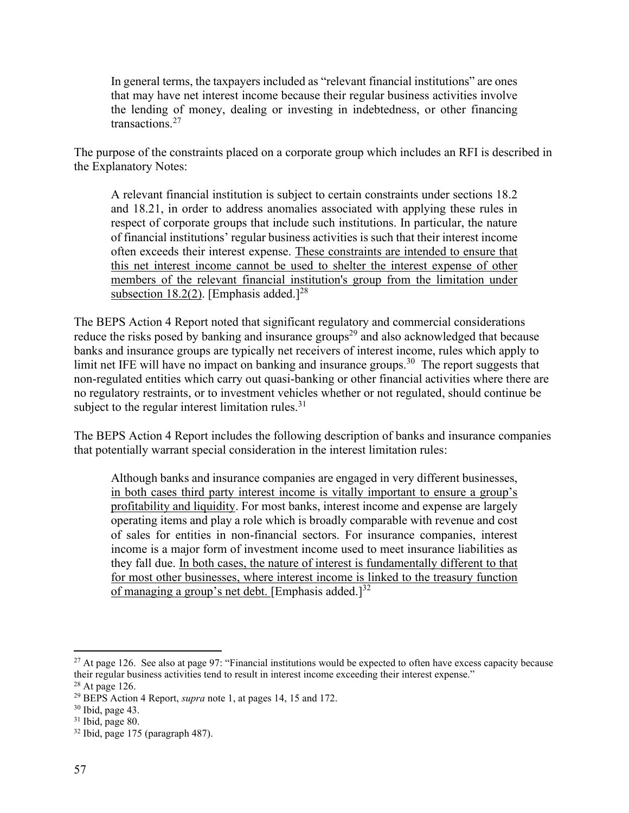In general terms, the taxpayers included as "relevant financial institutions" are ones that may have net interest income because their regular business activities involve the lending of money, dealing or investing in indebtedness, or other financing transactions.<sup>27</sup>

The purpose of the constraints placed on a corporate group which includes an RFI is described in the Explanatory Notes:

A relevant financial institution is subject to certain constraints under sections 18.2 and 18.21, in order to address anomalies associated with applying these rules in respect of corporate groups that include such institutions. In particular, the nature of financial institutions' regular business activities is such that their interest income often exceeds their interest expense. These constraints are intended to ensure that this net interest income cannot be used to shelter the interest expense of other members of the relevant financial institution's group from the limitation under subsection 18.2(2). [Emphasis added.] $^{28}$ 

The BEPS Action 4 Report noted that significant regulatory and commercial considerations reduce the risks posed by banking and insurance groups<sup>29</sup> and also acknowledged that because banks and insurance groups are typically net receivers of interest income, rules which apply to limit net IFE will have no impact on banking and insurance groups.<sup>30</sup> The report suggests that non-regulated entities which carry out quasi-banking or other financial activities where there are no regulatory restraints, or to investment vehicles whether or not regulated, should continue be subject to the regular interest limitation rules. $31$ 

The BEPS Action 4 Report includes the following description of banks and insurance companies that potentially warrant special consideration in the interest limitation rules:

Although banks and insurance companies are engaged in very different businesses, in both cases third party interest income is vitally important to ensure a group's profitability and liquidity. For most banks, interest income and expense are largely operating items and play a role which is broadly comparable with revenue and cost of sales for entities in non-financial sectors. For insurance companies, interest income is a major form of investment income used to meet insurance liabilities as they fall due. In both cases, the nature of interest is fundamentally different to that for most other businesses, where interest income is linked to the treasury function of managing a group's net debt. [Emphasis added.] $^{32}$ 

<sup>&</sup>lt;sup>27</sup> At page 126. See also at page 97: "Financial institutions would be expected to often have excess capacity because their regular business activities tend to result in interest income exceeding their interest expense."

<sup>28</sup> At page 126.

<sup>29</sup> BEPS Action 4 Report, *supra* note 1, at pages 14, 15 and 172.

<sup>30</sup> Ibid, page 43.

<sup>31</sup> Ibid, page 80.

<sup>32</sup> Ibid, page 175 (paragraph 487).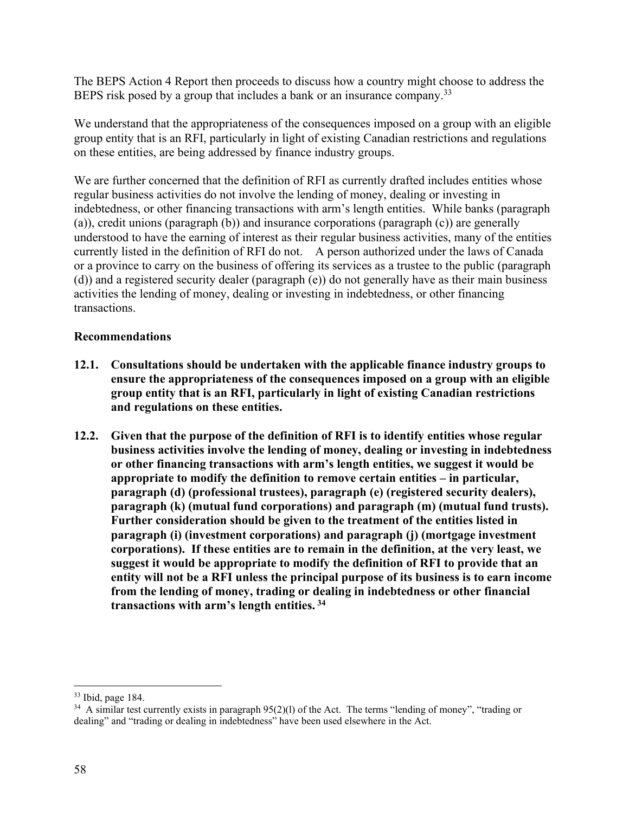The BEPS Action 4 Report then proceeds to discuss how a country might choose to address the BEPS risk posed by a group that includes a bank or an insurance company.<sup>33</sup>

We understand that the appropriateness of the consequences imposed on a group with an eligible group entity that is an RFI, particularly in light of existing Canadian restrictions and regulations on these entities, are being addressed by finance industry groups.

We are further concerned that the definition of RFI as currently drafted includes entities whose regular business activities do not involve the lending of money, dealing or investing in indebtedness, or other financing transactions with arm's length entities. While banks (paragraph (a)), credit unions (paragraph (b)) and insurance corporations (paragraph (c)) are generally understood to have the earning of interest as their regular business activities, many of the entities currently listed in the definition of RFI do not. A person authorized under the laws of Canada or a province to carry on the business of offering its services as a trustee to the public (paragraph (d)) and a registered security dealer (paragraph (e)) do not generally have as their main business activities the lending of money, dealing or investing in indebtedness, or other financing transactions.

## **Recommendations**

- **12.1. Consultations should be undertaken with the applicable finance industry groups to ensure the appropriateness of the consequences imposed on a group with an eligible group entity that is an RFI, particularly in light of existing Canadian restrictions and regulations on these entities.**
- **12.2. Given that the purpose of the definition of RFI is to identify entities whose regular business activities involve the lending of money, dealing or investing in indebtedness or other financing transactions with arm's length entities, we suggest it would be appropriate to modify the definition to remove certain entities – in particular, paragraph (d) (professional trustees), paragraph (e) (registered security dealers), paragraph (k) (mutual fund corporations) and paragraph (m) (mutual fund trusts). Further consideration should be given to the treatment of the entities listed in paragraph (i) (investment corporations) and paragraph (j) (mortgage investment corporations). If these entities are to remain in the definition, at the very least, we suggest it would be appropriate to modify the definition of RFI to provide that an entity will not be a RFI unless the principal purpose of its business is to earn income from the lending of money, trading or dealing in indebtedness or other financial transactions with arm's length entities. <sup>34</sup>**

<sup>33</sup> Ibid, page 184.

 $34$  A similar test currently exists in paragraph  $95(2)(1)$  of the Act. The terms "lending of money", "trading or dealing" and "trading or dealing in indebtedness" have been used elsewhere in the Act.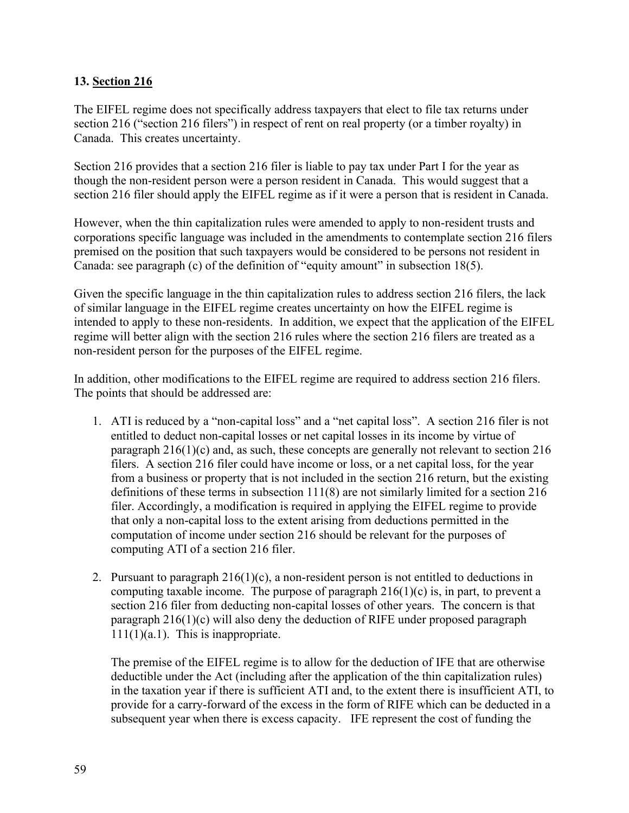# **13. Section 216**

The EIFEL regime does not specifically address taxpayers that elect to file tax returns under section 216 ("section 216 filers") in respect of rent on real property (or a timber royalty) in Canada. This creates uncertainty.

Section 216 provides that a section 216 filer is liable to pay tax under Part I for the year as though the non-resident person were a person resident in Canada. This would suggest that a section 216 filer should apply the EIFEL regime as if it were a person that is resident in Canada.

However, when the thin capitalization rules were amended to apply to non-resident trusts and corporations specific language was included in the amendments to contemplate section 216 filers premised on the position that such taxpayers would be considered to be persons not resident in Canada: see paragraph (c) of the definition of "equity amount" in subsection 18(5).

Given the specific language in the thin capitalization rules to address section 216 filers, the lack of similar language in the EIFEL regime creates uncertainty on how the EIFEL regime is intended to apply to these non-residents. In addition, we expect that the application of the EIFEL regime will better align with the section 216 rules where the section 216 filers are treated as a non-resident person for the purposes of the EIFEL regime.

In addition, other modifications to the EIFEL regime are required to address section 216 filers. The points that should be addressed are:

- 1. ATI is reduced by a "non-capital loss" and a "net capital loss". A section 216 filer is not entitled to deduct non-capital losses or net capital losses in its income by virtue of paragraph 216(1)(c) and, as such, these concepts are generally not relevant to section 216 filers. A section 216 filer could have income or loss, or a net capital loss, for the year from a business or property that is not included in the section 216 return, but the existing definitions of these terms in subsection  $111(8)$  are not similarly limited for a section 216 filer. Accordingly, a modification is required in applying the EIFEL regime to provide that only a non-capital loss to the extent arising from deductions permitted in the computation of income under section 216 should be relevant for the purposes of computing ATI of a section 216 filer.
- 2. Pursuant to paragraph  $216(1)(c)$ , a non-resident person is not entitled to deductions in computing taxable income. The purpose of paragraph  $216(1)(c)$  is, in part, to prevent a section 216 filer from deducting non-capital losses of other years. The concern is that paragraph 216(1)(c) will also deny the deduction of RIFE under proposed paragraph  $111(1)(a.1)$ . This is inappropriate.

The premise of the EIFEL regime is to allow for the deduction of IFE that are otherwise deductible under the Act (including after the application of the thin capitalization rules) in the taxation year if there is sufficient ATI and, to the extent there is insufficient ATI, to provide for a carry-forward of the excess in the form of RIFE which can be deducted in a subsequent year when there is excess capacity. IFE represent the cost of funding the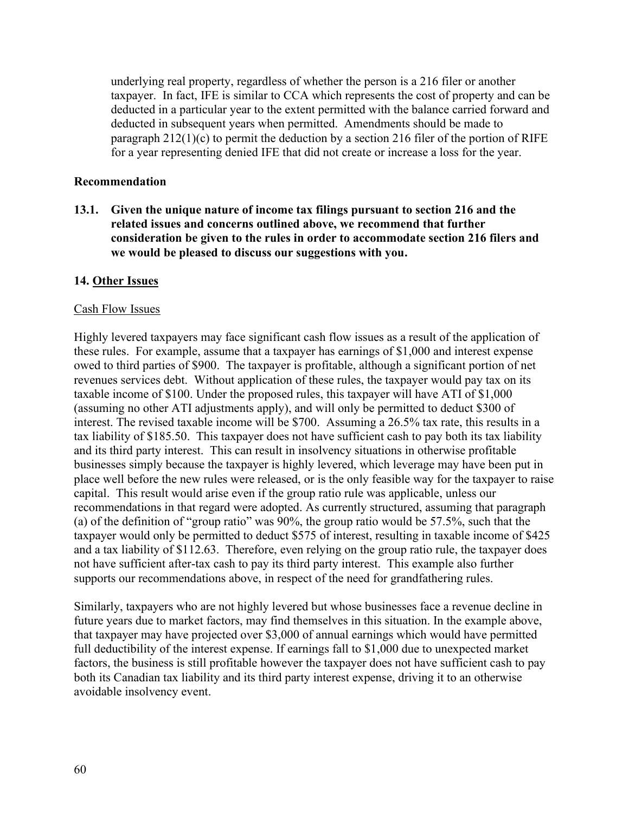underlying real property, regardless of whether the person is a 216 filer or another taxpayer. In fact, IFE is similar to CCA which represents the cost of property and can be deducted in a particular year to the extent permitted with the balance carried forward and deducted in subsequent years when permitted. Amendments should be made to paragraph  $212(1)(c)$  to permit the deduction by a section 216 filer of the portion of RIFE for a year representing denied IFE that did not create or increase a loss for the year.

### **Recommendation**

**13.1. Given the unique nature of income tax filings pursuant to section 216 and the related issues and concerns outlined above, we recommend that further consideration be given to the rules in order to accommodate section 216 filers and we would be pleased to discuss our suggestions with you.** 

## **14. Other Issues**

### Cash Flow Issues

Highly levered taxpayers may face significant cash flow issues as a result of the application of these rules. For example, assume that a taxpayer has earnings of \$1,000 and interest expense owed to third parties of \$900. The taxpayer is profitable, although a significant portion of net revenues services debt. Without application of these rules, the taxpayer would pay tax on its taxable income of \$100. Under the proposed rules, this taxpayer will have ATI of \$1,000 (assuming no other ATI adjustments apply), and will only be permitted to deduct \$300 of interest. The revised taxable income will be \$700. Assuming a 26.5% tax rate, this results in a tax liability of \$185.50. This taxpayer does not have sufficient cash to pay both its tax liability and its third party interest. This can result in insolvency situations in otherwise profitable businesses simply because the taxpayer is highly levered, which leverage may have been put in place well before the new rules were released, or is the only feasible way for the taxpayer to raise capital. This result would arise even if the group ratio rule was applicable, unless our recommendations in that regard were adopted. As currently structured, assuming that paragraph (a) of the definition of "group ratio" was 90%, the group ratio would be 57.5%, such that the taxpayer would only be permitted to deduct \$575 of interest, resulting in taxable income of \$425 and a tax liability of \$112.63. Therefore, even relying on the group ratio rule, the taxpayer does not have sufficient after-tax cash to pay its third party interest. This example also further supports our recommendations above, in respect of the need for grandfathering rules.

Similarly, taxpayers who are not highly levered but whose businesses face a revenue decline in future years due to market factors, may find themselves in this situation. In the example above, that taxpayer may have projected over \$3,000 of annual earnings which would have permitted full deductibility of the interest expense. If earnings fall to \$1,000 due to unexpected market factors, the business is still profitable however the taxpayer does not have sufficient cash to pay both its Canadian tax liability and its third party interest expense, driving it to an otherwise avoidable insolvency event.